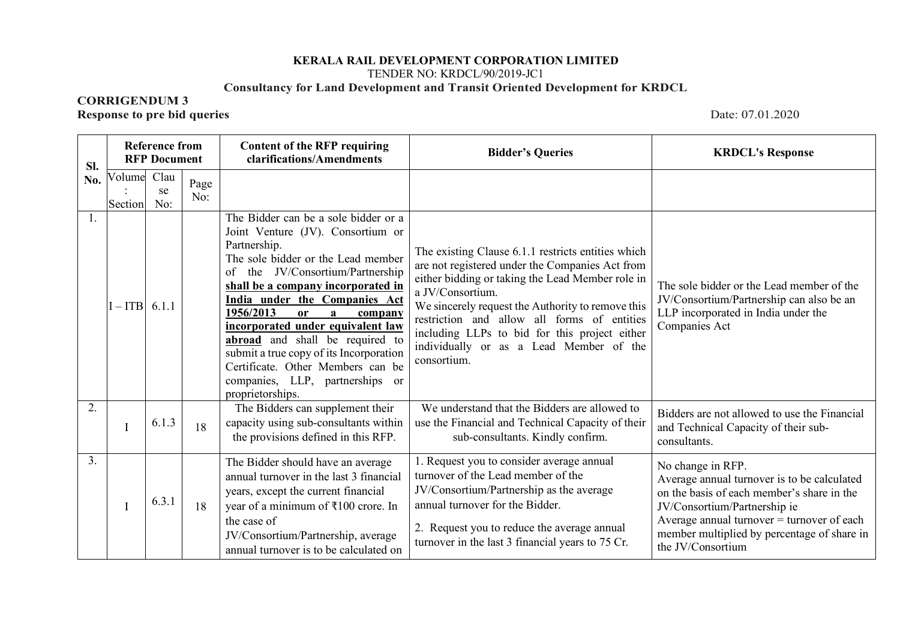## **KERALA RAIL DEVELOPMENT CORPORATION LIMITED** TENDER NO: KRDCL/90/2019-JC1 **Consultancy for Land Development and Transit Oriented Development for KRDCL**

## **CORRIGENDUM 3**

**Response to pre bid queries** Date: 07.01.2020

| Sl.            | <b>Reference from</b><br><b>Content of the RFP requiring</b><br>clarifications/Amendments<br><b>RFP Document</b> |                   |             | <b>Bidder's Queries</b>                                                                                                                                                                                                                                                                                                                                                                                                                                                                                               | <b>KRDCL's Response</b>                                                                                                                                                                                                                                                                                                                                                                      |                                                                                                                                                                                                                                                                    |
|----------------|------------------------------------------------------------------------------------------------------------------|-------------------|-------------|-----------------------------------------------------------------------------------------------------------------------------------------------------------------------------------------------------------------------------------------------------------------------------------------------------------------------------------------------------------------------------------------------------------------------------------------------------------------------------------------------------------------------|----------------------------------------------------------------------------------------------------------------------------------------------------------------------------------------------------------------------------------------------------------------------------------------------------------------------------------------------------------------------------------------------|--------------------------------------------------------------------------------------------------------------------------------------------------------------------------------------------------------------------------------------------------------------------|
| No.            | Volume<br>Section                                                                                                | Clau<br>se<br>No: | Page<br>No: |                                                                                                                                                                                                                                                                                                                                                                                                                                                                                                                       |                                                                                                                                                                                                                                                                                                                                                                                              |                                                                                                                                                                                                                                                                    |
| 1.             | $I - ITB$ 6.1.1                                                                                                  |                   |             | The Bidder can be a sole bidder or a<br>Joint Venture (JV). Consortium or<br>Partnership.<br>The sole bidder or the Lead member<br>the JV/Consortium/Partnership<br>of<br>shall be a company incorporated in<br>India under the Companies Act<br>1956/2013<br><sub>or</sub><br>$\mathbf{a}$<br>company<br>incorporated under equivalent law<br>abroad and shall be required to<br>submit a true copy of its Incorporation<br>Certificate. Other Members can be<br>companies, LLP, partnerships or<br>proprietorships. | The existing Clause 6.1.1 restricts entities which<br>are not registered under the Companies Act from<br>either bidding or taking the Lead Member role in<br>a JV/Consortium.<br>We sincerely request the Authority to remove this<br>restriction and allow all forms of entities<br>including LLPs to bid for this project either<br>individually or as a Lead Member of the<br>consortium. | The sole bidder or the Lead member of the<br>JV/Consortium/Partnership can also be an<br>LLP incorporated in India under the<br>Companies Act                                                                                                                      |
| 2.             | $\mathbf I$                                                                                                      | 6.1.3             | 18          | The Bidders can supplement their<br>capacity using sub-consultants within<br>the provisions defined in this RFP.                                                                                                                                                                                                                                                                                                                                                                                                      | We understand that the Bidders are allowed to<br>use the Financial and Technical Capacity of their<br>sub-consultants. Kindly confirm.                                                                                                                                                                                                                                                       | Bidders are not allowed to use the Financial<br>and Technical Capacity of their sub-<br>consultants.                                                                                                                                                               |
| 3 <sub>1</sub> | $\mathbf I$                                                                                                      | 6.3.1             | 18          | The Bidder should have an average<br>annual turnover in the last 3 financial<br>years, except the current financial<br>year of a minimum of ₹100 crore. In<br>the case of<br>JV/Consortium/Partnership, average<br>annual turnover is to be calculated on                                                                                                                                                                                                                                                             | 1. Request you to consider average annual<br>turnover of the Lead member of the<br>JV/Consortium/Partnership as the average<br>annual turnover for the Bidder.<br>2. Request you to reduce the average annual<br>turnover in the last 3 financial years to 75 Cr.                                                                                                                            | No change in RFP.<br>Average annual turnover is to be calculated<br>on the basis of each member's share in the<br>JV/Consortium/Partnership ie<br>Average annual turnover $=$ turnover of each<br>member multiplied by percentage of share in<br>the JV/Consortium |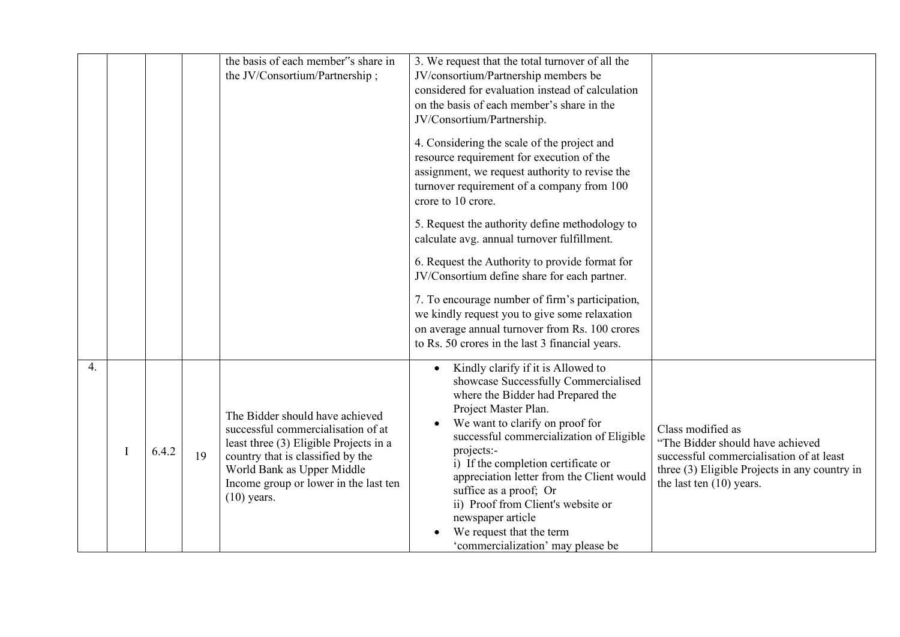|   |       |    | the basis of each member"s share in<br>the JV/Consortium/Partnership;                                                                                                                                                                        | 3. We request that the total turnover of all the<br>JV/consortium/Partnership members be<br>considered for evaluation instead of calculation<br>on the basis of each member's share in the<br>JV/Consortium/Partnership.<br>4. Considering the scale of the project and<br>resource requirement for execution of the<br>assignment, we request authority to revise the<br>turnover requirement of a company from 100<br>crore to 10 crore.<br>5. Request the authority define methodology to<br>calculate avg. annual turnover fulfillment.<br>6. Request the Authority to provide format for |                                                                                                                                                                                  |
|---|-------|----|----------------------------------------------------------------------------------------------------------------------------------------------------------------------------------------------------------------------------------------------|-----------------------------------------------------------------------------------------------------------------------------------------------------------------------------------------------------------------------------------------------------------------------------------------------------------------------------------------------------------------------------------------------------------------------------------------------------------------------------------------------------------------------------------------------------------------------------------------------|----------------------------------------------------------------------------------------------------------------------------------------------------------------------------------|
|   |       |    |                                                                                                                                                                                                                                              | JV/Consortium define share for each partner.<br>7. To encourage number of firm's participation,<br>we kindly request you to give some relaxation<br>on average annual turnover from Rs. 100 crores<br>to Rs. 50 crores in the last 3 financial years.                                                                                                                                                                                                                                                                                                                                         |                                                                                                                                                                                  |
| 4 | 6.4.2 | 19 | The Bidder should have achieved<br>successful commercialisation of at<br>least three (3) Eligible Projects in a<br>country that is classified by the<br>World Bank as Upper Middle<br>Income group or lower in the last ten<br>$(10)$ years. | Kindly clarify if it is Allowed to<br>showcase Successfully Commercialised<br>where the Bidder had Prepared the<br>Project Master Plan.<br>We want to clarify on proof for<br>successful commercialization of Eligible<br>projects:-<br>i) If the completion certificate or<br>appreciation letter from the Client would<br>suffice as a proof; Or<br>ii) Proof from Client's website or<br>newspaper article<br>We request that the term<br>'commercialization' may please be                                                                                                                | Class modified as<br>"The Bidder should have achieved<br>successful commercialisation of at least<br>three (3) Eligible Projects in any country in<br>the last ten $(10)$ years. |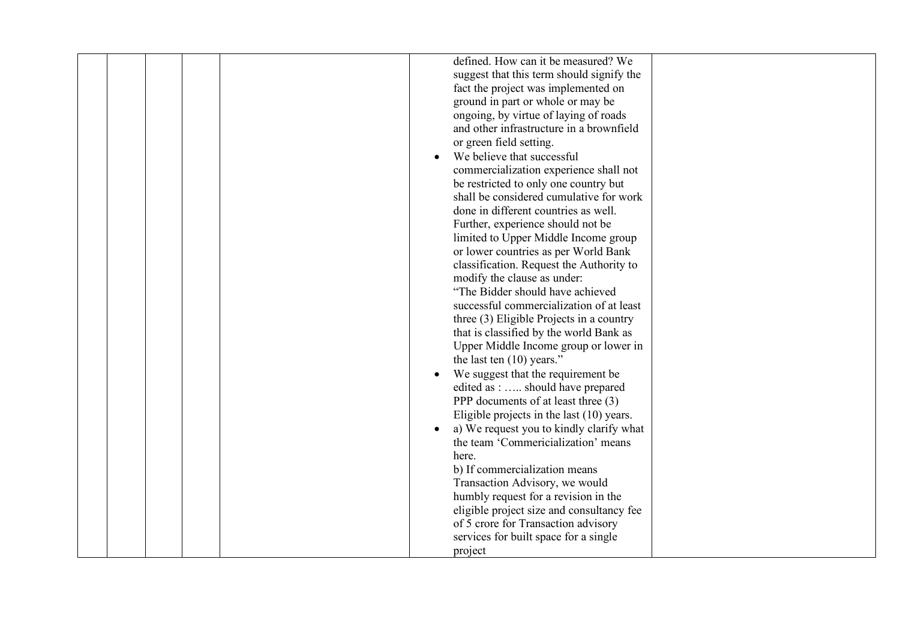|  |  | defined. How can it be measured? We       |  |
|--|--|-------------------------------------------|--|
|  |  | suggest that this term should signify the |  |
|  |  | fact the project was implemented on       |  |
|  |  | ground in part or whole or may be         |  |
|  |  | ongoing, by virtue of laying of roads     |  |
|  |  | and other infrastructure in a brownfield  |  |
|  |  |                                           |  |
|  |  | or green field setting.                   |  |
|  |  | We believe that successful                |  |
|  |  | commercialization experience shall not    |  |
|  |  | be restricted to only one country but     |  |
|  |  | shall be considered cumulative for work   |  |
|  |  | done in different countries as well.      |  |
|  |  | Further, experience should not be         |  |
|  |  | limited to Upper Middle Income group      |  |
|  |  | or lower countries as per World Bank      |  |
|  |  |                                           |  |
|  |  | classification. Request the Authority to  |  |
|  |  | modify the clause as under:               |  |
|  |  | "The Bidder should have achieved          |  |
|  |  | successful commercialization of at least  |  |
|  |  | three (3) Eligible Projects in a country  |  |
|  |  | that is classified by the world Bank as   |  |
|  |  | Upper Middle Income group or lower in     |  |
|  |  | the last ten $(10)$ years."               |  |
|  |  | We suggest that the requirement be        |  |
|  |  | edited as :  should have prepared         |  |
|  |  |                                           |  |
|  |  | PPP documents of at least three (3)       |  |
|  |  | Eligible projects in the last (10) years. |  |
|  |  | a) We request you to kindly clarify what  |  |
|  |  | the team 'Commericialization' means       |  |
|  |  | here.                                     |  |
|  |  | b) If commercialization means             |  |
|  |  | Transaction Advisory, we would            |  |
|  |  | humbly request for a revision in the      |  |
|  |  | eligible project size and consultancy fee |  |
|  |  | of 5 crore for Transaction advisory       |  |
|  |  |                                           |  |
|  |  | services for built space for a single     |  |
|  |  | project                                   |  |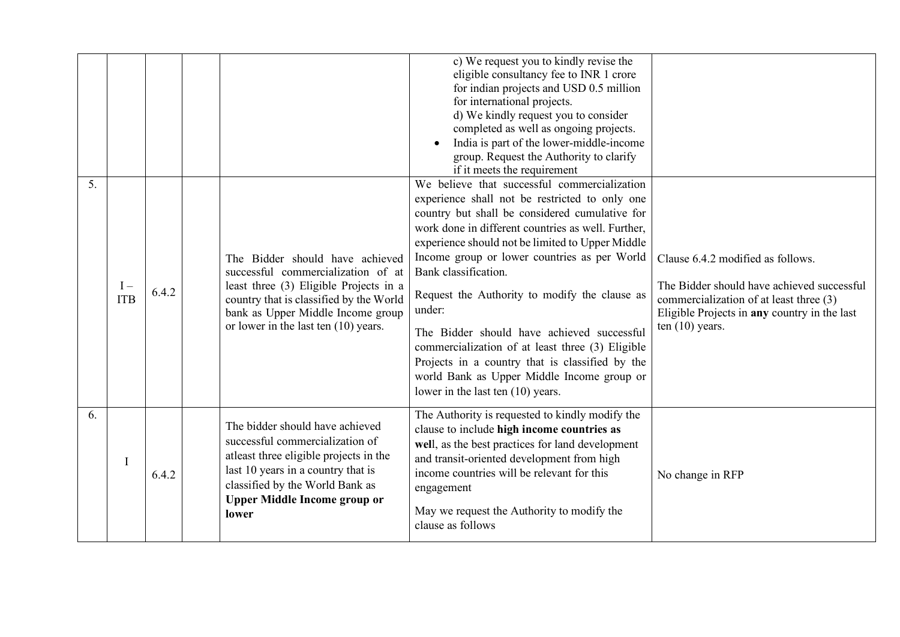|    |                     |       |                                                                                                                                                                                                                                           | c) We request you to kindly revise the<br>eligible consultancy fee to INR 1 crore<br>for indian projects and USD 0.5 million<br>for international projects.<br>d) We kindly request you to consider<br>completed as well as ongoing projects.<br>India is part of the lower-middle-income<br>group. Request the Authority to clarify<br>if it meets the requirement                                                                                                                                                                                                                                                                   |                                                                                                                                                                                                 |
|----|---------------------|-------|-------------------------------------------------------------------------------------------------------------------------------------------------------------------------------------------------------------------------------------------|---------------------------------------------------------------------------------------------------------------------------------------------------------------------------------------------------------------------------------------------------------------------------------------------------------------------------------------------------------------------------------------------------------------------------------------------------------------------------------------------------------------------------------------------------------------------------------------------------------------------------------------|-------------------------------------------------------------------------------------------------------------------------------------------------------------------------------------------------|
| 5. | $I -$<br><b>ITB</b> | 6.4.2 | The Bidder should have achieved<br>successful commercialization of at<br>least three (3) Eligible Projects in a<br>country that is classified by the World<br>bank as Upper Middle Income group<br>or lower in the last ten $(10)$ years. | We believe that successful commercialization<br>experience shall not be restricted to only one<br>country but shall be considered cumulative for<br>work done in different countries as well. Further,<br>experience should not be limited to Upper Middle<br>Income group or lower countries as per World<br>Bank classification.<br>Request the Authority to modify the clause as<br>under:<br>The Bidder should have achieved successful<br>commercialization of at least three (3) Eligible<br>Projects in a country that is classified by the<br>world Bank as Upper Middle Income group or<br>lower in the last ten (10) years. | Clause 6.4.2 modified as follows.<br>The Bidder should have achieved successful<br>commercialization of at least three (3)<br>Eligible Projects in any country in the last<br>ten $(10)$ years. |
| 6. |                     | 6.4.2 | The bidder should have achieved<br>successful commercialization of<br>atleast three eligible projects in the<br>last 10 years in a country that is<br>classified by the World Bank as<br><b>Upper Middle Income group or</b><br>lower     | The Authority is requested to kindly modify the<br>clause to include high income countries as<br>well, as the best practices for land development<br>and transit-oriented development from high<br>income countries will be relevant for this<br>engagement<br>May we request the Authority to modify the<br>clause as follows                                                                                                                                                                                                                                                                                                        | No change in RFP                                                                                                                                                                                |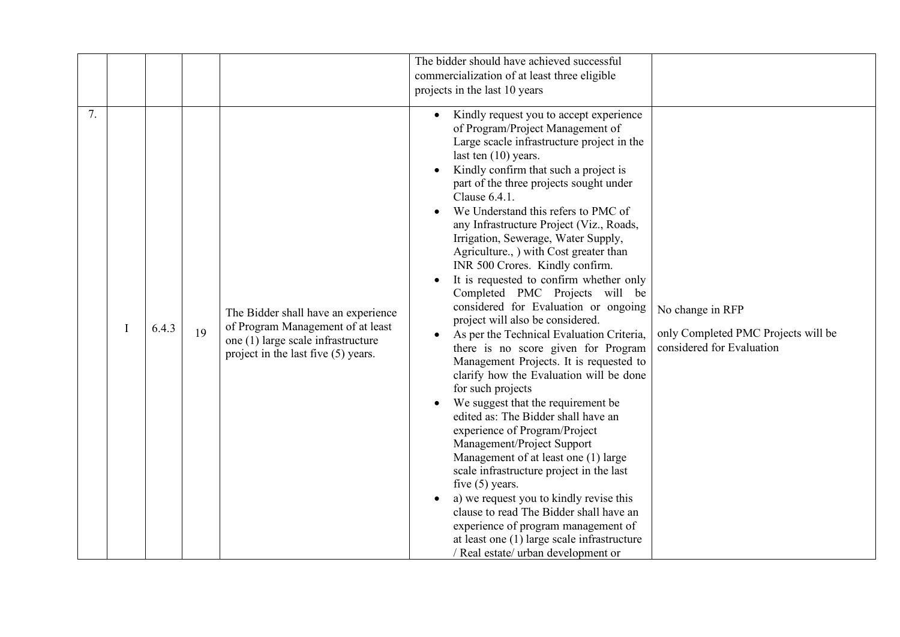|    |       |    |                                                                                                                                                       | The bidder should have achieved successful                                                                                                                                                                                                                                                                                                                                                                                                                                                                                                                                                                                                                                                                                                                                                                                                                                                                                                                                                                                                                                                                                                                                                                                                                                                      |                                                                                      |
|----|-------|----|-------------------------------------------------------------------------------------------------------------------------------------------------------|-------------------------------------------------------------------------------------------------------------------------------------------------------------------------------------------------------------------------------------------------------------------------------------------------------------------------------------------------------------------------------------------------------------------------------------------------------------------------------------------------------------------------------------------------------------------------------------------------------------------------------------------------------------------------------------------------------------------------------------------------------------------------------------------------------------------------------------------------------------------------------------------------------------------------------------------------------------------------------------------------------------------------------------------------------------------------------------------------------------------------------------------------------------------------------------------------------------------------------------------------------------------------------------------------|--------------------------------------------------------------------------------------|
|    |       |    |                                                                                                                                                       | commercialization of at least three eligible                                                                                                                                                                                                                                                                                                                                                                                                                                                                                                                                                                                                                                                                                                                                                                                                                                                                                                                                                                                                                                                                                                                                                                                                                                                    |                                                                                      |
|    |       |    |                                                                                                                                                       | projects in the last 10 years                                                                                                                                                                                                                                                                                                                                                                                                                                                                                                                                                                                                                                                                                                                                                                                                                                                                                                                                                                                                                                                                                                                                                                                                                                                                   |                                                                                      |
| 7. | 6.4.3 | 19 | The Bidder shall have an experience<br>of Program Management of at least<br>one (1) large scale infrastructure<br>project in the last five (5) years. | Kindly request you to accept experience<br>of Program/Project Management of<br>Large scacle infrastructure project in the<br>last ten $(10)$ years.<br>Kindly confirm that such a project is<br>part of the three projects sought under<br>Clause 6.4.1.<br>We Understand this refers to PMC of<br>any Infrastructure Project (Viz., Roads,<br>Irrigation, Sewerage, Water Supply,<br>Agriculture., ) with Cost greater than<br>INR 500 Crores. Kindly confirm.<br>It is requested to confirm whether only<br>Completed PMC Projects will be<br>considered for Evaluation or ongoing<br>project will also be considered.<br>As per the Technical Evaluation Criteria,<br>there is no score given for Program<br>Management Projects. It is requested to<br>clarify how the Evaluation will be done<br>for such projects<br>We suggest that the requirement be<br>edited as: The Bidder shall have an<br>experience of Program/Project<br>Management/Project Support<br>Management of at least one (1) large<br>scale infrastructure project in the last<br>five $(5)$ years.<br>a) we request you to kindly revise this<br>clause to read The Bidder shall have an<br>experience of program management of<br>at least one (1) large scale infrastructure<br>/ Real estate/ urban development or | No change in RFP<br>only Completed PMC Projects will be<br>considered for Evaluation |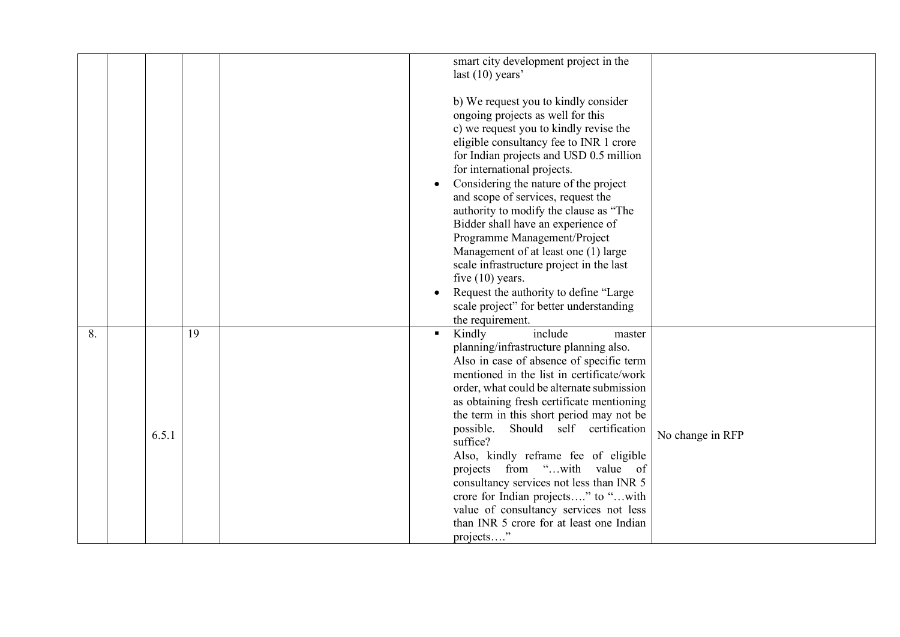|    |       |    | smart city development project in the<br>last $(10)$ years'                                                                                                                                                                                                                                                                                                                                                                                                                                                                                                                                                                                                 |                  |
|----|-------|----|-------------------------------------------------------------------------------------------------------------------------------------------------------------------------------------------------------------------------------------------------------------------------------------------------------------------------------------------------------------------------------------------------------------------------------------------------------------------------------------------------------------------------------------------------------------------------------------------------------------------------------------------------------------|------------------|
|    |       |    | b) We request you to kindly consider<br>ongoing projects as well for this<br>c) we request you to kindly revise the<br>eligible consultancy fee to INR 1 crore<br>for Indian projects and USD 0.5 million<br>for international projects.<br>Considering the nature of the project<br>and scope of services, request the<br>authority to modify the clause as "The<br>Bidder shall have an experience of<br>Programme Management/Project<br>Management of at least one (1) large<br>scale infrastructure project in the last<br>five $(10)$ years.<br>Request the authority to define "Large"<br>scale project" for better understanding<br>the requirement. |                  |
| 8. | 6.5.1 | 19 | Kindly<br>include<br>master<br>planning/infrastructure planning also.<br>Also in case of absence of specific term<br>mentioned in the list in certificate/work<br>order, what could be alternate submission<br>as obtaining fresh certificate mentioning<br>the term in this short period may not be<br>Should self certification<br>possible.<br>suffice?<br>Also, kindly reframe fee of eligible<br>projects from "with value of<br>consultancy services not less than INR 5<br>crore for Indian projects" to "with<br>value of consultancy services not less<br>than INR 5 crore for at least one Indian<br>projects"                                    | No change in RFP |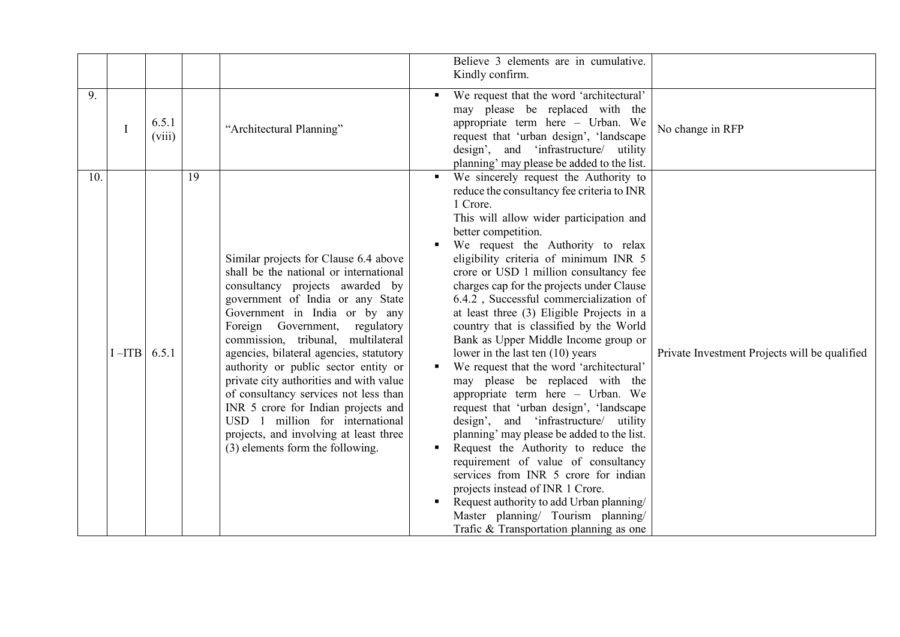|     |           |                 |    |                                                                                                                                                                                                                                                                                                                                                                                                                                                                                                                                                                                                   | Believe 3 elements are in cumulative.                                                                                                                                                                                                                                                                                                                                                                                                                                                                                                                                                                                                                                                                                                                                                                                                                                                                                                                                                                                                                                                               |                                               |
|-----|-----------|-----------------|----|---------------------------------------------------------------------------------------------------------------------------------------------------------------------------------------------------------------------------------------------------------------------------------------------------------------------------------------------------------------------------------------------------------------------------------------------------------------------------------------------------------------------------------------------------------------------------------------------------|-----------------------------------------------------------------------------------------------------------------------------------------------------------------------------------------------------------------------------------------------------------------------------------------------------------------------------------------------------------------------------------------------------------------------------------------------------------------------------------------------------------------------------------------------------------------------------------------------------------------------------------------------------------------------------------------------------------------------------------------------------------------------------------------------------------------------------------------------------------------------------------------------------------------------------------------------------------------------------------------------------------------------------------------------------------------------------------------------------|-----------------------------------------------|
|     |           |                 |    |                                                                                                                                                                                                                                                                                                                                                                                                                                                                                                                                                                                                   | Kindly confirm.                                                                                                                                                                                                                                                                                                                                                                                                                                                                                                                                                                                                                                                                                                                                                                                                                                                                                                                                                                                                                                                                                     |                                               |
| 9.  |           | 6.5.1<br>(viii) |    | "Architectural Planning"                                                                                                                                                                                                                                                                                                                                                                                                                                                                                                                                                                          | We request that the word 'architectural'<br>may please be replaced with the<br>appropriate term here - Urban. We<br>No change in RFP<br>request that 'urban design', 'landscape<br>design', and 'infrastructure/ utility<br>planning' may please be added to the list.                                                                                                                                                                                                                                                                                                                                                                                                                                                                                                                                                                                                                                                                                                                                                                                                                              |                                               |
| 10. | $I - ITB$ | 6.5.1           | 19 | Similar projects for Clause 6.4 above<br>shall be the national or international<br>consultancy projects awarded by<br>government of India or any State<br>Government in India or by any<br>Foreign Government,<br>regulatory<br>commission, tribunal, multilateral<br>agencies, bilateral agencies, statutory<br>authority or public sector entity or<br>private city authorities and with value<br>of consultancy services not less than<br>INR 5 crore for Indian projects and<br>USD 1 million for international<br>projects, and involving at least three<br>(3) elements form the following. | We sincerely request the Authority to<br>reduce the consultancy fee criteria to INR<br>1 Crore.<br>This will allow wider participation and<br>better competition.<br>We request the Authority to relax<br>eligibility criteria of minimum INR 5<br>crore or USD 1 million consultancy fee<br>charges cap for the projects under Clause<br>6.4.2, Successful commercialization of<br>at least three (3) Eligible Projects in a<br>country that is classified by the World<br>Bank as Upper Middle Income group or<br>lower in the last ten $(10)$ years<br>We request that the word 'architectural'<br>may please be replaced with the<br>appropriate term here - Urban. We<br>request that 'urban design', 'landscape<br>design', and 'infrastructure/ utility<br>planning' may please be added to the list.<br>Request the Authority to reduce the<br>requirement of value of consultancy<br>services from INR 5 crore for indian<br>projects instead of INR 1 Crore.<br>Request authority to add Urban planning/<br>Master planning/ Tourism planning/<br>Trafic & Transportation planning as one | Private Investment Projects will be qualified |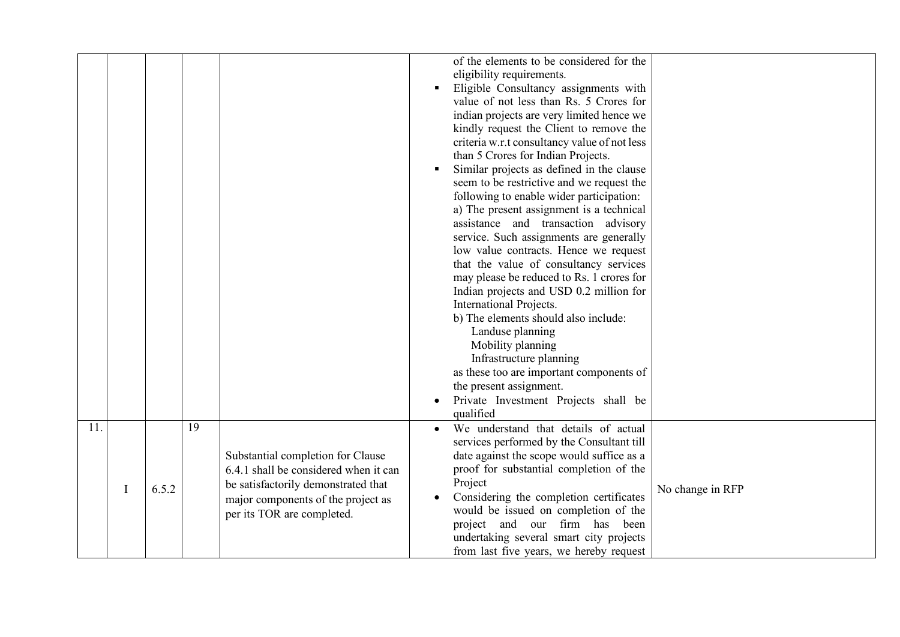|     |                |       |    |                                                                                                                                                                                       | of the elements to be considered for the<br>eligibility requirements.<br>Eligible Consultancy assignments with<br>value of not less than Rs. 5 Crores for<br>indian projects are very limited hence we<br>kindly request the Client to remove the<br>criteria w.r.t consultancy value of not less<br>than 5 Crores for Indian Projects.<br>Similar projects as defined in the clause<br>seem to be restrictive and we request the<br>following to enable wider participation:<br>a) The present assignment is a technical<br>assistance and transaction advisory<br>service. Such assignments are generally<br>low value contracts. Hence we request<br>that the value of consultancy services<br>may please be reduced to Rs. 1 crores for<br>Indian projects and USD 0.2 million for<br>International Projects.<br>b) The elements should also include:<br>Landuse planning<br>Mobility planning<br>Infrastructure planning<br>as these too are important components of<br>the present assignment.<br>Private Investment Projects shall be<br>qualified |
|-----|----------------|-------|----|---------------------------------------------------------------------------------------------------------------------------------------------------------------------------------------|-----------------------------------------------------------------------------------------------------------------------------------------------------------------------------------------------------------------------------------------------------------------------------------------------------------------------------------------------------------------------------------------------------------------------------------------------------------------------------------------------------------------------------------------------------------------------------------------------------------------------------------------------------------------------------------------------------------------------------------------------------------------------------------------------------------------------------------------------------------------------------------------------------------------------------------------------------------------------------------------------------------------------------------------------------------|
| 11. | $\blacksquare$ | 6.5.2 | 19 | Substantial completion for Clause<br>6.4.1 shall be considered when it can<br>be satisfactorily demonstrated that<br>major components of the project as<br>per its TOR are completed. | We understand that details of actual<br>services performed by the Consultant till<br>date against the scope would suffice as a<br>proof for substantial completion of the<br>Project<br>No change in RFP<br>Considering the completion certificates<br>would be issued on completion of the<br>project and our firm has been<br>undertaking several smart city projects<br>from last five years, we hereby request                                                                                                                                                                                                                                                                                                                                                                                                                                                                                                                                                                                                                                        |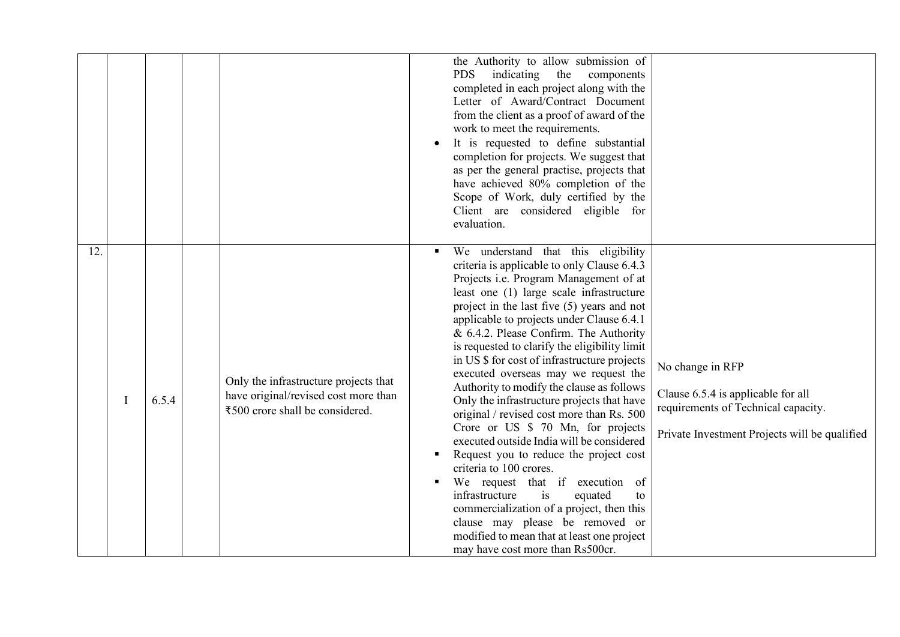| 12. |   |       |                                                                                                                  | the Authority to allow submission of<br><b>PDS</b><br>indicating<br>the<br>components<br>completed in each project along with the<br>Letter of Award/Contract Document<br>from the client as a proof of award of the<br>work to meet the requirements.<br>It is requested to define substantial<br>completion for projects. We suggest that<br>as per the general practise, projects that<br>have achieved 80% completion of the<br>Scope of Work, duly certified by the<br>Client are considered eligible for<br>evaluation.<br>We understand that this eligibility                                                                                                                                                                                                                                                                                                                                                                                                                                                                                                                                              |
|-----|---|-------|------------------------------------------------------------------------------------------------------------------|-------------------------------------------------------------------------------------------------------------------------------------------------------------------------------------------------------------------------------------------------------------------------------------------------------------------------------------------------------------------------------------------------------------------------------------------------------------------------------------------------------------------------------------------------------------------------------------------------------------------------------------------------------------------------------------------------------------------------------------------------------------------------------------------------------------------------------------------------------------------------------------------------------------------------------------------------------------------------------------------------------------------------------------------------------------------------------------------------------------------|
|     | I | 6.5.4 | Only the infrastructure projects that<br>have original/revised cost more than<br>₹500 crore shall be considered. | criteria is applicable to only Clause 6.4.3<br>Projects i.e. Program Management of at<br>least one (1) large scale infrastructure<br>project in the last five $(5)$ years and not<br>applicable to projects under Clause 6.4.1<br>& 6.4.2. Please Confirm. The Authority<br>is requested to clarify the eligibility limit<br>in US \$ for cost of infrastructure projects<br>No change in RFP<br>executed overseas may we request the<br>Authority to modify the clause as follows<br>Clause 6.5.4 is applicable for all<br>Only the infrastructure projects that have<br>requirements of Technical capacity.<br>original / revised cost more than Rs. 500<br>Crore or US \$ 70 Mn, for projects<br>Private Investment Projects will be qualified<br>executed outside India will be considered<br>Request you to reduce the project cost<br>criteria to 100 crores.<br>We request that if execution of<br>infrastructure<br>is<br>equated<br>to<br>commercialization of a project, then this<br>clause may please be removed or<br>modified to mean that at least one project<br>may have cost more than Rs500cr. |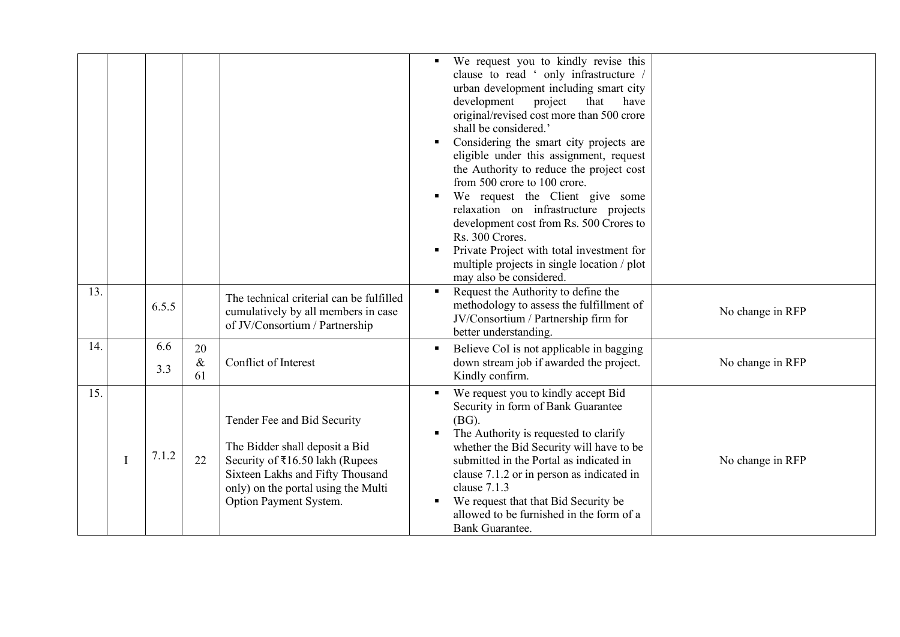| 13. |   |            |                  |                                                                                                                                                                                                       | We request you to kindly revise this<br>clause to read ' only infrastructure /<br>urban development including smart city<br>development<br>project<br>that<br>have<br>original/revised cost more than 500 crore<br>shall be considered.'<br>Considering the smart city projects are<br>eligible under this assignment, request<br>the Authority to reduce the project cost<br>from 500 crore to 100 crore.<br>We request the Client give some<br>relaxation on infrastructure projects<br>development cost from Rs. 500 Crores to<br>Rs. 300 Crores.<br>Private Project with total investment for<br>multiple projects in single location / plot<br>may also be considered. |
|-----|---|------------|------------------|-------------------------------------------------------------------------------------------------------------------------------------------------------------------------------------------------------|-----------------------------------------------------------------------------------------------------------------------------------------------------------------------------------------------------------------------------------------------------------------------------------------------------------------------------------------------------------------------------------------------------------------------------------------------------------------------------------------------------------------------------------------------------------------------------------------------------------------------------------------------------------------------------|
|     |   | 6.5.5      |                  | The technical criterial can be fulfilled<br>cumulatively by all members in case<br>of JV/Consortium / Partnership                                                                                     | Request the Authority to define the<br>methodology to assess the fulfillment of<br>No change in RFP<br>JV/Consortium / Partnership firm for<br>better understanding.                                                                                                                                                                                                                                                                                                                                                                                                                                                                                                        |
| 14. |   | 6.6<br>3.3 | 20<br>$\&$<br>61 | Conflict of Interest                                                                                                                                                                                  | Believe CoI is not applicable in bagging<br>No change in RFP<br>down stream job if awarded the project.<br>Kindly confirm.                                                                                                                                                                                                                                                                                                                                                                                                                                                                                                                                                  |
| 15. | I | 7.1.2      | 22               | Tender Fee and Bid Security<br>The Bidder shall deposit a Bid<br>Security of ₹16.50 lakh (Rupees<br>Sixteen Lakhs and Fifty Thousand<br>only) on the portal using the Multi<br>Option Payment System. | We request you to kindly accept Bid<br>Security in form of Bank Guarantee<br>$(BG)$ .<br>The Authority is requested to clarify<br>whether the Bid Security will have to be<br>submitted in the Portal as indicated in<br>No change in RFP<br>clause 7.1.2 or in person as indicated in<br>clause 7.1.3<br>We request that that Bid Security be<br>allowed to be furnished in the form of a<br><b>Bank Guarantee.</b>                                                                                                                                                                                                                                                        |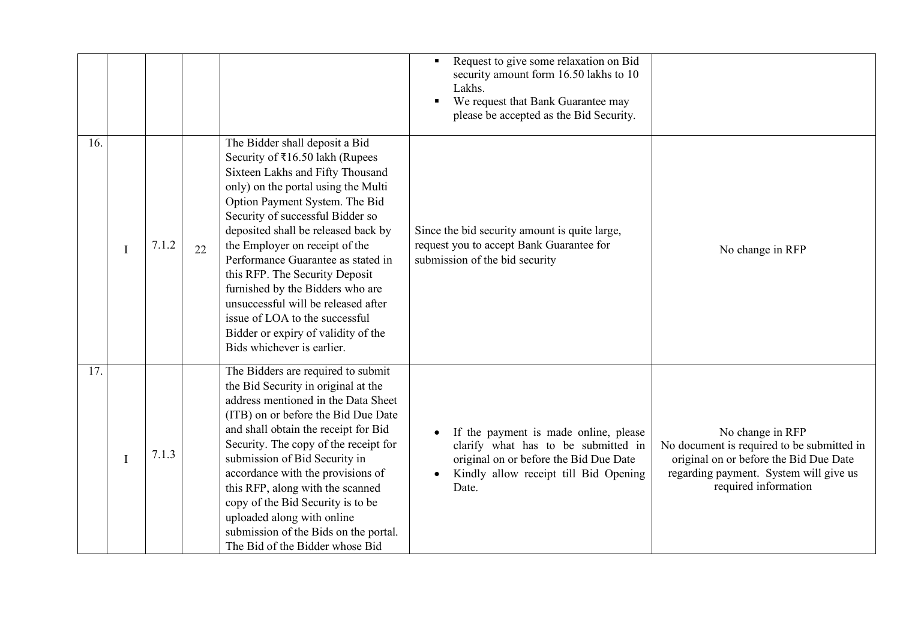|     |             |       |    |                                                                                                                                                                                                                                                                                                                                                                                                                                                                                                                                                       | Request to give some relaxation on Bid<br>security amount form 16.50 lakhs to 10<br>Lakhs.<br>We request that Bank Guarantee may<br>please be accepted as the Bid Security. |                                                                                                                                                                            |
|-----|-------------|-------|----|-------------------------------------------------------------------------------------------------------------------------------------------------------------------------------------------------------------------------------------------------------------------------------------------------------------------------------------------------------------------------------------------------------------------------------------------------------------------------------------------------------------------------------------------------------|-----------------------------------------------------------------------------------------------------------------------------------------------------------------------------|----------------------------------------------------------------------------------------------------------------------------------------------------------------------------|
| 16. | $\mathbf I$ | 7.1.2 | 22 | The Bidder shall deposit a Bid<br>Security of ₹16.50 lakh (Rupees<br>Sixteen Lakhs and Fifty Thousand<br>only) on the portal using the Multi<br>Option Payment System. The Bid<br>Security of successful Bidder so<br>deposited shall be released back by<br>the Employer on receipt of the<br>Performance Guarantee as stated in<br>this RFP. The Security Deposit<br>furnished by the Bidders who are<br>unsuccessful will be released after<br>issue of LOA to the successful<br>Bidder or expiry of validity of the<br>Bids whichever is earlier. | Since the bid security amount is quite large,<br>request you to accept Bank Guarantee for<br>submission of the bid security                                                 | No change in RFP                                                                                                                                                           |
| 17. | I           | 7.1.3 |    | The Bidders are required to submit<br>the Bid Security in original at the<br>address mentioned in the Data Sheet<br>(ITB) on or before the Bid Due Date<br>and shall obtain the receipt for Bid<br>Security. The copy of the receipt for<br>submission of Bid Security in<br>accordance with the provisions of<br>this RFP, along with the scanned<br>copy of the Bid Security is to be<br>uploaded along with online<br>submission of the Bids on the portal.<br>The Bid of the Bidder whose Bid                                                     | If the payment is made online, please<br>clarify what has to be submitted in<br>original on or before the Bid Due Date<br>Kindly allow receipt till Bid Opening<br>Date.    | No change in RFP<br>No document is required to be submitted in<br>original on or before the Bid Due Date<br>regarding payment. System will give us<br>required information |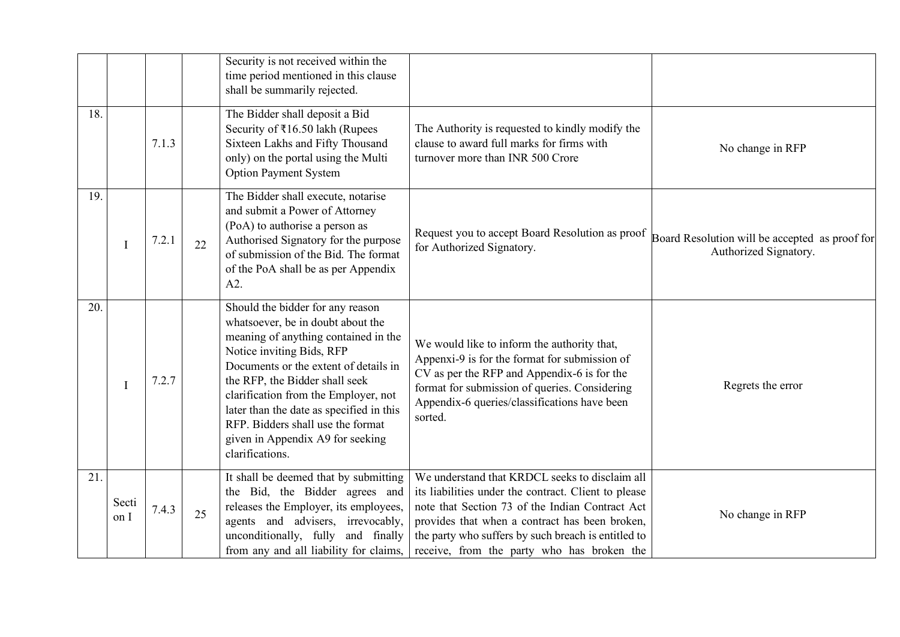|     |               |       |    | Security is not received within the<br>time period mentioned in this clause<br>shall be summarily rejected.                                                                                                                                                                                                                                                                                           |                                                                                                                                                                                                                                                                                                                  |                                                                         |
|-----|---------------|-------|----|-------------------------------------------------------------------------------------------------------------------------------------------------------------------------------------------------------------------------------------------------------------------------------------------------------------------------------------------------------------------------------------------------------|------------------------------------------------------------------------------------------------------------------------------------------------------------------------------------------------------------------------------------------------------------------------------------------------------------------|-------------------------------------------------------------------------|
| 18. |               | 7.1.3 |    | The Bidder shall deposit a Bid<br>Security of ₹16.50 lakh (Rupees<br>Sixteen Lakhs and Fifty Thousand<br>only) on the portal using the Multi<br><b>Option Payment System</b>                                                                                                                                                                                                                          | The Authority is requested to kindly modify the<br>clause to award full marks for firms with<br>turnover more than INR 500 Crore                                                                                                                                                                                 | No change in RFP                                                        |
| 19. | $\mathbf I$   | 7.2.1 | 22 | The Bidder shall execute, notarise<br>and submit a Power of Attorney<br>(PoA) to authorise a person as<br>Authorised Signatory for the purpose<br>of submission of the Bid. The format<br>of the PoA shall be as per Appendix<br>A2.                                                                                                                                                                  | Request you to accept Board Resolution as proof<br>for Authorized Signatory.                                                                                                                                                                                                                                     | Board Resolution will be accepted as proof for<br>Authorized Signatory. |
| 20. | $\mathbf I$   | 7.2.7 |    | Should the bidder for any reason<br>whatsoever, be in doubt about the<br>meaning of anything contained in the<br>Notice inviting Bids, RFP<br>Documents or the extent of details in<br>the RFP, the Bidder shall seek<br>clarification from the Employer, not<br>later than the date as specified in this<br>RFP. Bidders shall use the format<br>given in Appendix A9 for seeking<br>clarifications. | We would like to inform the authority that,<br>Appenxi-9 is for the format for submission of<br>CV as per the RFP and Appendix-6 is for the<br>format for submission of queries. Considering<br>Appendix-6 queries/classifications have been<br>sorted.                                                          | Regrets the error                                                       |
| 21. | Secti<br>on I | 7.4.3 | 25 | It shall be deemed that by submitting<br>the Bid, the Bidder agrees and<br>releases the Employer, its employees,<br>agents and advisers, irrevocably,<br>unconditionally, fully and finally<br>from any and all liability for claims,                                                                                                                                                                 | We understand that KRDCL seeks to disclaim all<br>its liabilities under the contract. Client to please<br>note that Section 73 of the Indian Contract Act<br>provides that when a contract has been broken,<br>the party who suffers by such breach is entitled to<br>receive, from the party who has broken the | No change in RFP                                                        |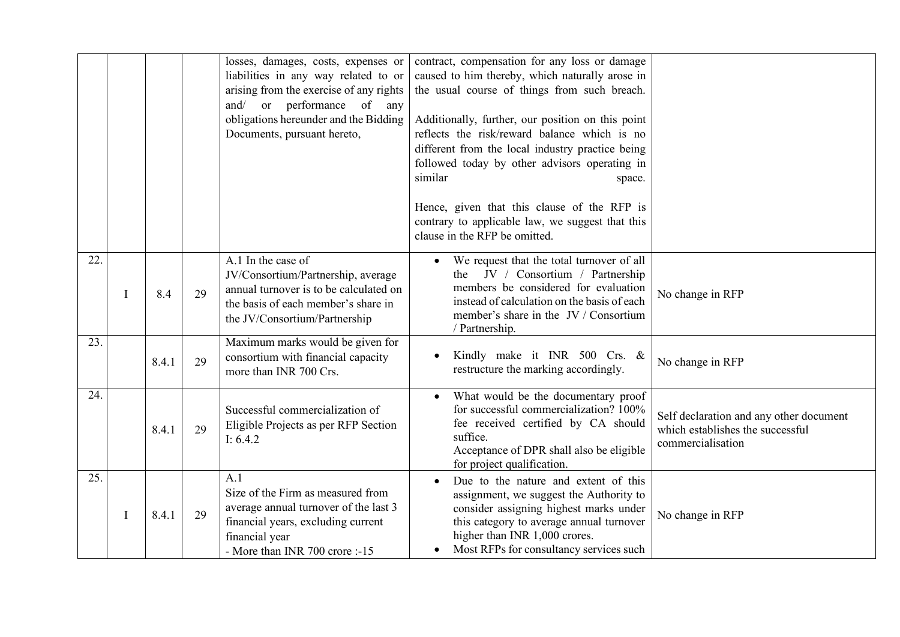|     |   |       |    | losses, damages, costs, expenses or<br>liabilities in any way related to or<br>arising from the exercise of any rights<br>and/ or performance of any<br>obligations hereunder and the Bidding<br>Documents, pursuant hereto, | contract, compensation for any loss or damage<br>caused to him thereby, which naturally arose in<br>the usual course of things from such breach.<br>Additionally, further, our position on this point<br>reflects the risk/reward balance which is no<br>different from the local industry practice being<br>followed today by other advisors operating in<br>similar<br>space.<br>Hence, given that this clause of the RFP is<br>contrary to applicable law, we suggest that this<br>clause in the RFP be omitted. |                                                                                                  |
|-----|---|-------|----|------------------------------------------------------------------------------------------------------------------------------------------------------------------------------------------------------------------------------|---------------------------------------------------------------------------------------------------------------------------------------------------------------------------------------------------------------------------------------------------------------------------------------------------------------------------------------------------------------------------------------------------------------------------------------------------------------------------------------------------------------------|--------------------------------------------------------------------------------------------------|
| 22. | I | 8.4   | 29 | A.1 In the case of<br>JV/Consortium/Partnership, average<br>annual turnover is to be calculated on<br>the basis of each member's share in<br>the JV/Consortium/Partnership                                                   | We request that the total turnover of all<br>JV / Consortium / Partnership<br>the<br>members be considered for evaluation<br>instead of calculation on the basis of each<br>member's share in the JV / Consortium<br>/ Partnership.                                                                                                                                                                                                                                                                                 | No change in RFP                                                                                 |
| 23. |   | 8.4.1 | 29 | Maximum marks would be given for<br>consortium with financial capacity<br>more than INR 700 Crs.                                                                                                                             | Kindly make it INR 500 Crs. &<br>restructure the marking accordingly.                                                                                                                                                                                                                                                                                                                                                                                                                                               | No change in RFP                                                                                 |
| 24. |   | 8.4.1 | 29 | Successful commercialization of<br>Eligible Projects as per RFP Section<br>I: $6.4.2$                                                                                                                                        | What would be the documentary proof<br>for successful commercialization? 100%<br>fee received certified by CA should<br>suffice.<br>Acceptance of DPR shall also be eligible<br>for project qualification.                                                                                                                                                                                                                                                                                                          | Self declaration and any other document<br>which establishes the successful<br>commercialisation |
| 25. | I | 8.4.1 | 29 | A.1<br>Size of the Firm as measured from<br>average annual turnover of the last 3<br>financial years, excluding current<br>financial year<br>- More than INR 700 crore :-15                                                  | Due to the nature and extent of this<br>assignment, we suggest the Authority to<br>consider assigning highest marks under<br>this category to average annual turnover<br>higher than INR 1,000 crores.<br>Most RFPs for consultancy services such                                                                                                                                                                                                                                                                   | No change in RFP                                                                                 |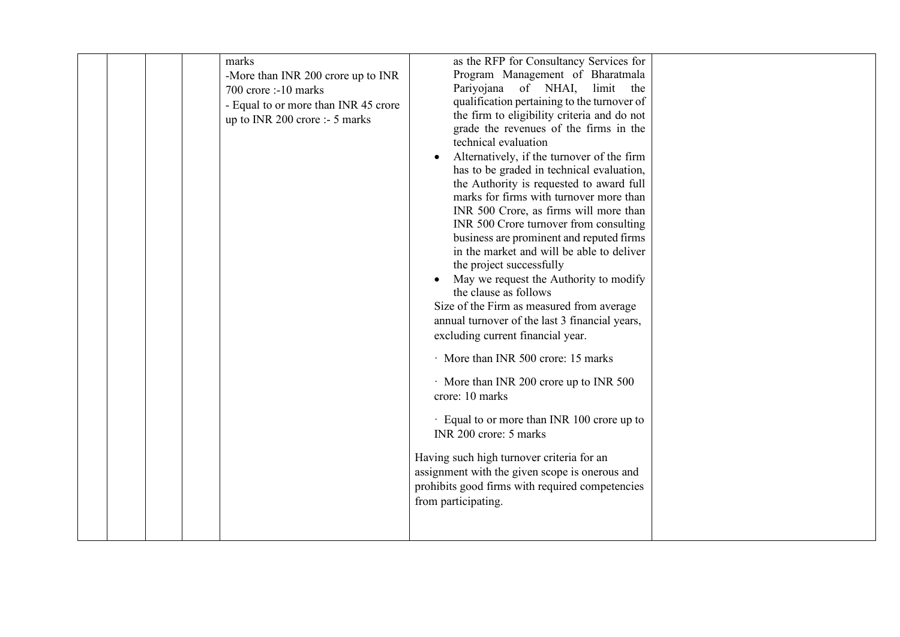|  | -More than INR 200 crore up to INR<br>700 crore :-10 marks<br>- Equal to or more than INR 45 crore<br>up to INR 200 crore :- 5 marks | Program Management of Bharatmala<br>Pariyojana of NHAI, limit the<br>qualification pertaining to the turnover of<br>the firm to eligibility criteria and do not<br>grade the revenues of the firms in the<br>technical evaluation<br>Alternatively, if the turnover of the firm<br>has to be graded in technical evaluation,<br>the Authority is requested to award full<br>marks for firms with turnover more than<br>INR 500 Crore, as firms will more than<br>INR 500 Crore turnover from consulting<br>business are prominent and reputed firms<br>in the market and will be able to deliver<br>the project successfully<br>May we request the Authority to modify<br>the clause as follows<br>Size of the Firm as measured from average<br>annual turnover of the last 3 financial years,<br>excluding current financial year.<br>More than INR 500 crore: 15 marks<br>More than INR 200 crore up to INR 500<br>crore: 10 marks<br>Equal to or more than INR 100 crore up to<br>INR 200 crore: 5 marks<br>Having such high turnover criteria for an<br>assignment with the given scope is onerous and<br>prohibits good firms with required competencies<br>from participating. |  |
|--|--------------------------------------------------------------------------------------------------------------------------------------|--------------------------------------------------------------------------------------------------------------------------------------------------------------------------------------------------------------------------------------------------------------------------------------------------------------------------------------------------------------------------------------------------------------------------------------------------------------------------------------------------------------------------------------------------------------------------------------------------------------------------------------------------------------------------------------------------------------------------------------------------------------------------------------------------------------------------------------------------------------------------------------------------------------------------------------------------------------------------------------------------------------------------------------------------------------------------------------------------------------------------------------------------------------------------------------|--|
|--|--------------------------------------------------------------------------------------------------------------------------------------|--------------------------------------------------------------------------------------------------------------------------------------------------------------------------------------------------------------------------------------------------------------------------------------------------------------------------------------------------------------------------------------------------------------------------------------------------------------------------------------------------------------------------------------------------------------------------------------------------------------------------------------------------------------------------------------------------------------------------------------------------------------------------------------------------------------------------------------------------------------------------------------------------------------------------------------------------------------------------------------------------------------------------------------------------------------------------------------------------------------------------------------------------------------------------------------|--|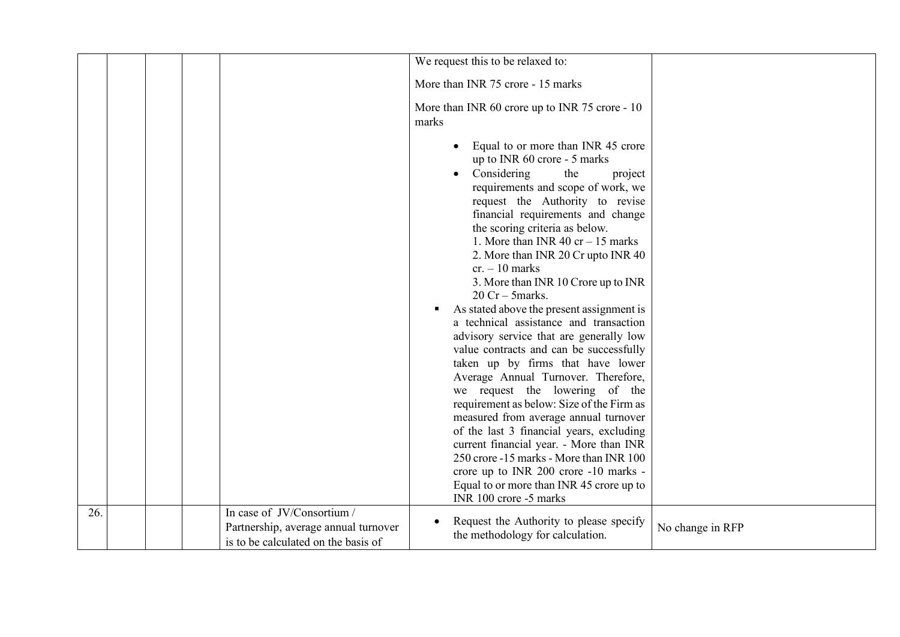|     |  |                                                                                                           | We request this to be relaxed to:                                                                                                                                                                                                                                                                                                                                                                                                                                                                                                                                                                                                                                                                                                                                                                                                                                                                                                                                                                     |                  |
|-----|--|-----------------------------------------------------------------------------------------------------------|-------------------------------------------------------------------------------------------------------------------------------------------------------------------------------------------------------------------------------------------------------------------------------------------------------------------------------------------------------------------------------------------------------------------------------------------------------------------------------------------------------------------------------------------------------------------------------------------------------------------------------------------------------------------------------------------------------------------------------------------------------------------------------------------------------------------------------------------------------------------------------------------------------------------------------------------------------------------------------------------------------|------------------|
|     |  |                                                                                                           | More than INR 75 crore - 15 marks                                                                                                                                                                                                                                                                                                                                                                                                                                                                                                                                                                                                                                                                                                                                                                                                                                                                                                                                                                     |                  |
|     |  |                                                                                                           | More than INR 60 crore up to INR 75 crore - 10<br>marks                                                                                                                                                                                                                                                                                                                                                                                                                                                                                                                                                                                                                                                                                                                                                                                                                                                                                                                                               |                  |
|     |  |                                                                                                           | Equal to or more than INR 45 crore<br>$\bullet$<br>up to INR 60 crore - 5 marks<br>Considering<br>the<br>project<br>$\bullet$<br>requirements and scope of work, we<br>request the Authority to revise<br>financial requirements and change<br>the scoring criteria as below.<br>1. More than INR 40 cr $-15$ marks<br>2. More than INR 20 Cr upto INR 40<br>$cr. - 10$ marks<br>3. More than INR 10 Crore up to INR<br>$20$ Cr - 5marks.<br>As stated above the present assignment is<br>a technical assistance and transaction<br>advisory service that are generally low<br>value contracts and can be successfully<br>taken up by firms that have lower<br>Average Annual Turnover. Therefore,<br>we request the lowering of the<br>requirement as below: Size of the Firm as<br>measured from average annual turnover<br>of the last 3 financial years, excluding<br>current financial year. - More than INR<br>250 crore -15 marks - More than INR 100<br>crore up to INR 200 crore -10 marks - |                  |
|     |  |                                                                                                           | Equal to or more than INR 45 crore up to<br>INR 100 crore -5 marks                                                                                                                                                                                                                                                                                                                                                                                                                                                                                                                                                                                                                                                                                                                                                                                                                                                                                                                                    |                  |
| 26. |  | In case of JV/Consortium /<br>Partnership, average annual turnover<br>is to be calculated on the basis of | Request the Authority to please specify<br>the methodology for calculation.                                                                                                                                                                                                                                                                                                                                                                                                                                                                                                                                                                                                                                                                                                                                                                                                                                                                                                                           | No change in RFP |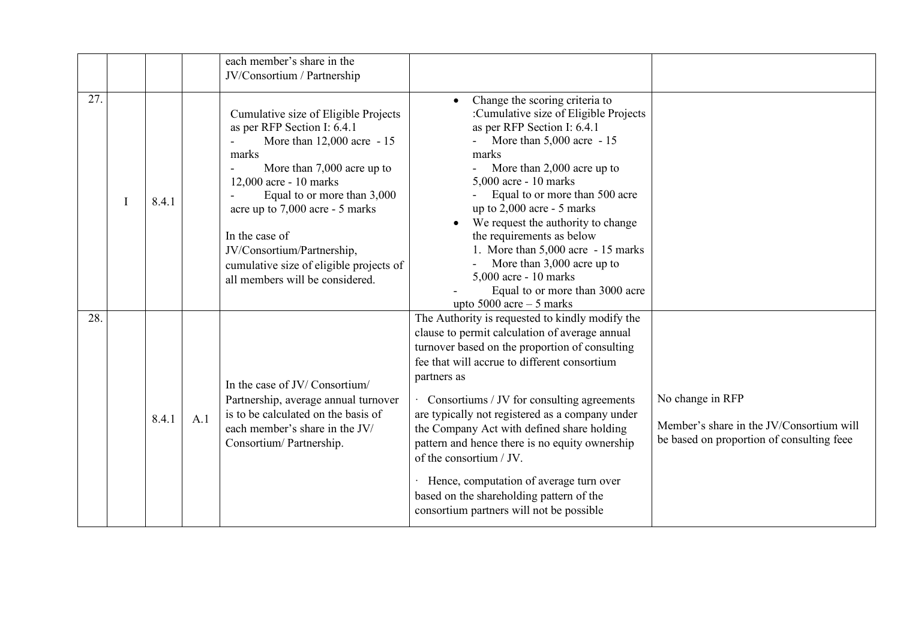|     |   |       |     | each member's share in the<br>JV/Consortium / Partnership                                                                                                                                                                                                                                                                                                          |                                                                                                                                                                                                                                                                                                                                                                                                                                                                                                                                                                                   |                                                                                                           |
|-----|---|-------|-----|--------------------------------------------------------------------------------------------------------------------------------------------------------------------------------------------------------------------------------------------------------------------------------------------------------------------------------------------------------------------|-----------------------------------------------------------------------------------------------------------------------------------------------------------------------------------------------------------------------------------------------------------------------------------------------------------------------------------------------------------------------------------------------------------------------------------------------------------------------------------------------------------------------------------------------------------------------------------|-----------------------------------------------------------------------------------------------------------|
| 27. | T | 8.4.1 |     | Cumulative size of Eligible Projects<br>as per RFP Section I: 6.4.1<br>More than 12,000 acre - 15<br>marks<br>More than 7,000 acre up to<br>12,000 acre - 10 marks<br>Equal to or more than 3,000<br>acre up to 7,000 acre - 5 marks<br>In the case of<br>JV/Consortium/Partnership,<br>cumulative size of eligible projects of<br>all members will be considered. | Change the scoring criteria to<br>$\bullet$<br>:Cumulative size of Eligible Projects<br>as per RFP Section I: 6.4.1<br>More than 5,000 acre - 15<br>marks<br>More than 2,000 acre up to<br>$5,000$ acre - 10 marks<br>Equal to or more than 500 acre<br>up to $2,000$ acre - 5 marks<br>We request the authority to change<br>the requirements as below<br>1. More than $5,000$ acre - 15 marks<br>More than 3,000 acre up to<br>$5,000$ acre - 10 marks<br>Equal to or more than 3000 acre<br>upto $5000$ acre $-5$ marks                                                        |                                                                                                           |
| 28. |   | 8.4.1 | A.1 | In the case of JV/Consortium/<br>Partnership, average annual turnover<br>is to be calculated on the basis of<br>each member's share in the JV/<br>Consortium/Partnership.                                                                                                                                                                                          | The Authority is requested to kindly modify the<br>clause to permit calculation of average annual<br>turnover based on the proportion of consulting<br>fee that will accrue to different consortium<br>partners as<br>Consortiums / JV for consulting agreements<br>are typically not registered as a company under<br>the Company Act with defined share holding<br>pattern and hence there is no equity ownership<br>of the consortium / JV.<br>Hence, computation of average turn over<br>based on the shareholding pattern of the<br>consortium partners will not be possible | No change in RFP<br>Member's share in the JV/Consortium will<br>be based on proportion of consulting feee |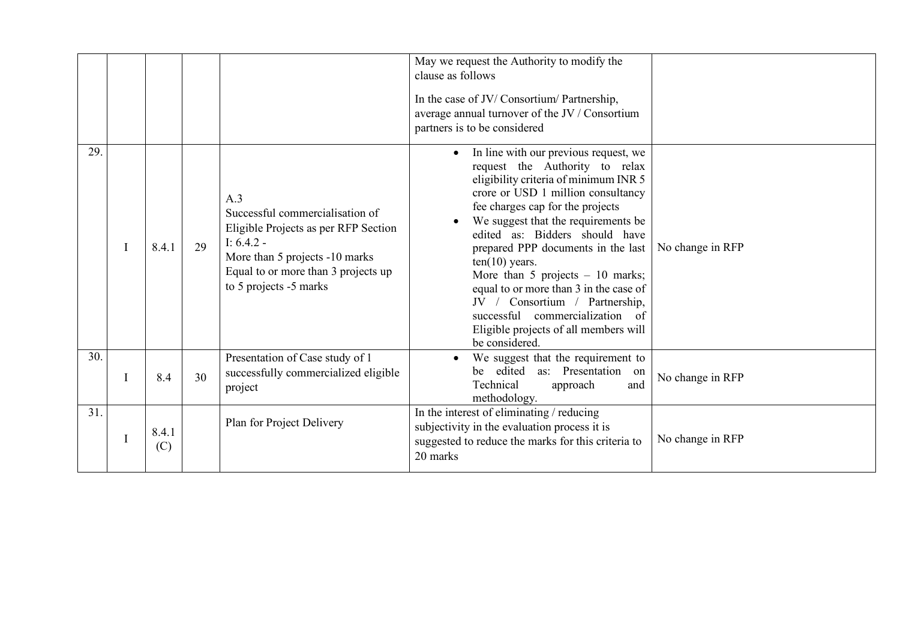|     |   |              |    |                                                                                                                                                                                                   | May we request the Authority to modify the<br>clause as follows<br>In the case of JV/Consortium/Partnership,<br>average annual turnover of the JV / Consortium<br>partners is to be considered                                                                                                                                                                                                                                                                                                                                                            |                  |
|-----|---|--------------|----|---------------------------------------------------------------------------------------------------------------------------------------------------------------------------------------------------|-----------------------------------------------------------------------------------------------------------------------------------------------------------------------------------------------------------------------------------------------------------------------------------------------------------------------------------------------------------------------------------------------------------------------------------------------------------------------------------------------------------------------------------------------------------|------------------|
| 29. | I | 8.4.1        | 29 | A.3<br>Successful commercialisation of<br>Eligible Projects as per RFP Section<br>I: $6.4.2 -$<br>More than 5 projects -10 marks<br>Equal to or more than 3 projects up<br>to 5 projects -5 marks | In line with our previous request, we<br>$\bullet$<br>request the Authority to relax<br>eligibility criteria of minimum INR 5<br>crore or USD 1 million consultancy<br>fee charges cap for the projects<br>We suggest that the requirements be<br>edited as: Bidders should have<br>prepared PPP documents in the last<br>$ten(10)$ years.<br>More than 5 projects $-10$ marks;<br>equal to or more than 3 in the case of<br>JV / Consortium / Partnership,<br>successful commercialization of<br>Eligible projects of all members will<br>be considered. | No change in RFP |
| 30. |   | 8.4          | 30 | Presentation of Case study of 1<br>successfully commercialized eligible<br>project                                                                                                                | We suggest that the requirement to<br>be edited as: Presentation<br>on<br>Technical<br>approach<br>and<br>methodology.                                                                                                                                                                                                                                                                                                                                                                                                                                    | No change in RFP |
| 31. |   | 8.4.1<br>(C) |    | Plan for Project Delivery                                                                                                                                                                         | In the interest of eliminating / reducing<br>subjectivity in the evaluation process it is<br>suggested to reduce the marks for this criteria to<br>20 marks                                                                                                                                                                                                                                                                                                                                                                                               | No change in RFP |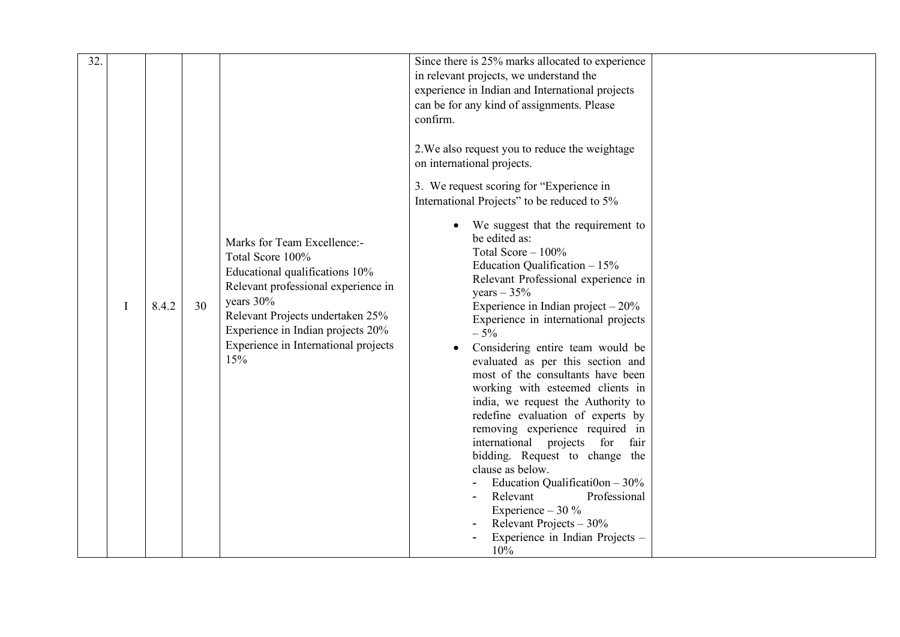| 32. | Ι | 8.4.2 | 30 | Marks for Team Excellence:-<br>Total Score 100%<br>Educational qualifications 10%<br>Relevant professional experience in<br>years 30%<br>Relevant Projects undertaken 25%<br>Experience in Indian projects 20% | Since there is 25% marks allocated to experience<br>in relevant projects, we understand the<br>experience in Indian and International projects<br>can be for any kind of assignments. Please<br>confirm.<br>2. We also request you to reduce the weightage<br>on international projects.<br>3. We request scoring for "Experience in<br>International Projects" to be reduced to 5%<br>We suggest that the requirement to<br>be edited as:<br>Total Score $-100\%$<br>Education Qualification $-15%$<br>Relevant Professional experience in<br>years $-35%$<br>Experience in Indian project $-20\%$<br>Experience in international projects<br>$-5%$ |  |
|-----|---|-------|----|----------------------------------------------------------------------------------------------------------------------------------------------------------------------------------------------------------------|------------------------------------------------------------------------------------------------------------------------------------------------------------------------------------------------------------------------------------------------------------------------------------------------------------------------------------------------------------------------------------------------------------------------------------------------------------------------------------------------------------------------------------------------------------------------------------------------------------------------------------------------------|--|
|     |   |       |    | Experience in International projects<br>15%                                                                                                                                                                    | Considering entire team would be<br>evaluated as per this section and<br>most of the consultants have been<br>working with esteemed clients in<br>india, we request the Authority to<br>redefine evaluation of experts by<br>removing experience required in<br>international projects for fair<br>bidding. Request to change the<br>clause as below.<br>Education Qualification $-30\%$<br>Relevant<br>Professional<br>Experience $-30\%$<br>Relevant Projects $-30\%$<br>Experience in Indian Projects -<br>10%                                                                                                                                    |  |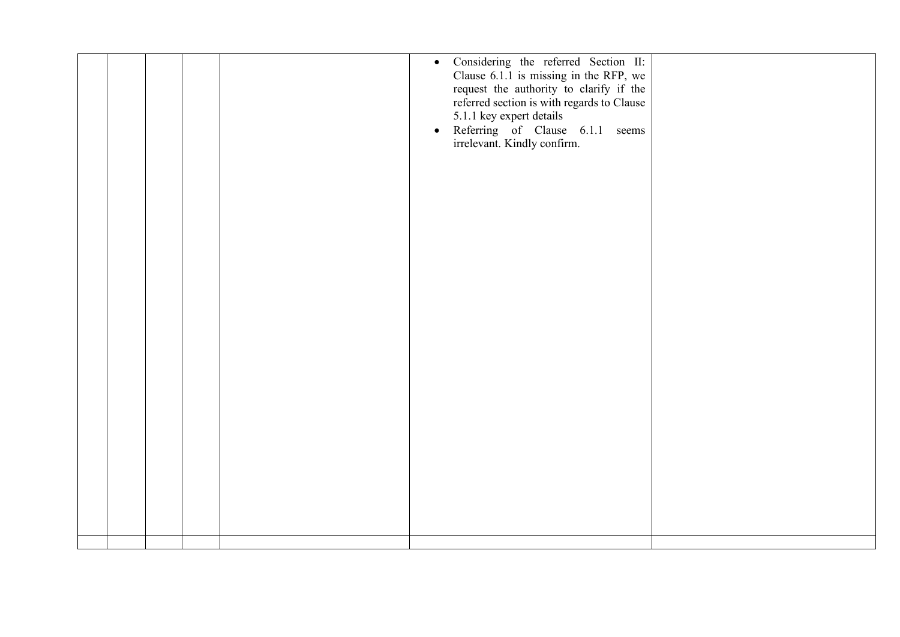|  |  |  | Referring of Clause 6.1.1 seems<br>irrelevant. Kindly confirm.<br>$\bullet$ |  |
|--|--|--|-----------------------------------------------------------------------------|--|
|  |  |  |                                                                             |  |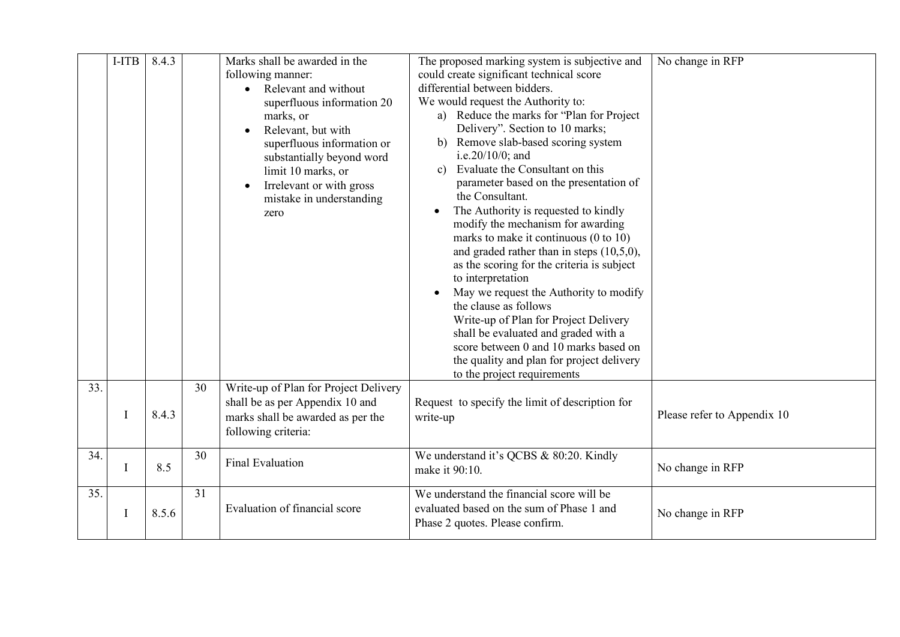|     | I-ITB | 8.4.3 |    | Marks shall be awarded in the<br>following manner:<br>Relevant and without<br>superfluous information 20<br>marks, or<br>Relevant, but with<br>superfluous information or<br>substantially beyond word<br>limit 10 marks, or<br>Irrelevant or with gross<br>mistake in understanding<br>zero | The proposed marking system is subjective and<br>could create significant technical score<br>differential between bidders.<br>We would request the Authority to:<br>a) Reduce the marks for "Plan for Project"<br>Delivery". Section to 10 marks;<br>b) Remove slab-based scoring system<br>i.e.20/10/0; and<br>Evaluate the Consultant on this<br>$\mathbf{c}$ )<br>parameter based on the presentation of<br>the Consultant.<br>The Authority is requested to kindly<br>$\bullet$<br>modify the mechanism for awarding<br>marks to make it continuous $(0 \text{ to } 10)$<br>and graded rather than in steps $(10,5,0)$ ,<br>as the scoring for the criteria is subject<br>to interpretation<br>May we request the Authority to modify<br>the clause as follows<br>Write-up of Plan for Project Delivery<br>shall be evaluated and graded with a<br>score between 0 and 10 marks based on<br>the quality and plan for project delivery<br>to the project requirements | No change in RFP            |
|-----|-------|-------|----|----------------------------------------------------------------------------------------------------------------------------------------------------------------------------------------------------------------------------------------------------------------------------------------------|--------------------------------------------------------------------------------------------------------------------------------------------------------------------------------------------------------------------------------------------------------------------------------------------------------------------------------------------------------------------------------------------------------------------------------------------------------------------------------------------------------------------------------------------------------------------------------------------------------------------------------------------------------------------------------------------------------------------------------------------------------------------------------------------------------------------------------------------------------------------------------------------------------------------------------------------------------------------------|-----------------------------|
| 33. |       | 8.4.3 | 30 | Write-up of Plan for Project Delivery<br>shall be as per Appendix 10 and<br>marks shall be awarded as per the<br>following criteria:                                                                                                                                                         | Request to specify the limit of description for<br>write-up                                                                                                                                                                                                                                                                                                                                                                                                                                                                                                                                                                                                                                                                                                                                                                                                                                                                                                              | Please refer to Appendix 10 |
| 34. | I     | 8.5   | 30 | <b>Final Evaluation</b>                                                                                                                                                                                                                                                                      | We understand it's QCBS & 80:20. Kindly<br>make it 90:10.                                                                                                                                                                                                                                                                                                                                                                                                                                                                                                                                                                                                                                                                                                                                                                                                                                                                                                                | No change in RFP            |
| 35. | I     | 8.5.6 | 31 | Evaluation of financial score                                                                                                                                                                                                                                                                | We understand the financial score will be<br>evaluated based on the sum of Phase 1 and<br>Phase 2 quotes. Please confirm.                                                                                                                                                                                                                                                                                                                                                                                                                                                                                                                                                                                                                                                                                                                                                                                                                                                | No change in RFP            |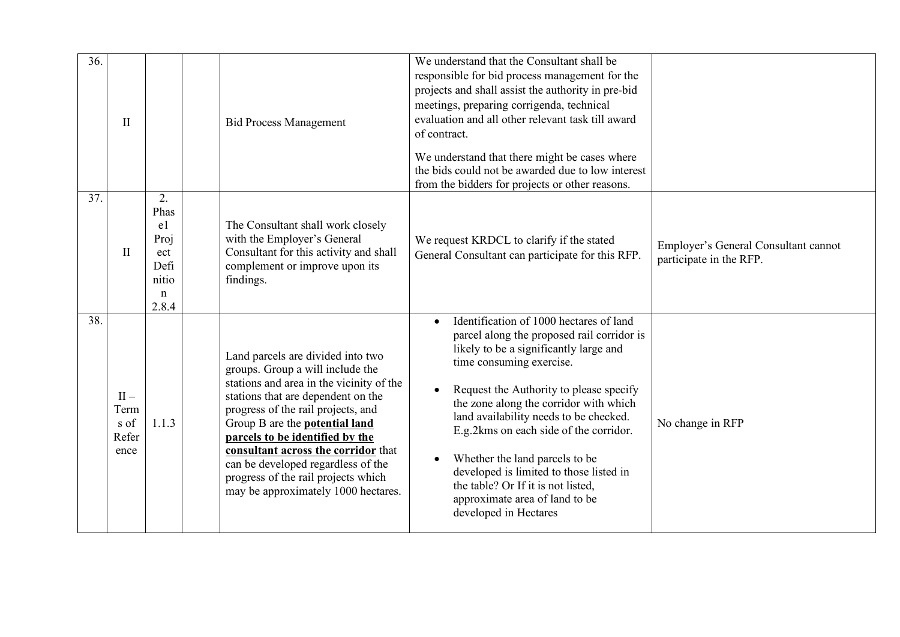| 36. | $\mathbf{I}$                            |                                                                          | <b>Bid Process Management</b>                                                                                                                                                                                                                                                                                                                                                                                                        | We understand that the Consultant shall be<br>responsible for bid process management for the<br>projects and shall assist the authority in pre-bid<br>meetings, preparing corrigenda, technical<br>evaluation and all other relevant task till award<br>of contract.<br>We understand that there might be cases where<br>the bids could not be awarded due to low interest<br>from the bidders for projects or other reasons.                                                                                                                             |                                                                 |
|-----|-----------------------------------------|--------------------------------------------------------------------------|--------------------------------------------------------------------------------------------------------------------------------------------------------------------------------------------------------------------------------------------------------------------------------------------------------------------------------------------------------------------------------------------------------------------------------------|-----------------------------------------------------------------------------------------------------------------------------------------------------------------------------------------------------------------------------------------------------------------------------------------------------------------------------------------------------------------------------------------------------------------------------------------------------------------------------------------------------------------------------------------------------------|-----------------------------------------------------------------|
| 37. | $\mathbf{I}$                            | 2.<br>Phas<br>e1<br>Proj<br>ect<br>Defi<br>nitio<br>$\mathbf n$<br>2.8.4 | The Consultant shall work closely<br>with the Employer's General<br>Consultant for this activity and shall<br>complement or improve upon its<br>findings.                                                                                                                                                                                                                                                                            | We request KRDCL to clarify if the stated<br>General Consultant can participate for this RFP.                                                                                                                                                                                                                                                                                                                                                                                                                                                             | Employer's General Consultant cannot<br>participate in the RFP. |
| 38. | $II -$<br>Term<br>s of<br>Refer<br>ence | 1.1.3                                                                    | Land parcels are divided into two<br>groups. Group a will include the<br>stations and area in the vicinity of the<br>stations that are dependent on the<br>progress of the rail projects, and<br>Group B are the <b>potential land</b><br>parcels to be identified by the<br>consultant across the corridor that<br>can be developed regardless of the<br>progress of the rail projects which<br>may be approximately 1000 hectares. | Identification of 1000 hectares of land<br>$\bullet$<br>parcel along the proposed rail corridor is<br>likely to be a significantly large and<br>time consuming exercise.<br>Request the Authority to please specify<br>$\bullet$<br>the zone along the corridor with which<br>land availability needs to be checked.<br>E.g.2kms on each side of the corridor.<br>Whether the land parcels to be<br>$\bullet$<br>developed is limited to those listed in<br>the table? Or If it is not listed,<br>approximate area of land to be<br>developed in Hectares | No change in RFP                                                |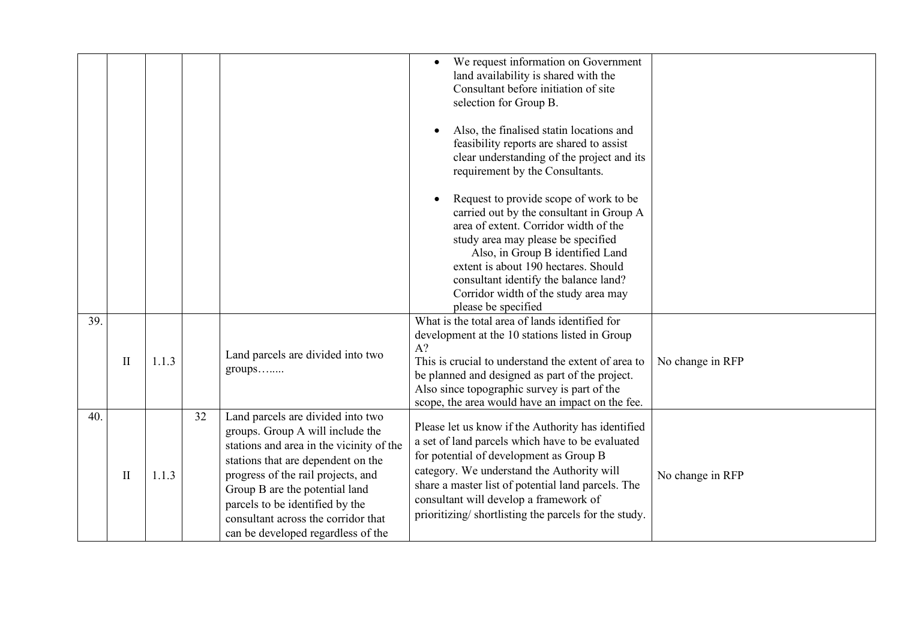|     |              |       |    |                                                                                                                                                                                                                                                                                                                                                 | We request information on Government<br>land availability is shared with the<br>Consultant before initiation of site<br>selection for Group B.<br>Also, the finalised statin locations and<br>feasibility reports are shared to assist<br>clear understanding of the project and its<br>requirement by the Consultants.                                 |                  |
|-----|--------------|-------|----|-------------------------------------------------------------------------------------------------------------------------------------------------------------------------------------------------------------------------------------------------------------------------------------------------------------------------------------------------|---------------------------------------------------------------------------------------------------------------------------------------------------------------------------------------------------------------------------------------------------------------------------------------------------------------------------------------------------------|------------------|
|     |              |       |    |                                                                                                                                                                                                                                                                                                                                                 | Request to provide scope of work to be<br>carried out by the consultant in Group A<br>area of extent. Corridor width of the<br>study area may please be specified<br>Also, in Group B identified Land<br>extent is about 190 hectares. Should<br>consultant identify the balance land?<br>Corridor width of the study area may<br>please be specified   |                  |
| 39. | $\mathbf{I}$ | 1.1.3 |    | Land parcels are divided into two<br>$groups$                                                                                                                                                                                                                                                                                                   | What is the total area of lands identified for<br>development at the 10 stations listed in Group<br>$A$ ?<br>This is crucial to understand the extent of area to<br>be planned and designed as part of the project.<br>Also since topographic survey is part of the<br>scope, the area would have an impact on the fee.                                 | No change in RFP |
| 40. | $\mathbf{I}$ | 1.1.3 | 32 | Land parcels are divided into two<br>groups. Group A will include the<br>stations and area in the vicinity of the<br>stations that are dependent on the<br>progress of the rail projects, and<br>Group B are the potential land<br>parcels to be identified by the<br>consultant across the corridor that<br>can be developed regardless of the | Please let us know if the Authority has identified<br>a set of land parcels which have to be evaluated<br>for potential of development as Group B<br>category. We understand the Authority will<br>share a master list of potential land parcels. The<br>consultant will develop a framework of<br>prioritizing/shortlisting the parcels for the study. | No change in RFP |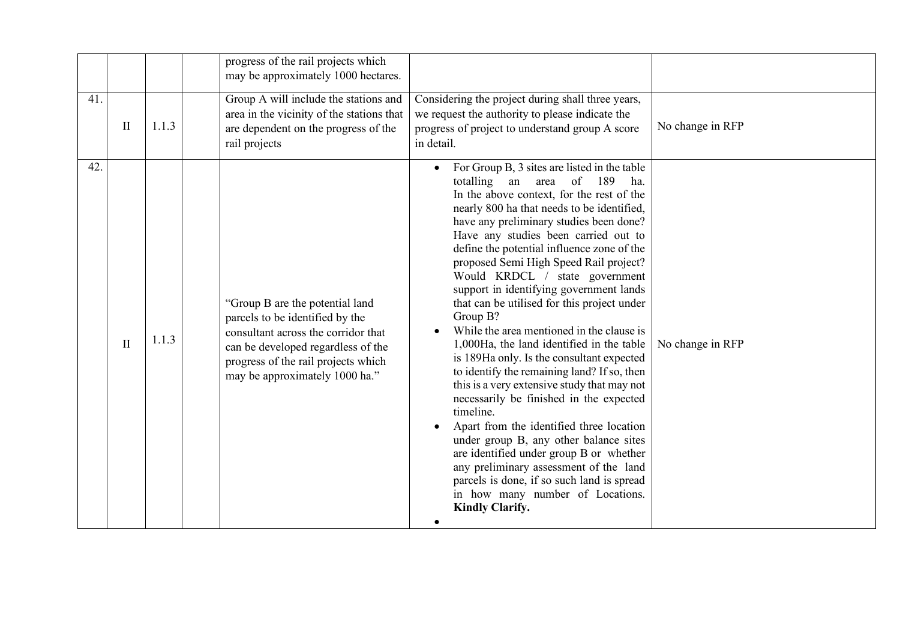|     |              |       | progress of the rail projects which<br>may be approximately 1000 hectares.                                                                                                                                               |                                                                                                                                                                                                                                                                                                                                                                                                                                                                                                                                                                                                                                                                                                                                                                                                                                                                                                                                                                                                                                                                                         |                  |
|-----|--------------|-------|--------------------------------------------------------------------------------------------------------------------------------------------------------------------------------------------------------------------------|-----------------------------------------------------------------------------------------------------------------------------------------------------------------------------------------------------------------------------------------------------------------------------------------------------------------------------------------------------------------------------------------------------------------------------------------------------------------------------------------------------------------------------------------------------------------------------------------------------------------------------------------------------------------------------------------------------------------------------------------------------------------------------------------------------------------------------------------------------------------------------------------------------------------------------------------------------------------------------------------------------------------------------------------------------------------------------------------|------------------|
| 41. | $\mathbf{I}$ | 1.1.3 | Group A will include the stations and<br>area in the vicinity of the stations that<br>are dependent on the progress of the<br>rail projects                                                                              | Considering the project during shall three years,<br>we request the authority to please indicate the<br>progress of project to understand group A score<br>in detail.                                                                                                                                                                                                                                                                                                                                                                                                                                                                                                                                                                                                                                                                                                                                                                                                                                                                                                                   | No change in RFP |
| 42. | $\mathbf{I}$ | 1.1.3 | "Group B are the potential land<br>parcels to be identified by the<br>consultant across the corridor that<br>can be developed regardless of the<br>progress of the rail projects which<br>may be approximately 1000 ha." | For Group B, 3 sites are listed in the table<br>189<br>totalling an area<br>of<br>ha.<br>In the above context, for the rest of the<br>nearly 800 ha that needs to be identified,<br>have any preliminary studies been done?<br>Have any studies been carried out to<br>define the potential influence zone of the<br>proposed Semi High Speed Rail project?<br>Would KRDCL / state government<br>support in identifying government lands<br>that can be utilised for this project under<br>Group B?<br>While the area mentioned in the clause is<br>1,000Ha, the land identified in the table<br>is 189Ha only. Is the consultant expected<br>to identify the remaining land? If so, then<br>this is a very extensive study that may not<br>necessarily be finished in the expected<br>timeline.<br>Apart from the identified three location<br>under group B, any other balance sites<br>are identified under group B or whether<br>any preliminary assessment of the land<br>parcels is done, if so such land is spread<br>in how many number of Locations.<br><b>Kindly Clarify.</b> | No change in RFP |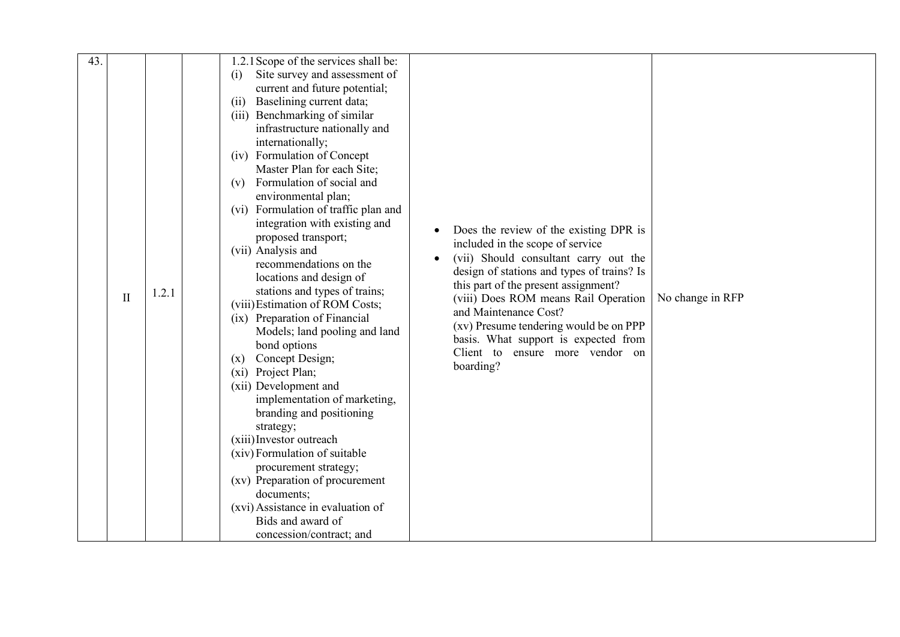| 43. | $\mathbf{I}$ | 1.2.1 | 1.2.1 Scope of the services shall be:<br>Site survey and assessment of<br>(i)<br>current and future potential;<br>Baselining current data;<br>(ii)<br>(iii) Benchmarking of similar<br>infrastructure nationally and<br>internationally;<br>(iv) Formulation of Concept<br>Master Plan for each Site;<br>Formulation of social and<br>(v)<br>environmental plan;<br>(vi) Formulation of traffic plan and<br>integration with existing and<br>proposed transport;<br>(vii) Analysis and<br>recommendations on the<br>locations and design of<br>stations and types of trains;<br>(viii) Estimation of ROM Costs;<br>(ix) Preparation of Financial<br>Models; land pooling and land<br>bond options<br>Concept Design;<br>(x)<br>Project Plan;<br>(xi)<br>(xii) Development and<br>implementation of marketing,<br>branding and positioning<br>strategy;<br>(xiii) Investor outreach<br>(xiv) Formulation of suitable | Does the review of the existing DPR is<br>included in the scope of service<br>(vii) Should consultant carry out the<br>design of stations and types of trains? Is<br>this part of the present assignment?<br>(viii) Does ROM means Rail Operation<br>and Maintenance Cost?<br>(xv) Presume tendering would be on PPP<br>basis. What support is expected from<br>Client to ensure more vendor on<br>boarding? | No change in RFP |
|-----|--------------|-------|---------------------------------------------------------------------------------------------------------------------------------------------------------------------------------------------------------------------------------------------------------------------------------------------------------------------------------------------------------------------------------------------------------------------------------------------------------------------------------------------------------------------------------------------------------------------------------------------------------------------------------------------------------------------------------------------------------------------------------------------------------------------------------------------------------------------------------------------------------------------------------------------------------------------|--------------------------------------------------------------------------------------------------------------------------------------------------------------------------------------------------------------------------------------------------------------------------------------------------------------------------------------------------------------------------------------------------------------|------------------|
|     |              |       |                                                                                                                                                                                                                                                                                                                                                                                                                                                                                                                                                                                                                                                                                                                                                                                                                                                                                                                     |                                                                                                                                                                                                                                                                                                                                                                                                              |                  |
|     |              |       |                                                                                                                                                                                                                                                                                                                                                                                                                                                                                                                                                                                                                                                                                                                                                                                                                                                                                                                     |                                                                                                                                                                                                                                                                                                                                                                                                              |                  |
|     |              |       | procurement strategy;<br>(xv) Preparation of procurement                                                                                                                                                                                                                                                                                                                                                                                                                                                                                                                                                                                                                                                                                                                                                                                                                                                            |                                                                                                                                                                                                                                                                                                                                                                                                              |                  |
|     |              |       | documents;                                                                                                                                                                                                                                                                                                                                                                                                                                                                                                                                                                                                                                                                                                                                                                                                                                                                                                          |                                                                                                                                                                                                                                                                                                                                                                                                              |                  |
|     |              |       | (xvi) Assistance in evaluation of                                                                                                                                                                                                                                                                                                                                                                                                                                                                                                                                                                                                                                                                                                                                                                                                                                                                                   |                                                                                                                                                                                                                                                                                                                                                                                                              |                  |
|     |              |       | Bids and award of                                                                                                                                                                                                                                                                                                                                                                                                                                                                                                                                                                                                                                                                                                                                                                                                                                                                                                   |                                                                                                                                                                                                                                                                                                                                                                                                              |                  |
|     |              |       | concession/contract; and                                                                                                                                                                                                                                                                                                                                                                                                                                                                                                                                                                                                                                                                                                                                                                                                                                                                                            |                                                                                                                                                                                                                                                                                                                                                                                                              |                  |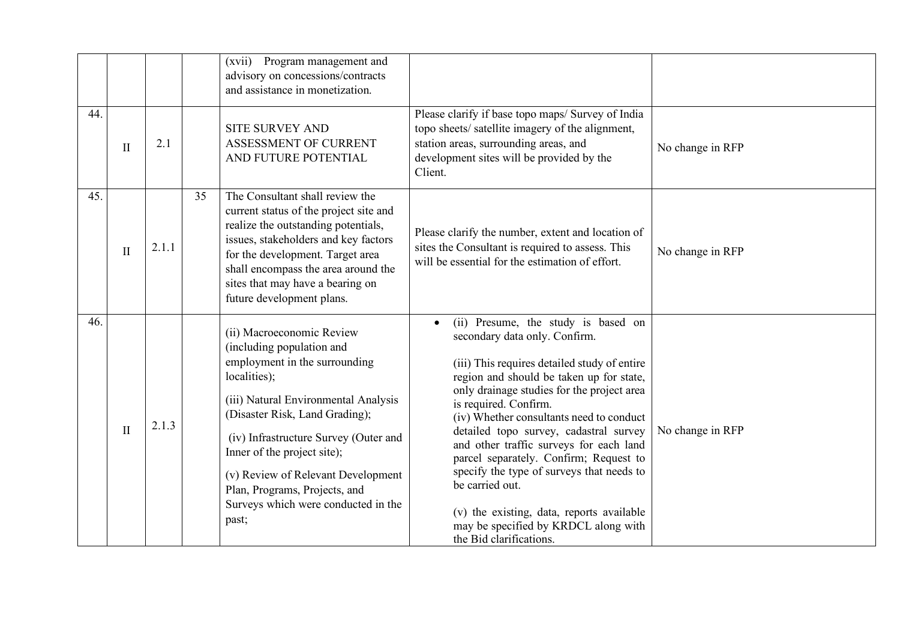|     |              |       |    | (xvii) Program management and<br>advisory on concessions/contracts<br>and assistance in monetization.                                                                                                                                                                                                                                                                            |                                                                                                                                                                                                                                                                                                                                                                                                                                                                                                                                                                                                    |                  |
|-----|--------------|-------|----|----------------------------------------------------------------------------------------------------------------------------------------------------------------------------------------------------------------------------------------------------------------------------------------------------------------------------------------------------------------------------------|----------------------------------------------------------------------------------------------------------------------------------------------------------------------------------------------------------------------------------------------------------------------------------------------------------------------------------------------------------------------------------------------------------------------------------------------------------------------------------------------------------------------------------------------------------------------------------------------------|------------------|
| 44. | $\rm II$     | 2.1   |    | <b>SITE SURVEY AND</b><br>ASSESSMENT OF CURRENT<br>AND FUTURE POTENTIAL                                                                                                                                                                                                                                                                                                          | Please clarify if base topo maps/ Survey of India<br>topo sheets/ satellite imagery of the alignment,<br>station areas, surrounding areas, and<br>development sites will be provided by the<br>Client.                                                                                                                                                                                                                                                                                                                                                                                             | No change in RFP |
| 45. | $\mathbf{I}$ | 2.1.1 | 35 | The Consultant shall review the<br>current status of the project site and<br>realize the outstanding potentials,<br>issues, stakeholders and key factors<br>for the development. Target area<br>shall encompass the area around the<br>sites that may have a bearing on<br>future development plans.                                                                             | Please clarify the number, extent and location of<br>sites the Consultant is required to assess. This<br>will be essential for the estimation of effort.                                                                                                                                                                                                                                                                                                                                                                                                                                           | No change in RFP |
| 46. | $\mathbf{I}$ | 2.1.3 |    | (ii) Macroeconomic Review<br>(including population and<br>employment in the surrounding<br>localities);<br>(iii) Natural Environmental Analysis<br>(Disaster Risk, Land Grading);<br>(iv) Infrastructure Survey (Outer and<br>Inner of the project site);<br>(v) Review of Relevant Development<br>Plan, Programs, Projects, and<br>Surveys which were conducted in the<br>past; | (ii) Presume, the study is based on<br>secondary data only. Confirm.<br>(iii) This requires detailed study of entire<br>region and should be taken up for state,<br>only drainage studies for the project area<br>is required. Confirm.<br>(iv) Whether consultants need to conduct<br>detailed topo survey, cadastral survey<br>and other traffic surveys for each land<br>parcel separately. Confirm; Request to<br>specify the type of surveys that needs to<br>be carried out.<br>(v) the existing, data, reports available<br>may be specified by KRDCL along with<br>the Bid clarifications. | No change in RFP |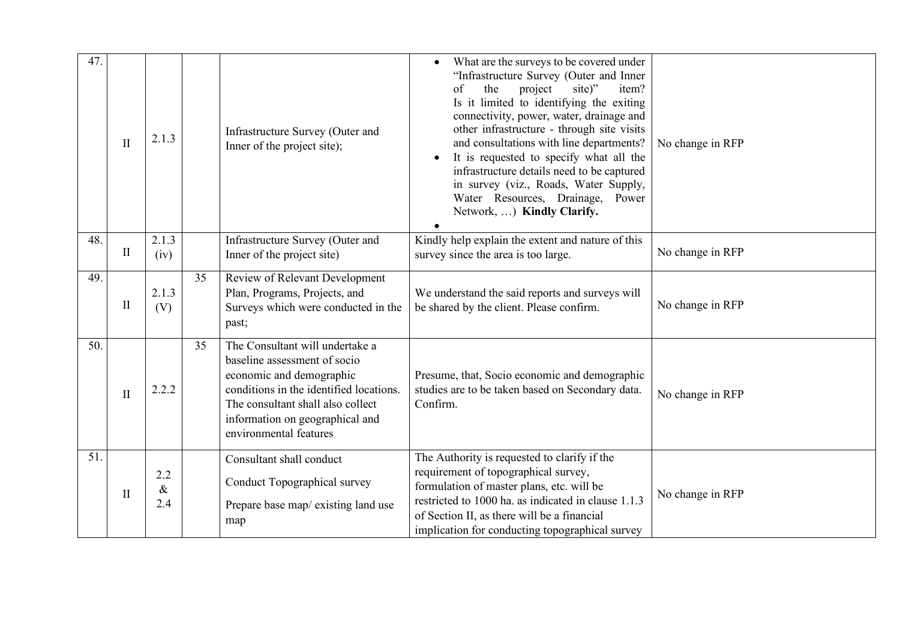| 47. | $\mathbf{I}$ | 2.1.3              |    | Infrastructure Survey (Outer and<br>Inner of the project site);                                                                                                                                                                          | What are the surveys to be covered under<br>"Infrastructure Survey (Outer and Inner<br>of<br>the<br>site)"<br>item?<br>project<br>Is it limited to identifying the exiting<br>connectivity, power, water, drainage and<br>other infrastructure - through site visits<br>and consultations with line departments?<br>It is requested to specify what all the<br>infrastructure details need to be captured<br>in survey (viz., Roads, Water Supply,<br>Water Resources, Drainage, Power<br>Network, ) Kindly Clarify. | No change in RFP |
|-----|--------------|--------------------|----|------------------------------------------------------------------------------------------------------------------------------------------------------------------------------------------------------------------------------------------|----------------------------------------------------------------------------------------------------------------------------------------------------------------------------------------------------------------------------------------------------------------------------------------------------------------------------------------------------------------------------------------------------------------------------------------------------------------------------------------------------------------------|------------------|
| 48. | $\mathbf{I}$ | 2.1.3<br>(iv)      |    | Infrastructure Survey (Outer and<br>Inner of the project site)                                                                                                                                                                           | Kindly help explain the extent and nature of this<br>survey since the area is too large.                                                                                                                                                                                                                                                                                                                                                                                                                             | No change in RFP |
| 49. | $\mathbf{I}$ | 2.1.3<br>(V)       | 35 | Review of Relevant Development<br>Plan, Programs, Projects, and<br>Surveys which were conducted in the<br>past;                                                                                                                          | We understand the said reports and surveys will<br>be shared by the client. Please confirm.                                                                                                                                                                                                                                                                                                                                                                                                                          | No change in RFP |
| 50. | $\mathbf{I}$ | 2.2.2              | 35 | The Consultant will undertake a<br>baseline assessment of socio<br>economic and demographic<br>conditions in the identified locations.<br>The consultant shall also collect<br>information on geographical and<br>environmental features | Presume, that, Socio economic and demographic<br>studies are to be taken based on Secondary data.<br>Confirm.                                                                                                                                                                                                                                                                                                                                                                                                        | No change in RFP |
| 51. | $\mathbf{I}$ | 2.2<br>$\&$<br>2.4 |    | Consultant shall conduct<br>Conduct Topographical survey<br>Prepare base map/existing land use<br>map                                                                                                                                    | The Authority is requested to clarify if the<br>requirement of topographical survey,<br>formulation of master plans, etc. will be<br>restricted to 1000 ha. as indicated in clause 1.1.3<br>of Section II, as there will be a financial<br>implication for conducting topographical survey                                                                                                                                                                                                                           | No change in RFP |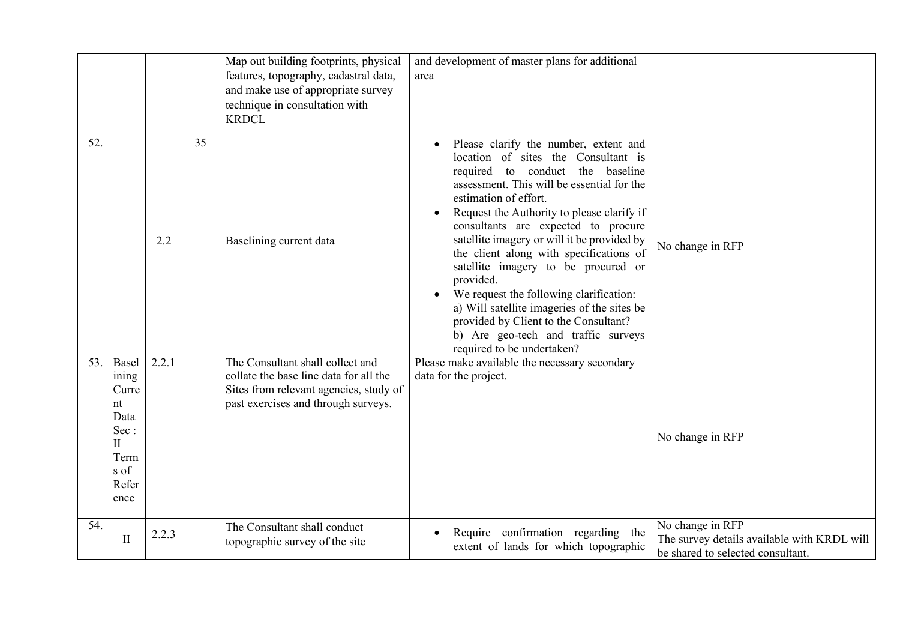|                   |                                                                                                |       |    | Map out building footprints, physical<br>features, topography, cadastral data,<br>and make use of appropriate survey<br>technique in consultation with<br><b>KRDCL</b> | and development of master plans for additional<br>area                                                                                                                                                                                                                                                                                                                                                                                                                                                                                                                                                                             |                                                                                                      |
|-------------------|------------------------------------------------------------------------------------------------|-------|----|------------------------------------------------------------------------------------------------------------------------------------------------------------------------|------------------------------------------------------------------------------------------------------------------------------------------------------------------------------------------------------------------------------------------------------------------------------------------------------------------------------------------------------------------------------------------------------------------------------------------------------------------------------------------------------------------------------------------------------------------------------------------------------------------------------------|------------------------------------------------------------------------------------------------------|
| $\overline{52}$ . |                                                                                                | 2.2   | 35 | Baselining current data                                                                                                                                                | Please clarify the number, extent and<br>location of sites the Consultant is<br>required to conduct the baseline<br>assessment. This will be essential for the<br>estimation of effort.<br>Request the Authority to please clarify if<br>consultants are expected to procure<br>satellite imagery or will it be provided by<br>the client along with specifications of<br>satellite imagery to be procured or<br>provided.<br>We request the following clarification:<br>a) Will satellite imageries of the sites be<br>provided by Client to the Consultant?<br>b) Are geo-tech and traffic surveys<br>required to be undertaken? | No change in RFP                                                                                     |
| 53.               | Basel<br>ining<br>Curre<br>nt<br>Data<br>Sec:<br>$\mathbf{I}$<br>Term<br>s of<br>Refer<br>ence | 2.2.1 |    | The Consultant shall collect and<br>collate the base line data for all the<br>Sites from relevant agencies, study of<br>past exercises and through surveys.            | Please make available the necessary secondary<br>data for the project.                                                                                                                                                                                                                                                                                                                                                                                                                                                                                                                                                             | No change in RFP                                                                                     |
| 54.               | $\mathbf{I}$                                                                                   | 2.2.3 |    | The Consultant shall conduct<br>topographic survey of the site                                                                                                         | Require confirmation regarding the<br>extent of lands for which topographic                                                                                                                                                                                                                                                                                                                                                                                                                                                                                                                                                        | No change in RFP<br>The survey details available with KRDL will<br>be shared to selected consultant. |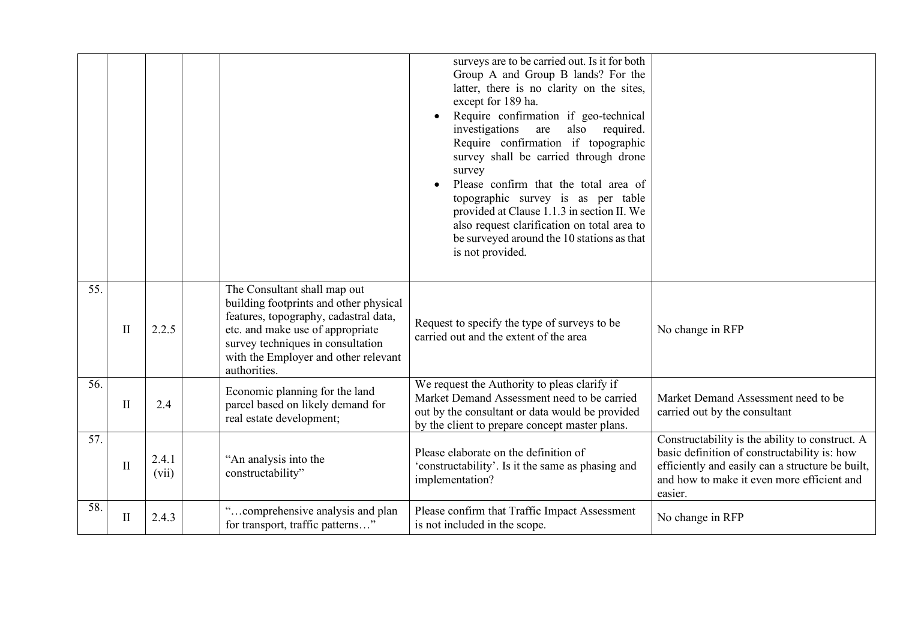|     |              |                |                                                                                                                                                                                                                                                  | surveys are to be carried out. Is it for both<br>Group A and Group B lands? For the<br>latter, there is no clarity on the sites,<br>except for 189 ha.<br>Require confirmation if geo-technical<br>investigations<br>also<br>are<br>required.<br>Require confirmation if topographic<br>survey shall be carried through drone<br>survey<br>Please confirm that the total area of<br>topographic survey is as per table<br>provided at Clause 1.1.3 in section II. We<br>also request clarification on total area to<br>be surveyed around the 10 stations as that<br>is not provided. |                                                                                                                                                                                                              |
|-----|--------------|----------------|--------------------------------------------------------------------------------------------------------------------------------------------------------------------------------------------------------------------------------------------------|---------------------------------------------------------------------------------------------------------------------------------------------------------------------------------------------------------------------------------------------------------------------------------------------------------------------------------------------------------------------------------------------------------------------------------------------------------------------------------------------------------------------------------------------------------------------------------------|--------------------------------------------------------------------------------------------------------------------------------------------------------------------------------------------------------------|
| 55. | $\mathbf{I}$ | 2.2.5          | The Consultant shall map out<br>building footprints and other physical<br>features, topography, cadastral data,<br>etc. and make use of appropriate<br>survey techniques in consultation<br>with the Employer and other relevant<br>authorities. | Request to specify the type of surveys to be<br>carried out and the extent of the area                                                                                                                                                                                                                                                                                                                                                                                                                                                                                                | No change in RFP                                                                                                                                                                                             |
| 56. | $\mathbf{I}$ | 2.4            | Economic planning for the land<br>parcel based on likely demand for<br>real estate development;                                                                                                                                                  | We request the Authority to pleas clarify if<br>Market Demand Assessment need to be carried<br>out by the consultant or data would be provided<br>by the client to prepare concept master plans.                                                                                                                                                                                                                                                                                                                                                                                      | Market Demand Assessment need to be<br>carried out by the consultant                                                                                                                                         |
| 57. | $\mathbf{I}$ | 2.4.1<br>(vii) | "An analysis into the<br>constructability"                                                                                                                                                                                                       | Please elaborate on the definition of<br>'constructability'. Is it the same as phasing and<br>implementation?                                                                                                                                                                                                                                                                                                                                                                                                                                                                         | Constructability is the ability to construct. A<br>basic definition of constructability is: how<br>efficiently and easily can a structure be built,<br>and how to make it even more efficient and<br>easier. |
| 58. | $\mathbf{I}$ | 2.4.3          | "comprehensive analysis and plan<br>for transport, traffic patterns"                                                                                                                                                                             | Please confirm that Traffic Impact Assessment<br>is not included in the scope.                                                                                                                                                                                                                                                                                                                                                                                                                                                                                                        | No change in RFP                                                                                                                                                                                             |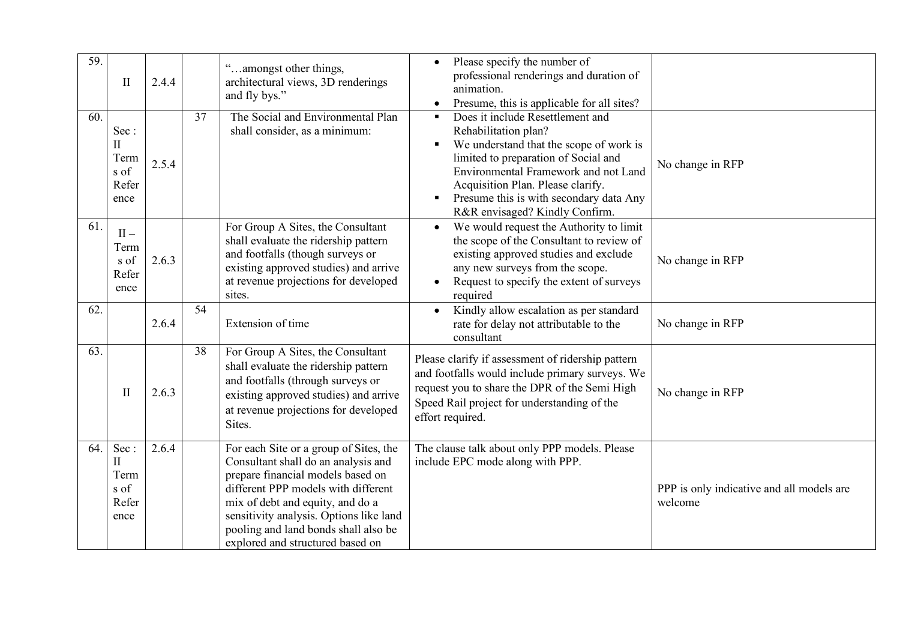| 59.<br>60. | $\mathbf{I}$<br>Sec:<br>$\mathbf{I}$<br>Term<br>s of<br>Refer<br>ence | 2.4.4<br>2.5.4 | 37 | cc<br>amongst other things,<br>architectural views, 3D renderings<br>and fly bys."<br>The Social and Environmental Plan<br>shall consider, as a minimum:                                                                                                                                                             | Please specify the number of<br>$\bullet$<br>professional renderings and duration of<br>animation.<br>Presume, this is applicable for all sites?<br>Does it include Resettlement and<br>Rehabilitation plan?<br>We understand that the scope of work is<br>limited to preparation of Social and<br>Environmental Framework and not Land<br>Acquisition Plan. Please clarify.<br>Presume this is with secondary data Any<br>R&R envisaged? Kindly Confirm. | No change in RFP                                     |
|------------|-----------------------------------------------------------------------|----------------|----|----------------------------------------------------------------------------------------------------------------------------------------------------------------------------------------------------------------------------------------------------------------------------------------------------------------------|-----------------------------------------------------------------------------------------------------------------------------------------------------------------------------------------------------------------------------------------------------------------------------------------------------------------------------------------------------------------------------------------------------------------------------------------------------------|------------------------------------------------------|
| 61.        | $II -$<br>Term<br>s of<br>Refer<br>ence                               | 2.6.3          |    | For Group A Sites, the Consultant<br>shall evaluate the ridership pattern<br>and footfalls (though surveys or<br>existing approved studies) and arrive<br>at revenue projections for developed<br>sites.                                                                                                             | We would request the Authority to limit<br>$\bullet$<br>the scope of the Consultant to review of<br>existing approved studies and exclude<br>any new surveys from the scope.<br>Request to specify the extent of surveys<br>required                                                                                                                                                                                                                      | No change in RFP                                     |
| 62.        |                                                                       | 2.6.4          | 54 | Extension of time                                                                                                                                                                                                                                                                                                    | Kindly allow escalation as per standard<br>rate for delay not attributable to the<br>consultant                                                                                                                                                                                                                                                                                                                                                           | No change in RFP                                     |
| 63.        | $\mathbf{I}$                                                          | 2.6.3          | 38 | For Group A Sites, the Consultant<br>shall evaluate the ridership pattern<br>and footfalls (through surveys or<br>existing approved studies) and arrive<br>at revenue projections for developed<br>Sites.                                                                                                            | Please clarify if assessment of ridership pattern<br>and footfalls would include primary surveys. We<br>request you to share the DPR of the Semi High<br>Speed Rail project for understanding of the<br>effort required.                                                                                                                                                                                                                                  | No change in RFP                                     |
| 64.        | Sec:<br>$\mathbf{I}$<br>Term<br>s of<br>Refer<br>ence                 | 2.6.4          |    | For each Site or a group of Sites, the<br>Consultant shall do an analysis and<br>prepare financial models based on<br>different PPP models with different<br>mix of debt and equity, and do a<br>sensitivity analysis. Options like land<br>pooling and land bonds shall also be<br>explored and structured based on | The clause talk about only PPP models. Please<br>include EPC mode along with PPP.                                                                                                                                                                                                                                                                                                                                                                         | PPP is only indicative and all models are<br>welcome |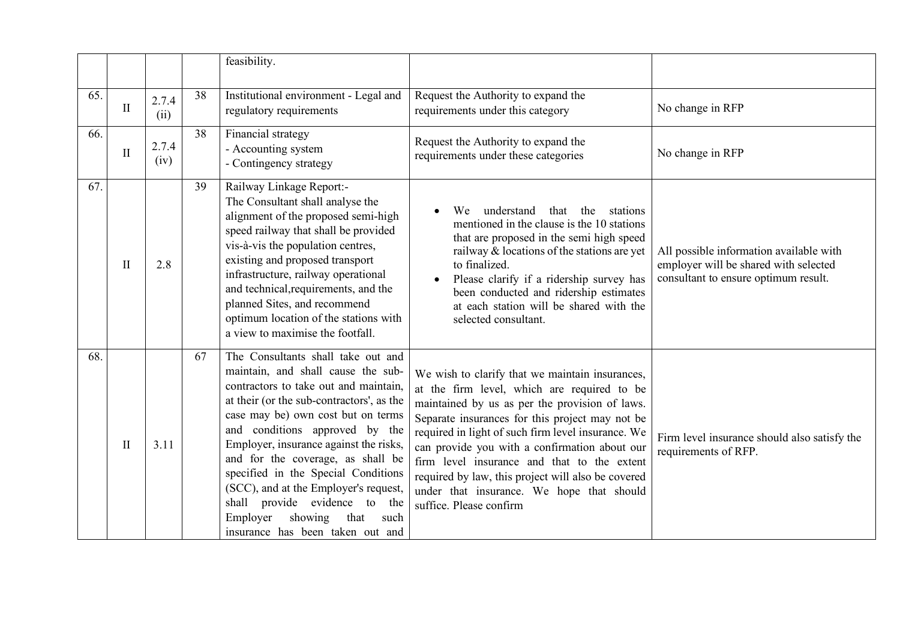|     |                                                                                                                                                                                                                                                                                                                                                                                                                                                                         |               |                                                                         | feasibility.                                                                                                                                                                                                                                                                                                                                                                                                                                                                            |                                                                                                                                                                                                                                                                                                                                                                   |                                                                                                                          |
|-----|-------------------------------------------------------------------------------------------------------------------------------------------------------------------------------------------------------------------------------------------------------------------------------------------------------------------------------------------------------------------------------------------------------------------------------------------------------------------------|---------------|-------------------------------------------------------------------------|-----------------------------------------------------------------------------------------------------------------------------------------------------------------------------------------------------------------------------------------------------------------------------------------------------------------------------------------------------------------------------------------------------------------------------------------------------------------------------------------|-------------------------------------------------------------------------------------------------------------------------------------------------------------------------------------------------------------------------------------------------------------------------------------------------------------------------------------------------------------------|--------------------------------------------------------------------------------------------------------------------------|
| 65. | $\mathbf{I}$                                                                                                                                                                                                                                                                                                                                                                                                                                                            | 2.7.4<br>(ii) | 38                                                                      | Institutional environment - Legal and<br>regulatory requirements                                                                                                                                                                                                                                                                                                                                                                                                                        | Request the Authority to expand the<br>requirements under this category                                                                                                                                                                                                                                                                                           | No change in RFP                                                                                                         |
| 66. | $\mathbf{I}$                                                                                                                                                                                                                                                                                                                                                                                                                                                            | 2.7.4<br>(iv) | 38                                                                      | Financial strategy<br>- Accounting system<br>- Contingency strategy                                                                                                                                                                                                                                                                                                                                                                                                                     | Request the Authority to expand the<br>requirements under these categories                                                                                                                                                                                                                                                                                        | No change in RFP                                                                                                         |
| 67. | $\mathop{\rm II}\nolimits$                                                                                                                                                                                                                                                                                                                                                                                                                                              | 2.8           | 39                                                                      | Railway Linkage Report:-<br>The Consultant shall analyse the<br>alignment of the proposed semi-high<br>speed railway that shall be provided<br>vis-à-vis the population centres,<br>existing and proposed transport<br>infrastructure, railway operational<br>and technical, requirements, and the<br>planned Sites, and recommend<br>optimum location of the stations with<br>a view to maximise the footfall.                                                                         | understand<br>that<br>the<br>stations<br>We<br>mentioned in the clause is the 10 stations<br>that are proposed in the semi high speed<br>railway $\&$ locations of the stations are yet<br>to finalized.<br>Please clarify if a ridership survey has<br>been conducted and ridership estimates<br>at each station will be shared with the<br>selected consultant. | All possible information available with<br>employer will be shared with selected<br>consultant to ensure optimum result. |
| 68. | The Consultants shall take out and<br>67<br>maintain, and shall cause the sub-<br>contractors to take out and maintain,<br>at their (or the sub-contractors', as the<br>case may be) own cost but on terms<br>and conditions approved by the<br>Employer, insurance against the risks,<br>$\mathbf{I}$<br>3.11<br>and for the coverage, as shall be<br>specified in the Special Conditions<br>(SCC), and at the Employer's request,<br>shall provide evidence to<br>the |               | showing<br>Employer<br>that<br>such<br>insurance has been taken out and | We wish to clarify that we maintain insurances,<br>at the firm level, which are required to be<br>maintained by us as per the provision of laws.<br>Separate insurances for this project may not be<br>required in light of such firm level insurance. We<br>can provide you with a confirmation about our<br>firm level insurance and that to the extent<br>required by law, this project will also be covered<br>under that insurance. We hope that should<br>suffice. Please confirm | Firm level insurance should also satisfy the<br>requirements of RFP.                                                                                                                                                                                                                                                                                              |                                                                                                                          |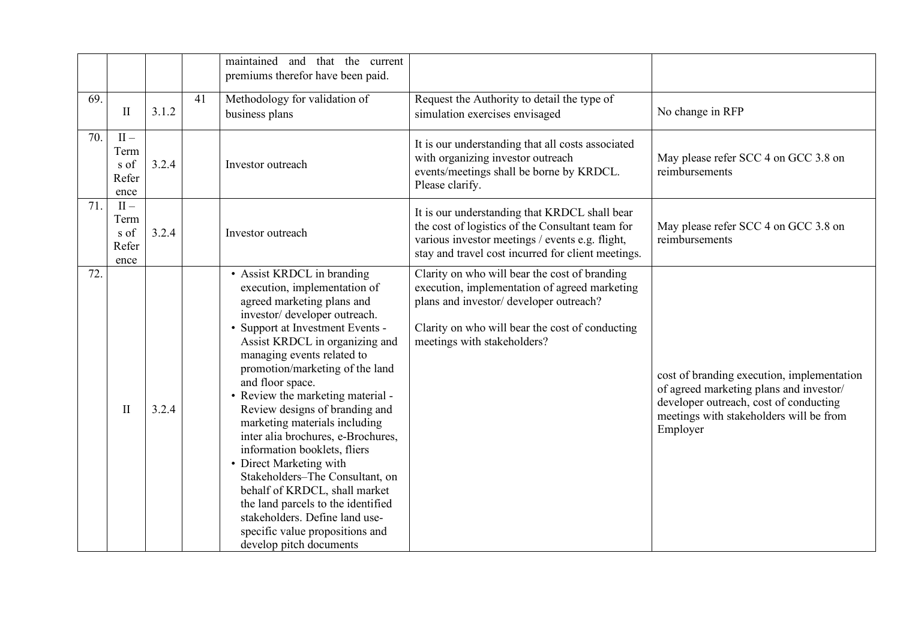|     |                                         |       |    | that the current<br>maintained<br>and<br>premiums therefor have been paid.                                                                                                                                                                                                                                                                                                                                                                                                                                                                                                                                                                                                                              |                                                                                                                                                                                                                             |                                                                                                                                                                                        |
|-----|-----------------------------------------|-------|----|---------------------------------------------------------------------------------------------------------------------------------------------------------------------------------------------------------------------------------------------------------------------------------------------------------------------------------------------------------------------------------------------------------------------------------------------------------------------------------------------------------------------------------------------------------------------------------------------------------------------------------------------------------------------------------------------------------|-----------------------------------------------------------------------------------------------------------------------------------------------------------------------------------------------------------------------------|----------------------------------------------------------------------------------------------------------------------------------------------------------------------------------------|
| 69. | $\mathbf{I}$                            | 3.1.2 | 41 | Methodology for validation of<br>business plans                                                                                                                                                                                                                                                                                                                                                                                                                                                                                                                                                                                                                                                         | Request the Authority to detail the type of<br>simulation exercises envisaged                                                                                                                                               | No change in RFP                                                                                                                                                                       |
| 70. | $II -$<br>Term<br>s of<br>Refer<br>ence | 3.2.4 |    | Investor outreach                                                                                                                                                                                                                                                                                                                                                                                                                                                                                                                                                                                                                                                                                       | It is our understanding that all costs associated<br>with organizing investor outreach<br>events/meetings shall be borne by KRDCL.<br>Please clarify.                                                                       | May please refer SCC 4 on GCC 3.8 on<br>reimbursements                                                                                                                                 |
| 71. | $II -$<br>Term<br>s of<br>Refer<br>ence | 3.2.4 |    | Investor outreach                                                                                                                                                                                                                                                                                                                                                                                                                                                                                                                                                                                                                                                                                       | It is our understanding that KRDCL shall bear<br>the cost of logistics of the Consultant team for<br>various investor meetings / events e.g. flight,<br>stay and travel cost incurred for client meetings.                  | May please refer SCC 4 on GCC 3.8 on<br>reimbursements                                                                                                                                 |
| 72. | $\rm II$                                | 3.2.4 |    | • Assist KRDCL in branding<br>execution, implementation of<br>agreed marketing plans and<br>investor/ developer outreach.<br>• Support at Investment Events -<br>Assist KRDCL in organizing and<br>managing events related to<br>promotion/marketing of the land<br>and floor space.<br>• Review the marketing material -<br>Review designs of branding and<br>marketing materials including<br>inter alia brochures, e-Brochures,<br>information booklets, fliers<br>• Direct Marketing with<br>Stakeholders-The Consultant, on<br>behalf of KRDCL, shall market<br>the land parcels to the identified<br>stakeholders. Define land use-<br>specific value propositions and<br>develop pitch documents | Clarity on who will bear the cost of branding<br>execution, implementation of agreed marketing<br>plans and investor/ developer outreach?<br>Clarity on who will bear the cost of conducting<br>meetings with stakeholders? | cost of branding execution, implementation<br>of agreed marketing plans and investor/<br>developer outreach, cost of conducting<br>meetings with stakeholders will be from<br>Employer |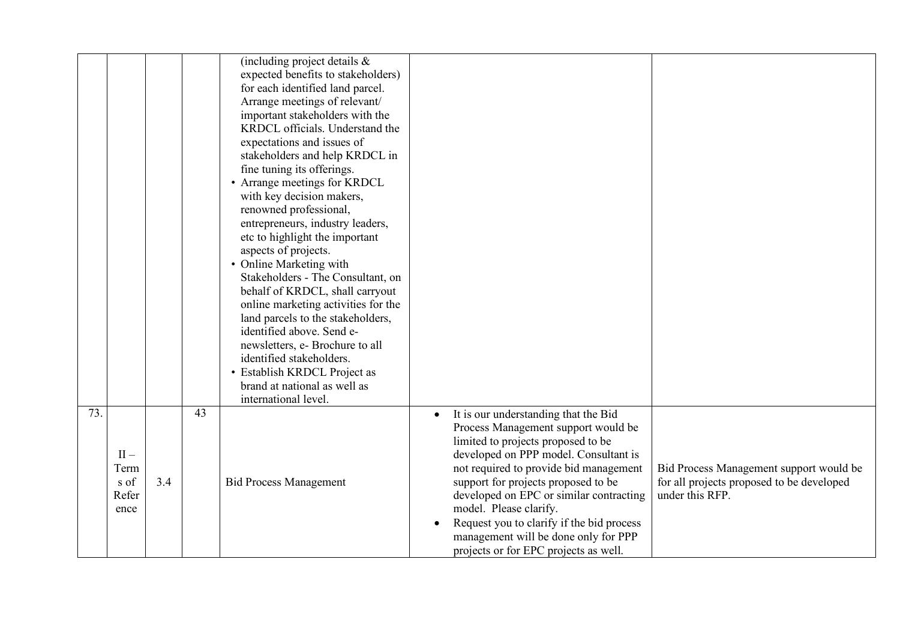|     |        |     |    | (including project details &        |                                                   |                                           |
|-----|--------|-----|----|-------------------------------------|---------------------------------------------------|-------------------------------------------|
|     |        |     |    | expected benefits to stakeholders)  |                                                   |                                           |
|     |        |     |    | for each identified land parcel.    |                                                   |                                           |
|     |        |     |    | Arrange meetings of relevant/       |                                                   |                                           |
|     |        |     |    | important stakeholders with the     |                                                   |                                           |
|     |        |     |    | KRDCL officials. Understand the     |                                                   |                                           |
|     |        |     |    | expectations and issues of          |                                                   |                                           |
|     |        |     |    | stakeholders and help KRDCL in      |                                                   |                                           |
|     |        |     |    | fine tuning its offerings.          |                                                   |                                           |
|     |        |     |    | • Arrange meetings for KRDCL        |                                                   |                                           |
|     |        |     |    | with key decision makers,           |                                                   |                                           |
|     |        |     |    | renowned professional,              |                                                   |                                           |
|     |        |     |    | entrepreneurs, industry leaders,    |                                                   |                                           |
|     |        |     |    | etc to highlight the important      |                                                   |                                           |
|     |        |     |    | aspects of projects.                |                                                   |                                           |
|     |        |     |    | • Online Marketing with             |                                                   |                                           |
|     |        |     |    | Stakeholders - The Consultant, on   |                                                   |                                           |
|     |        |     |    | behalf of KRDCL, shall carryout     |                                                   |                                           |
|     |        |     |    | online marketing activities for the |                                                   |                                           |
|     |        |     |    | land parcels to the stakeholders,   |                                                   |                                           |
|     |        |     |    | identified above. Send e-           |                                                   |                                           |
|     |        |     |    | newsletters, e- Brochure to all     |                                                   |                                           |
|     |        |     |    | identified stakeholders.            |                                                   |                                           |
|     |        |     |    | • Establish KRDCL Project as        |                                                   |                                           |
|     |        |     |    | brand at national as well as        |                                                   |                                           |
|     |        |     |    | international level.                |                                                   |                                           |
| 73. |        |     | 43 |                                     | It is our understanding that the Bid<br>$\bullet$ |                                           |
|     |        |     |    |                                     | Process Management support would be               |                                           |
|     |        |     |    |                                     | limited to projects proposed to be                |                                           |
|     | $II -$ |     |    |                                     | developed on PPP model. Consultant is             |                                           |
|     | Term   |     |    |                                     | not required to provide bid management            | Bid Process Management support would be   |
|     | s of   | 3.4 |    | <b>Bid Process Management</b>       | support for projects proposed to be               | for all projects proposed to be developed |
|     | Refer  |     |    |                                     | developed on EPC or similar contracting           | under this RFP.                           |
|     | ence   |     |    |                                     | model. Please clarify.                            |                                           |
|     |        |     |    |                                     | Request you to clarify if the bid process         |                                           |
|     |        |     |    |                                     | management will be done only for PPP              |                                           |
|     |        |     |    |                                     | projects or for EPC projects as well.             |                                           |
|     |        |     |    |                                     |                                                   |                                           |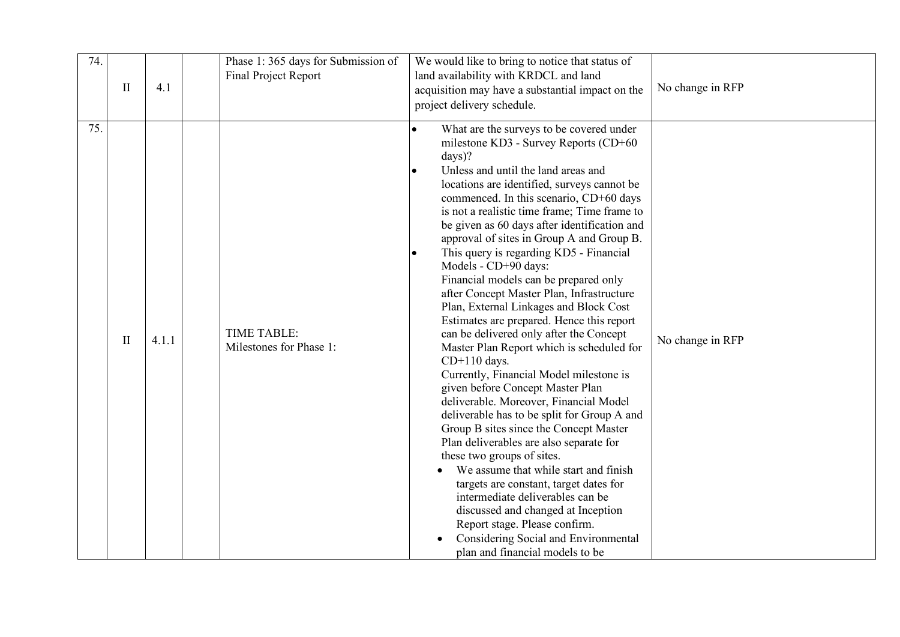| 74. | $\mathbf{I}$ | 4.1   | Phase 1: 365 days for Submission of<br>Final Project Report | We would like to bring to notice that status of<br>land availability with KRDCL and land<br>acquisition may have a substantial impact on the<br>project delivery schedule.                                                                                                                                                                                                                                                                                                                                                                                                                                                                                                                                                                                                                                                                                                                                                                                                                                                                                                                                                                                                                                                                                                                                             | No change in RFP |
|-----|--------------|-------|-------------------------------------------------------------|------------------------------------------------------------------------------------------------------------------------------------------------------------------------------------------------------------------------------------------------------------------------------------------------------------------------------------------------------------------------------------------------------------------------------------------------------------------------------------------------------------------------------------------------------------------------------------------------------------------------------------------------------------------------------------------------------------------------------------------------------------------------------------------------------------------------------------------------------------------------------------------------------------------------------------------------------------------------------------------------------------------------------------------------------------------------------------------------------------------------------------------------------------------------------------------------------------------------------------------------------------------------------------------------------------------------|------------------|
| 75. | $\mathbf{I}$ | 4.1.1 | TIME TABLE:<br>Milestones for Phase 1:                      | What are the surveys to be covered under<br>milestone KD3 - Survey Reports (CD+60<br>$days$ ?<br>Unless and until the land areas and<br>$\bullet$<br>locations are identified, surveys cannot be<br>commenced. In this scenario, CD+60 days<br>is not a realistic time frame; Time frame to<br>be given as 60 days after identification and<br>approval of sites in Group A and Group B.<br>This query is regarding KD5 - Financial<br>Models - CD+90 days:<br>Financial models can be prepared only<br>after Concept Master Plan, Infrastructure<br>Plan, External Linkages and Block Cost<br>Estimates are prepared. Hence this report<br>can be delivered only after the Concept<br>Master Plan Report which is scheduled for<br>$CD+110$ days.<br>Currently, Financial Model milestone is<br>given before Concept Master Plan<br>deliverable. Moreover, Financial Model<br>deliverable has to be split for Group A and<br>Group B sites since the Concept Master<br>Plan deliverables are also separate for<br>these two groups of sites.<br>We assume that while start and finish<br>targets are constant, target dates for<br>intermediate deliverables can be<br>discussed and changed at Inception<br>Report stage. Please confirm.<br>Considering Social and Environmental<br>plan and financial models to be | No change in RFP |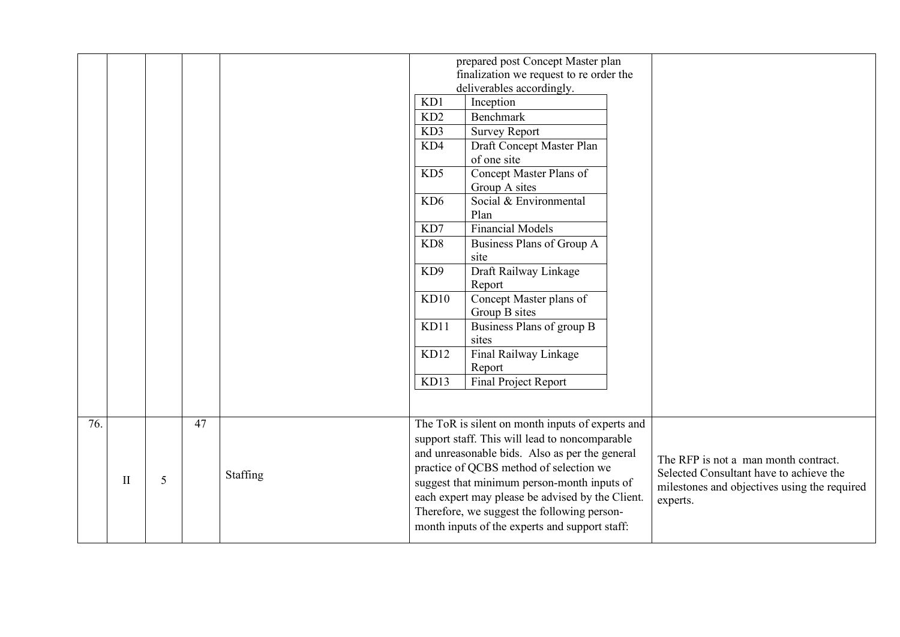|     |              |   |    |          | prepared post Concept Master plan<br>finalization we request to re order the |                                                  |  |                                              |  |  |
|-----|--------------|---|----|----------|------------------------------------------------------------------------------|--------------------------------------------------|--|----------------------------------------------|--|--|
|     |              |   |    |          |                                                                              | deliverables accordingly.                        |  |                                              |  |  |
|     |              |   |    |          | KD1                                                                          | Inception                                        |  |                                              |  |  |
|     |              |   |    |          | KD <sub>2</sub>                                                              | <b>Benchmark</b>                                 |  |                                              |  |  |
|     |              |   |    |          | KD3                                                                          | <b>Survey Report</b>                             |  |                                              |  |  |
|     |              |   |    |          | KD4                                                                          | Draft Concept Master Plan                        |  |                                              |  |  |
|     |              |   |    |          |                                                                              | of one site                                      |  |                                              |  |  |
|     |              |   |    |          | KD5                                                                          | Concept Master Plans of                          |  |                                              |  |  |
|     |              |   |    |          |                                                                              | Group A sites                                    |  |                                              |  |  |
|     |              |   |    |          | KD <sub>6</sub>                                                              | Social & Environmental                           |  |                                              |  |  |
|     |              |   |    |          |                                                                              | Plan                                             |  |                                              |  |  |
|     |              |   |    |          | KD7                                                                          | <b>Financial Models</b>                          |  |                                              |  |  |
|     |              |   |    |          | KD <sub>8</sub>                                                              | Business Plans of Group A                        |  |                                              |  |  |
|     |              |   |    |          |                                                                              | site                                             |  |                                              |  |  |
|     |              |   |    |          | KD <sub>9</sub>                                                              | Draft Railway Linkage                            |  |                                              |  |  |
|     |              |   |    |          |                                                                              | Report                                           |  |                                              |  |  |
|     |              |   |    |          | KD10                                                                         | Concept Master plans of                          |  |                                              |  |  |
|     |              |   |    |          |                                                                              | Group B sites                                    |  |                                              |  |  |
|     |              |   |    |          | KD11                                                                         | Business Plans of group B<br>sites               |  |                                              |  |  |
|     |              |   |    |          | KD12                                                                         | Final Railway Linkage                            |  |                                              |  |  |
|     |              |   |    |          |                                                                              | Report                                           |  |                                              |  |  |
|     |              |   |    |          | KD13                                                                         | <b>Final Project Report</b>                      |  |                                              |  |  |
|     |              |   |    |          |                                                                              |                                                  |  |                                              |  |  |
| 76. |              |   | 47 |          |                                                                              | The ToR is silent on month inputs of experts and |  |                                              |  |  |
|     |              |   |    |          |                                                                              | support staff. This will lead to noncomparable   |  |                                              |  |  |
|     |              |   |    |          |                                                                              | and unreasonable bids. Also as per the general   |  | The RFP is not a man month contract.         |  |  |
|     |              |   |    | Staffing |                                                                              | practice of QCBS method of selection we          |  | Selected Consultant have to achieve the      |  |  |
|     | $\mathbf{I}$ | 5 |    |          |                                                                              | suggest that minimum person-month inputs of      |  | milestones and objectives using the required |  |  |
|     |              |   |    |          |                                                                              | each expert may please be advised by the Client. |  | experts.                                     |  |  |
|     |              |   |    |          |                                                                              | Therefore, we suggest the following person-      |  |                                              |  |  |
|     |              |   |    |          | month inputs of the experts and support staff:                               |                                                  |  |                                              |  |  |
|     |              |   |    |          |                                                                              |                                                  |  |                                              |  |  |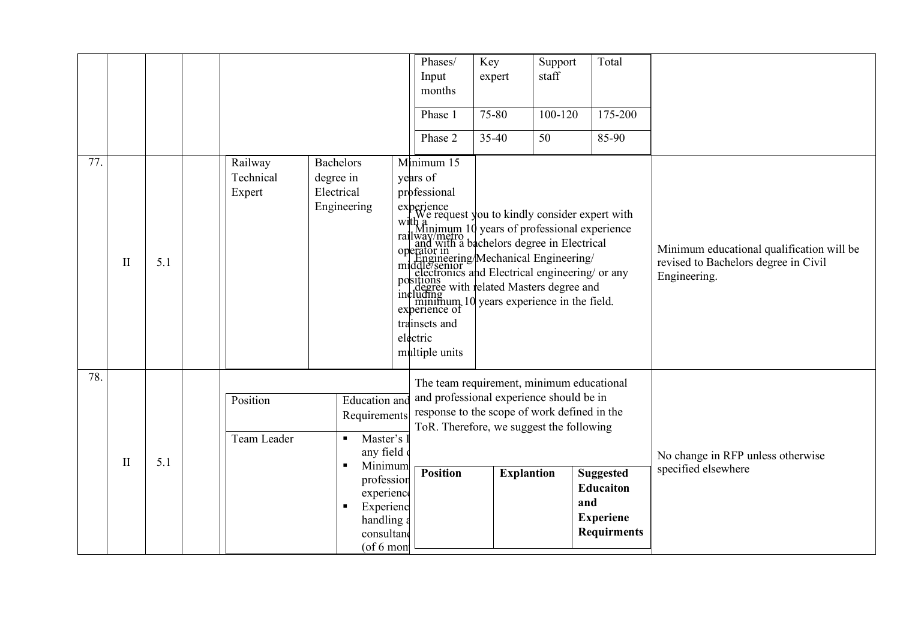|     |              |     |                                |                                                                                                                                                                                   | Phases/<br>Input<br>months<br>Phase 1<br>Phase 2                                      | Key<br>expert<br>75-80<br>35-40 | Support<br>staff<br>100-120<br>50                                                                                                                                                                                                                                                                                                                                                                                                                                           | Total<br>175-200<br>85-90                                                             |                                                                                                   |
|-----|--------------|-----|--------------------------------|-----------------------------------------------------------------------------------------------------------------------------------------------------------------------------------|---------------------------------------------------------------------------------------|---------------------------------|-----------------------------------------------------------------------------------------------------------------------------------------------------------------------------------------------------------------------------------------------------------------------------------------------------------------------------------------------------------------------------------------------------------------------------------------------------------------------------|---------------------------------------------------------------------------------------|---------------------------------------------------------------------------------------------------|
| 77. | $\mathbf{I}$ | 5.1 | Railway<br>Technical<br>Expert | <b>Bachelors</b><br>degree in<br>Electrical<br>Engineering                                                                                                                        | Minimum 15<br>years of<br>professional<br>trainsets and<br>electric<br>multiple units |                                 | experience<br>$\downarrow$ we request you to kindly consider expert with<br>with a<br>railway/metro<br>railway/metro<br>railway/metro<br>railway/metro<br>perator in<br>operator in<br>perator in Engineering/Mechanical Engineering/<br>indifferent electronics<br>electronics and Electrical engineering/ or any<br>electronics<br>positions<br>and Electrical engineerings of a<br>including<br>including<br>minimum, 10 years experience in the field.<br>experience of |                                                                                       | Minimum educational qualification will be<br>revised to Bachelors degree in Civil<br>Engineering. |
| 78. | $\mathbf{I}$ | 5.1 | Position<br>Team Leader        | <b>Education</b> and<br>Requirements<br>Master's 1<br>$\blacksquare$<br>any field<br>Minimum<br>profession<br>experience<br>Experienc<br>handling a<br>consultano<br>$($ of 6 mon | <b>Position</b>                                                                       | <b>Explantion</b>               | The team requirement, minimum educational<br>and professional experience should be in<br>response to the scope of work defined in the<br>ToR. Therefore, we suggest the following                                                                                                                                                                                                                                                                                           | <b>Suggested</b><br><b>Educaiton</b><br>and<br><b>Experiene</b><br><b>Requirments</b> | No change in RFP unless otherwise<br>specified elsewhere                                          |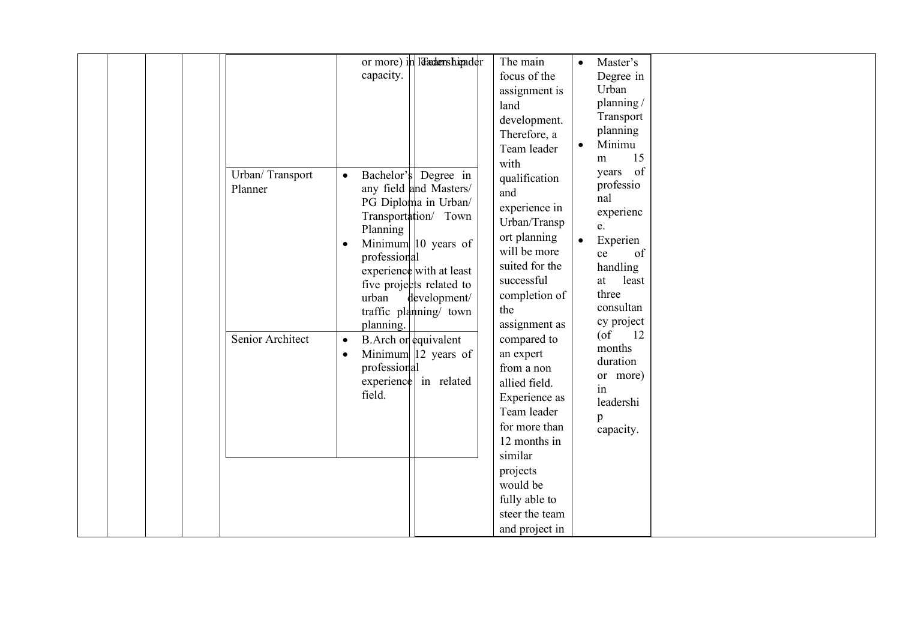|  | Urban/Transport<br>Planner<br>Senior Architect | capacity.<br>Bachelor's<br>$\bullet$<br>Planning<br>$\bullet$<br>professional<br>urban<br>planning.<br>$\bullet$<br>$\bullet$<br>professional<br>field. | or more) in lacadenshipader<br>Degree in<br>any field and Masters/<br>PG Diploma in Urban/<br>Transportation/ Town<br>Minimum 10 years of<br>experience with at least<br>five projects related to<br>development/<br>traffic planning/ town<br>B. Arch or equivalent<br>Minimum $ 12 \text{ years of }$<br>experience in related | The main<br>focus of the<br>assignment is<br>land<br>development.<br>Therefore, a<br>Team leader<br>with<br>qualification<br>and<br>experience in<br>Urban/Transp<br>ort planning<br>will be more<br>suited for the<br>successful<br>completion of<br>the<br>assignment as<br>compared to<br>an expert<br>from a non<br>allied field.<br>Experience as<br>Team leader<br>for more than<br>12 months in<br>similar<br>projects | Master's<br>$\bullet$<br>Degree in<br>Urban<br>planning/<br>Transport<br>planning<br>Minimu<br>$\bullet$<br>15<br>m<br>years of<br>professio<br>nal<br>experienc<br>e.<br>Experien<br>$\bullet$<br>of<br>ce<br>handling<br>least<br>at<br>three<br>consultan<br>cy project<br>$($ of<br>12<br>months<br>duration<br>or more)<br>in<br>leadershi<br>p<br>capacity. |  |
|--|------------------------------------------------|---------------------------------------------------------------------------------------------------------------------------------------------------------|----------------------------------------------------------------------------------------------------------------------------------------------------------------------------------------------------------------------------------------------------------------------------------------------------------------------------------|-------------------------------------------------------------------------------------------------------------------------------------------------------------------------------------------------------------------------------------------------------------------------------------------------------------------------------------------------------------------------------------------------------------------------------|-------------------------------------------------------------------------------------------------------------------------------------------------------------------------------------------------------------------------------------------------------------------------------------------------------------------------------------------------------------------|--|
|  |                                                |                                                                                                                                                         |                                                                                                                                                                                                                                                                                                                                  | would be<br>fully able to<br>steer the team<br>and project in                                                                                                                                                                                                                                                                                                                                                                 |                                                                                                                                                                                                                                                                                                                                                                   |  |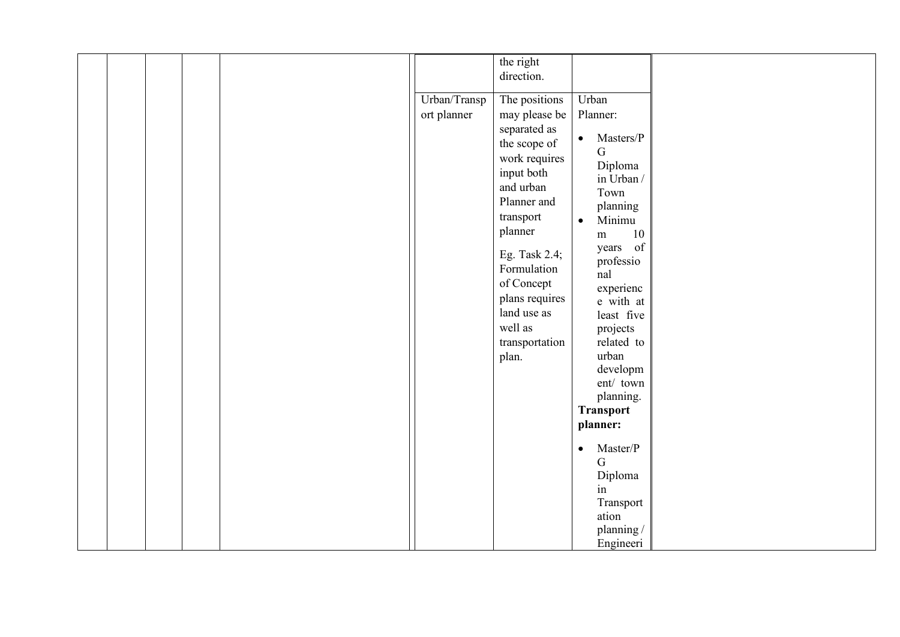| the right<br>direction.<br>Urban/Transp<br>Urban<br>The positions<br>ort planner<br>Planner:<br>may please be |  |
|---------------------------------------------------------------------------------------------------------------|--|
|                                                                                                               |  |
|                                                                                                               |  |
|                                                                                                               |  |
|                                                                                                               |  |
|                                                                                                               |  |
|                                                                                                               |  |
| separated as<br>Masters/P<br>$\bullet$                                                                        |  |
| the scope of<br>$\mathbf G$                                                                                   |  |
| work requires                                                                                                 |  |
| Diploma<br>input both                                                                                         |  |
| in Urban /<br>and urban                                                                                       |  |
| Town                                                                                                          |  |
| Planner and<br>planning                                                                                       |  |
| transport<br>Minimu<br>$\bullet$                                                                              |  |
| planner<br>10<br>m                                                                                            |  |
|                                                                                                               |  |
| years of<br>Eg. Task 2.4;                                                                                     |  |
| professio<br>Formulation                                                                                      |  |
| nal                                                                                                           |  |
| of Concept<br>experienc                                                                                       |  |
| plans requires<br>e with at                                                                                   |  |
| land use as<br>least five                                                                                     |  |
| well as<br>projects                                                                                           |  |
| related to<br>transportation                                                                                  |  |
| urban                                                                                                         |  |
| plan.                                                                                                         |  |
| developm                                                                                                      |  |
| ent/ town                                                                                                     |  |
| planning.                                                                                                     |  |
| <b>Transport</b>                                                                                              |  |
| planner:                                                                                                      |  |
|                                                                                                               |  |
| Master/P<br>$\bullet$                                                                                         |  |
| $\mathbf G$                                                                                                   |  |
| Diploma                                                                                                       |  |
| in                                                                                                            |  |
| Transport                                                                                                     |  |
| ation                                                                                                         |  |
| planning/                                                                                                     |  |
| Engineeri                                                                                                     |  |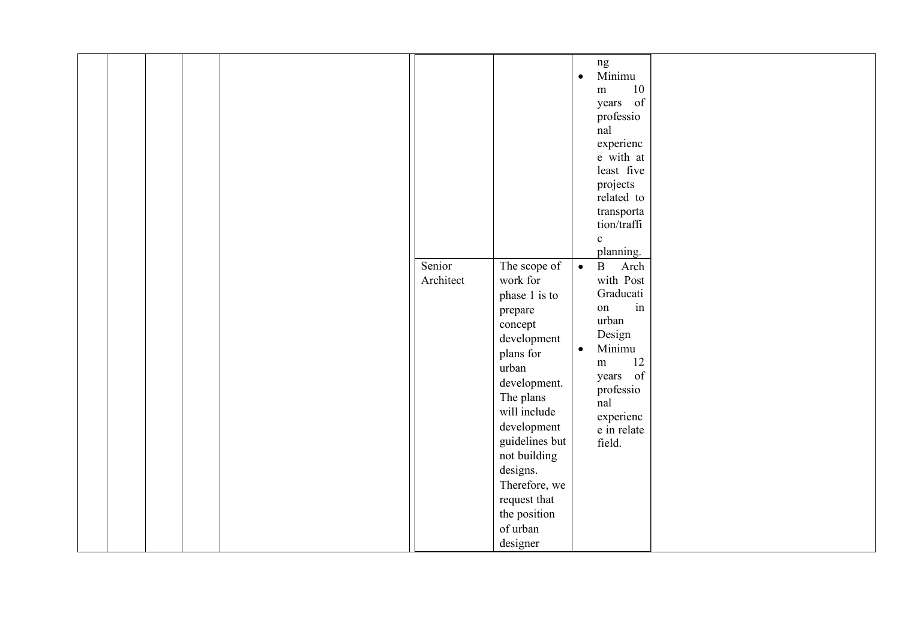|  |  |                     |                                                                                                                                                                                                                      | ng<br>Minimu<br>$\bullet$                                                                                                                                                                                                                                                                     |  |
|--|--|---------------------|----------------------------------------------------------------------------------------------------------------------------------------------------------------------------------------------------------------------|-----------------------------------------------------------------------------------------------------------------------------------------------------------------------------------------------------------------------------------------------------------------------------------------------|--|
|  |  | Senior<br>Architect | The scope of<br>work for<br>phase 1 is to<br>prepare<br>concept                                                                                                                                                      | 10<br>${\rm m}$<br>of<br>years<br>professio<br>nal<br>experienc<br>e with at<br>least five<br>projects<br>related to<br>transporta<br>tion/traffi<br>$\mathbf{c}$<br>planning.<br>$\, {\bf B}$<br>$\bullet$<br>Arch<br>with Post<br>Graducati<br>$\operatorname{in}$<br>on<br>urban<br>Design |  |
|  |  |                     | development<br>plans for<br>urban<br>development.<br>The plans<br>will include<br>development<br>guidelines but<br>not building<br>designs.<br>Therefore, we<br>request that<br>the position<br>of urban<br>designer | Minimu<br>$\bullet$<br>12<br>m<br>years of<br>professio<br>nal<br>experienc<br>e in relate<br>field.                                                                                                                                                                                          |  |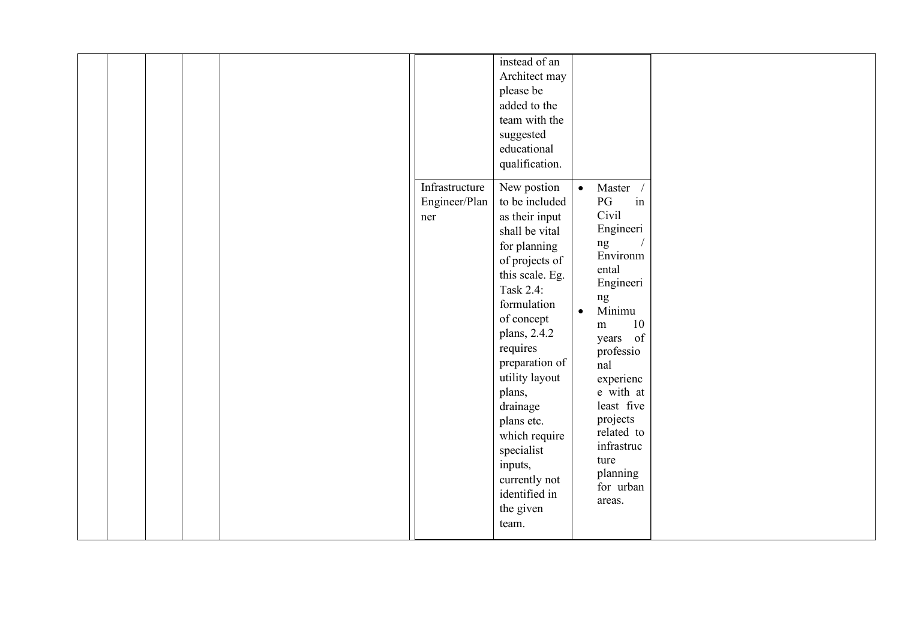|  |  |  |  | Infrastructure<br>Engineer/Plan<br>ner | instead of an<br>Architect may<br>please be<br>added to the<br>team with the<br>suggested<br>educational<br>qualification.<br>New postion<br>to be included<br>as their input<br>shall be vital<br>for planning<br>of projects of<br>this scale. Eg.<br>Task 2.4:<br>formulation<br>of concept<br>plans, 2.4.2<br>requires<br>preparation of<br>utility layout<br>plans,<br>drainage<br>plans etc.<br>which require<br>specialist<br>inputs,<br>currently not<br>identified in | $\bullet$<br>Master<br>in<br>PG<br>Civil<br>Engineeri<br>ng<br>Environm<br>ental<br>Engineeri<br>ng<br>Minimu<br>$\bullet$<br>10<br>${\rm m}$<br>years of<br>professio<br>nal<br>experienc<br>e with at<br>least five<br>projects<br>related to<br>infrastruc<br>ture<br>planning<br>for urban<br>areas. |  |
|--|--|--|--|----------------------------------------|--------------------------------------------------------------------------------------------------------------------------------------------------------------------------------------------------------------------------------------------------------------------------------------------------------------------------------------------------------------------------------------------------------------------------------------------------------------------------------|----------------------------------------------------------------------------------------------------------------------------------------------------------------------------------------------------------------------------------------------------------------------------------------------------------|--|
|--|--|--|--|----------------------------------------|--------------------------------------------------------------------------------------------------------------------------------------------------------------------------------------------------------------------------------------------------------------------------------------------------------------------------------------------------------------------------------------------------------------------------------------------------------------------------------|----------------------------------------------------------------------------------------------------------------------------------------------------------------------------------------------------------------------------------------------------------------------------------------------------------|--|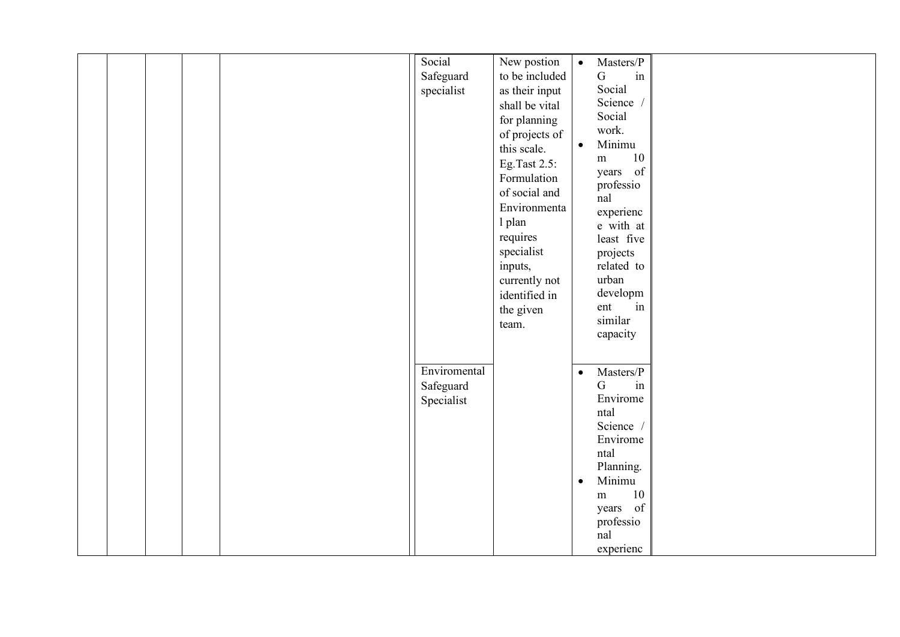|  |  | Social       | New postion    | $\bullet$ | Masters/P           |  |
|--|--|--------------|----------------|-----------|---------------------|--|
|  |  |              |                |           |                     |  |
|  |  | Safeguard    | to be included |           | $\mathbf G$<br>in   |  |
|  |  | specialist   | as their input |           | Social              |  |
|  |  |              | shall be vital |           | Science /           |  |
|  |  |              | for planning   |           | Social              |  |
|  |  |              | of projects of |           | work.               |  |
|  |  |              |                | $\bullet$ | Minimu              |  |
|  |  |              | this scale.    |           | 10<br>m             |  |
|  |  |              | Eg.Tast 2.5:   |           | years of            |  |
|  |  |              | Formulation    |           |                     |  |
|  |  |              | of social and  |           | professio           |  |
|  |  |              | Environmenta   |           | nal                 |  |
|  |  |              |                |           | experienc           |  |
|  |  |              | 1 plan         |           | e with at           |  |
|  |  |              | requires       |           | least five          |  |
|  |  |              | specialist     |           | projects            |  |
|  |  |              | inputs,        |           | related to          |  |
|  |  |              | currently not  |           | urban               |  |
|  |  |              | identified in  |           | developm            |  |
|  |  |              |                |           | ent<br>in           |  |
|  |  |              | the given      |           | similar             |  |
|  |  |              | team.          |           |                     |  |
|  |  |              |                |           | capacity            |  |
|  |  |              |                |           |                     |  |
|  |  |              |                |           |                     |  |
|  |  | Enviromental |                | $\bullet$ | Masters/P           |  |
|  |  | Safeguard    |                |           | $\mathbf G$<br>in   |  |
|  |  | Specialist   |                |           | Envirome            |  |
|  |  |              |                |           | ntal                |  |
|  |  |              |                |           | Science /           |  |
|  |  |              |                |           | Envirome            |  |
|  |  |              |                |           | ntal                |  |
|  |  |              |                |           | Planning.           |  |
|  |  |              |                | $\bullet$ | Minimu              |  |
|  |  |              |                |           |                     |  |
|  |  |              |                |           | $10\,$<br>${\rm m}$ |  |
|  |  |              |                |           | years of            |  |
|  |  |              |                |           | professio           |  |
|  |  |              |                |           | nal                 |  |
|  |  |              |                |           | experienc           |  |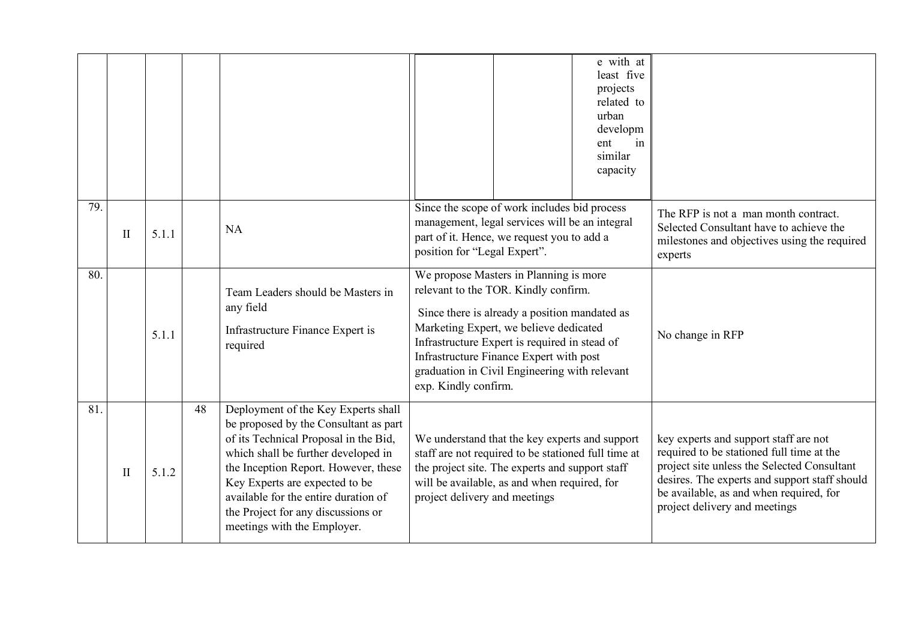|     |              |       |    |                                                                                                                                                                                                                                                                                                                                                     | e with at<br>least five<br>projects<br>related to<br>urban<br>developm<br>ent<br>in<br>similar<br>capacity                                                                                                                                                                                                                                     |                                                                                                                                                                                                                                                                |
|-----|--------------|-------|----|-----------------------------------------------------------------------------------------------------------------------------------------------------------------------------------------------------------------------------------------------------------------------------------------------------------------------------------------------------|------------------------------------------------------------------------------------------------------------------------------------------------------------------------------------------------------------------------------------------------------------------------------------------------------------------------------------------------|----------------------------------------------------------------------------------------------------------------------------------------------------------------------------------------------------------------------------------------------------------------|
| 79. | $\mathbf{I}$ | 5.1.1 |    | <b>NA</b>                                                                                                                                                                                                                                                                                                                                           | Since the scope of work includes bid process<br>management, legal services will be an integral<br>part of it. Hence, we request you to add a<br>position for "Legal Expert".                                                                                                                                                                   | The RFP is not a man month contract.<br>Selected Consultant have to achieve the<br>milestones and objectives using the required<br>experts                                                                                                                     |
| 80. |              | 5.1.1 |    | Team Leaders should be Masters in<br>any field<br>Infrastructure Finance Expert is<br>required                                                                                                                                                                                                                                                      | We propose Masters in Planning is more<br>relevant to the TOR. Kindly confirm.<br>Since there is already a position mandated as<br>Marketing Expert, we believe dedicated<br>Infrastructure Expert is required in stead of<br>Infrastructure Finance Expert with post<br>graduation in Civil Engineering with relevant<br>exp. Kindly confirm. | No change in RFP                                                                                                                                                                                                                                               |
| 81. | $\mathbf{I}$ | 5.1.2 | 48 | Deployment of the Key Experts shall<br>be proposed by the Consultant as part<br>of its Technical Proposal in the Bid,<br>which shall be further developed in<br>the Inception Report. However, these<br>Key Experts are expected to be<br>available for the entire duration of<br>the Project for any discussions or<br>meetings with the Employer. | We understand that the key experts and support<br>staff are not required to be stationed full time at<br>the project site. The experts and support staff<br>will be available, as and when required, for<br>project delivery and meetings                                                                                                      | key experts and support staff are not<br>required to be stationed full time at the<br>project site unless the Selected Consultant<br>desires. The experts and support staff should<br>be available, as and when required, for<br>project delivery and meetings |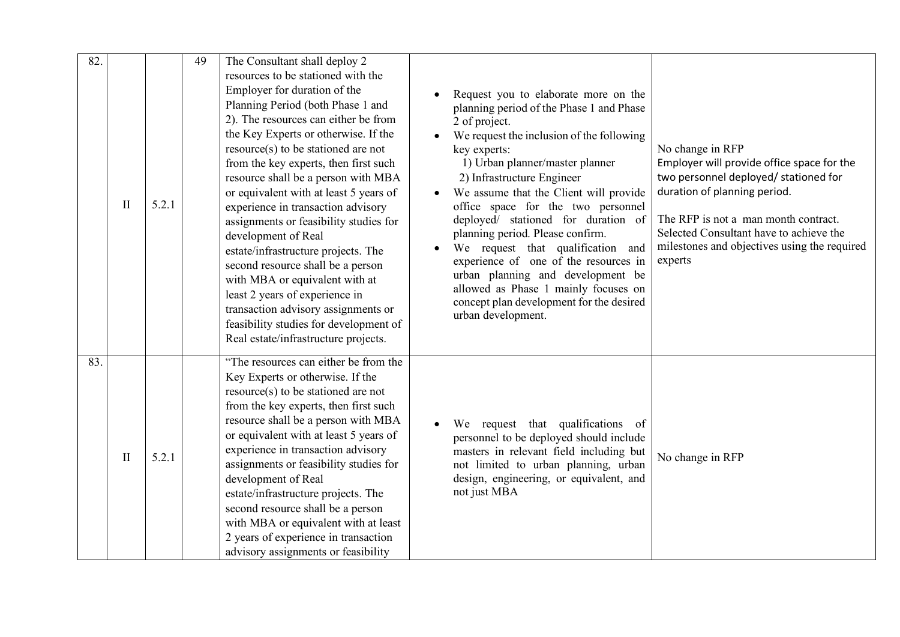| 82. | $\mathbf{I}$ | 5.2.1 | 49 | The Consultant shall deploy 2<br>resources to be stationed with the<br>Employer for duration of the<br>Planning Period (both Phase 1 and<br>2). The resources can either be from<br>the Key Experts or otherwise. If the<br>resource(s) to be stationed are not<br>from the key experts, then first such<br>resource shall be a person with MBA<br>or equivalent with at least 5 years of<br>experience in transaction advisory<br>assignments or feasibility studies for<br>development of Real<br>estate/infrastructure projects. The<br>second resource shall be a person<br>with MBA or equivalent with at<br>least 2 years of experience in<br>transaction advisory assignments or | Request you to elaborate more on the<br>planning period of the Phase 1 and Phase<br>2 of project.<br>We request the inclusion of the following<br>No change in RFP<br>key experts:<br>1) Urban planner/master planner<br>Employer will provide office space for the<br>two personnel deployed/ stationed for<br>2) Infrastructure Engineer<br>duration of planning period.<br>We assume that the Client will provide<br>office space for the two personnel<br>The RFP is not a man month contract.<br>deployed/ stationed for duration of<br>Selected Consultant have to achieve the<br>planning period. Please confirm.<br>milestones and objectives using the required<br>We request that qualification and<br>experience of one of the resources in<br>experts<br>urban planning and development be<br>allowed as Phase 1 mainly focuses on<br>concept plan development for the desired<br>urban development. |
|-----|--------------|-------|----|-----------------------------------------------------------------------------------------------------------------------------------------------------------------------------------------------------------------------------------------------------------------------------------------------------------------------------------------------------------------------------------------------------------------------------------------------------------------------------------------------------------------------------------------------------------------------------------------------------------------------------------------------------------------------------------------|------------------------------------------------------------------------------------------------------------------------------------------------------------------------------------------------------------------------------------------------------------------------------------------------------------------------------------------------------------------------------------------------------------------------------------------------------------------------------------------------------------------------------------------------------------------------------------------------------------------------------------------------------------------------------------------------------------------------------------------------------------------------------------------------------------------------------------------------------------------------------------------------------------------|
| 83. | $\mathbf{I}$ | 5.2.1 |    | feasibility studies for development of<br>Real estate/infrastructure projects.<br>"The resources can either be from the<br>Key Experts or otherwise. If the<br>resource(s) to be stationed are not<br>from the key experts, then first such<br>resource shall be a person with MBA<br>or equivalent with at least 5 years of<br>experience in transaction advisory<br>assignments or feasibility studies for<br>development of Real<br>estate/infrastructure projects. The<br>second resource shall be a person<br>with MBA or equivalent with at least<br>2 years of experience in transaction<br>advisory assignments or feasibility                                                  | We request that qualifications of<br>personnel to be deployed should include<br>masters in relevant field including but<br>No change in RFP<br>not limited to urban planning, urban<br>design, engineering, or equivalent, and<br>not just MBA                                                                                                                                                                                                                                                                                                                                                                                                                                                                                                                                                                                                                                                                   |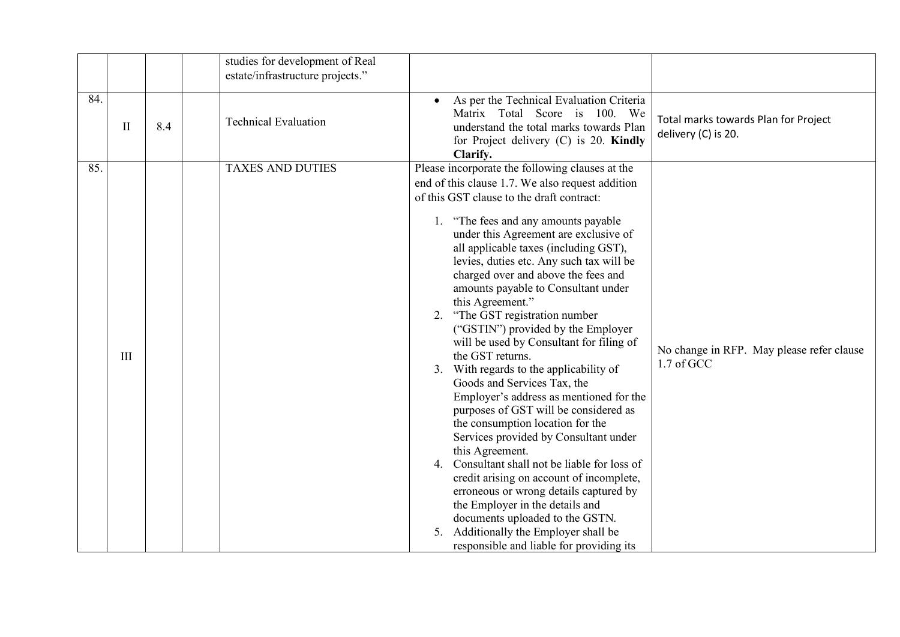|     |              |     | studies for development of Real<br>estate/infrastructure projects." |                                                                                                                                                                                                                                                                                                                                                                                                                                                                                                                                                                                                                                                                                                                                                                                                                                                                                                                                                                                                                                                                                                                                         |                                                             |
|-----|--------------|-----|---------------------------------------------------------------------|-----------------------------------------------------------------------------------------------------------------------------------------------------------------------------------------------------------------------------------------------------------------------------------------------------------------------------------------------------------------------------------------------------------------------------------------------------------------------------------------------------------------------------------------------------------------------------------------------------------------------------------------------------------------------------------------------------------------------------------------------------------------------------------------------------------------------------------------------------------------------------------------------------------------------------------------------------------------------------------------------------------------------------------------------------------------------------------------------------------------------------------------|-------------------------------------------------------------|
| 84. | $\mathbf{I}$ | 8.4 | <b>Technical Evaluation</b>                                         | As per the Technical Evaluation Criteria<br>Matrix Total Score is 100. We<br>understand the total marks towards Plan<br>for Project delivery $(C)$ is 20. Kindly<br>Clarify.                                                                                                                                                                                                                                                                                                                                                                                                                                                                                                                                                                                                                                                                                                                                                                                                                                                                                                                                                            | Total marks towards Plan for Project<br>delivery (C) is 20. |
| 85. | III          |     | <b>TAXES AND DUTIES</b>                                             | Please incorporate the following clauses at the<br>end of this clause 1.7. We also request addition<br>of this GST clause to the draft contract:<br>1. "The fees and any amounts payable<br>under this Agreement are exclusive of<br>all applicable taxes (including GST),<br>levies, duties etc. Any such tax will be<br>charged over and above the fees and<br>amounts payable to Consultant under<br>this Agreement."<br>"The GST registration number<br>2.<br>("GSTIN") provided by the Employer<br>will be used by Consultant for filing of<br>the GST returns.<br>3. With regards to the applicability of<br>Goods and Services Tax, the<br>Employer's address as mentioned for the<br>purposes of GST will be considered as<br>the consumption location for the<br>Services provided by Consultant under<br>this Agreement.<br>4. Consultant shall not be liable for loss of<br>credit arising on account of incomplete,<br>erroneous or wrong details captured by<br>the Employer in the details and<br>documents uploaded to the GSTN.<br>Additionally the Employer shall be<br>5.<br>responsible and liable for providing its | No change in RFP. May please refer clause<br>1.7 of GCC     |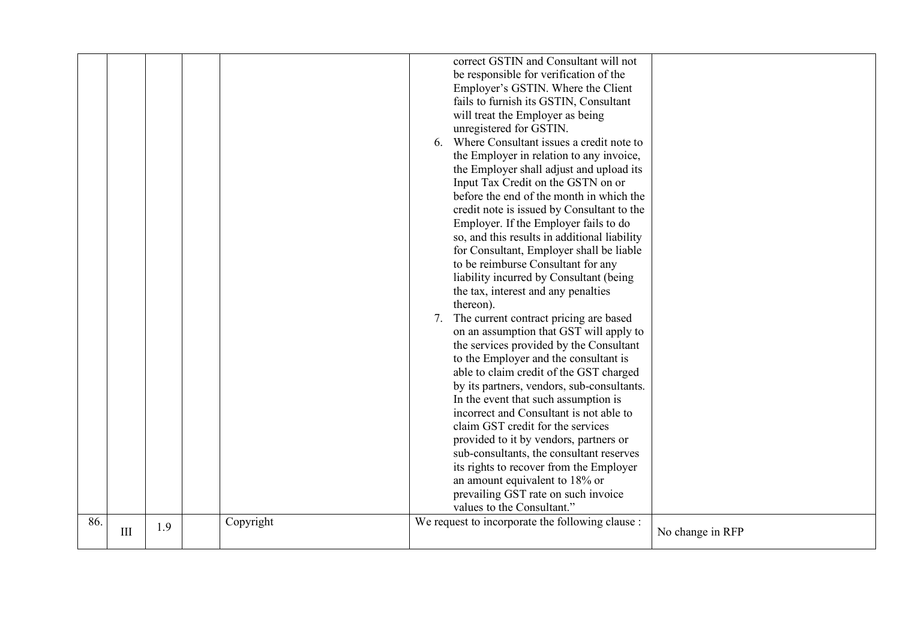|     |     |     |           | correct GSTIN and Consultant will not<br>be responsible for verification of the<br>Employer's GSTIN. Where the Client<br>fails to furnish its GSTIN, Consultant<br>will treat the Employer as being<br>unregistered for GSTIN.<br>6. Where Consultant issues a credit note to<br>the Employer in relation to any invoice,<br>the Employer shall adjust and upload its<br>Input Tax Credit on the GSTN on or<br>before the end of the month in which the<br>credit note is issued by Consultant to the<br>Employer. If the Employer fails to do<br>so, and this results in additional liability<br>for Consultant, Employer shall be liable<br>to be reimburse Consultant for any<br>liability incurred by Consultant (being<br>the tax, interest and any penalties<br>thereon).<br>7. The current contract pricing are based<br>on an assumption that GST will apply to<br>the services provided by the Consultant<br>to the Employer and the consultant is<br>able to claim credit of the GST charged<br>by its partners, vendors, sub-consultants.<br>In the event that such assumption is<br>incorrect and Consultant is not able to<br>claim GST credit for the services<br>provided to it by vendors, partners or<br>sub-consultants, the consultant reserves<br>its rights to recover from the Employer<br>an amount equivalent to 18% or<br>prevailing GST rate on such invoice<br>values to the Consultant." |                  |
|-----|-----|-----|-----------|----------------------------------------------------------------------------------------------------------------------------------------------------------------------------------------------------------------------------------------------------------------------------------------------------------------------------------------------------------------------------------------------------------------------------------------------------------------------------------------------------------------------------------------------------------------------------------------------------------------------------------------------------------------------------------------------------------------------------------------------------------------------------------------------------------------------------------------------------------------------------------------------------------------------------------------------------------------------------------------------------------------------------------------------------------------------------------------------------------------------------------------------------------------------------------------------------------------------------------------------------------------------------------------------------------------------------------------------------------------------------------------------------------------------|------------------|
| 86. | III | 1.9 | Copyright | We request to incorporate the following clause :                                                                                                                                                                                                                                                                                                                                                                                                                                                                                                                                                                                                                                                                                                                                                                                                                                                                                                                                                                                                                                                                                                                                                                                                                                                                                                                                                                     | No change in RFP |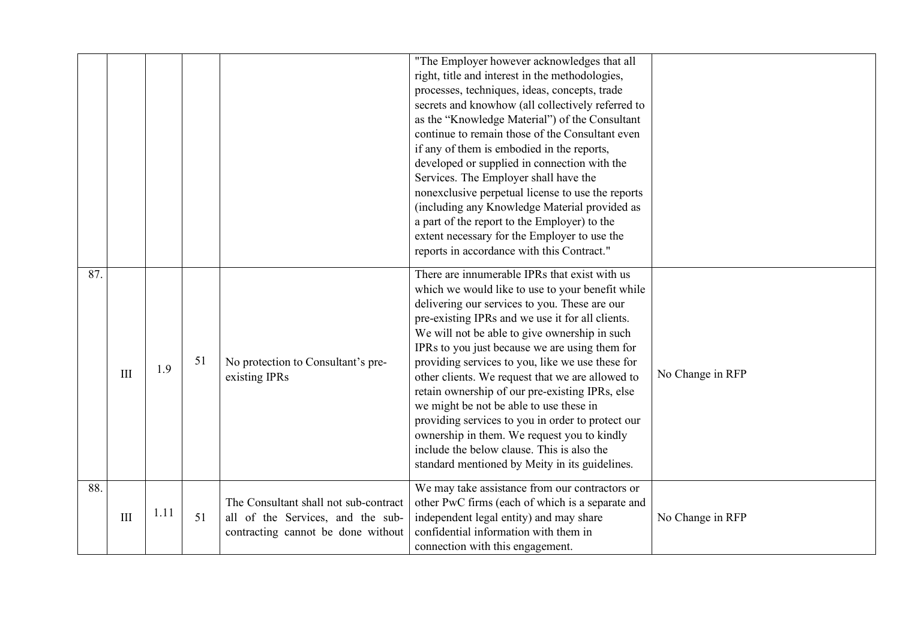|     |     |      |    |                                                                                                                  | "The Employer however acknowledges that all<br>right, title and interest in the methodologies,<br>processes, techniques, ideas, concepts, trade<br>secrets and knowhow (all collectively referred to<br>as the "Knowledge Material") of the Consultant<br>continue to remain those of the Consultant even<br>if any of them is embodied in the reports,<br>developed or supplied in connection with the<br>Services. The Employer shall have the<br>nonexclusive perpetual license to use the reports<br>(including any Knowledge Material provided as<br>a part of the report to the Employer) to the<br>extent necessary for the Employer to use the<br>reports in accordance with this Contract."                |                  |
|-----|-----|------|----|------------------------------------------------------------------------------------------------------------------|---------------------------------------------------------------------------------------------------------------------------------------------------------------------------------------------------------------------------------------------------------------------------------------------------------------------------------------------------------------------------------------------------------------------------------------------------------------------------------------------------------------------------------------------------------------------------------------------------------------------------------------------------------------------------------------------------------------------|------------------|
| 87. | III | 1.9  | 51 | No protection to Consultant's pre-<br>existing IPRs                                                              | There are innumerable IPRs that exist with us<br>which we would like to use to your benefit while<br>delivering our services to you. These are our<br>pre-existing IPRs and we use it for all clients.<br>We will not be able to give ownership in such<br>IPRs to you just because we are using them for<br>providing services to you, like we use these for<br>other clients. We request that we are allowed to<br>retain ownership of our pre-existing IPRs, else<br>we might be not be able to use these in<br>providing services to you in order to protect our<br>ownership in them. We request you to kindly<br>include the below clause. This is also the<br>standard mentioned by Meity in its guidelines. | No Change in RFP |
| 88. | III | 1.11 | 51 | The Consultant shall not sub-contract<br>all of the Services, and the sub-<br>contracting cannot be done without | We may take assistance from our contractors or<br>other PwC firms (each of which is a separate and<br>independent legal entity) and may share<br>confidential information with them in<br>connection with this engagement.                                                                                                                                                                                                                                                                                                                                                                                                                                                                                          | No Change in RFP |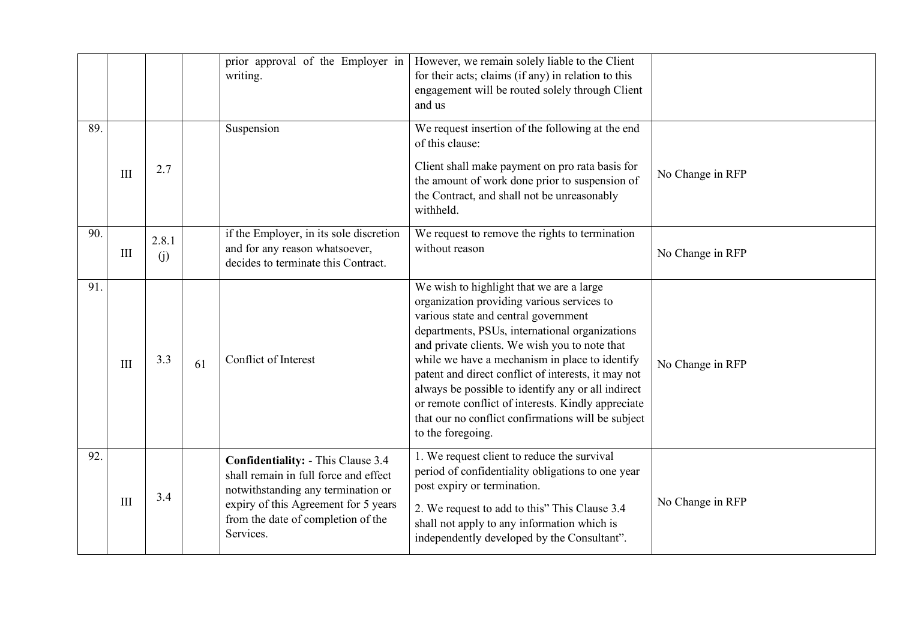|     |     |              |    | prior approval of the Employer in<br>writing.                                                                                                                                                                       | However, we remain solely liable to the Client<br>for their acts; claims (if any) in relation to this<br>engagement will be routed solely through Client<br>and us                                                                                                                                                                                                                                                                                                                                                                |                  |
|-----|-----|--------------|----|---------------------------------------------------------------------------------------------------------------------------------------------------------------------------------------------------------------------|-----------------------------------------------------------------------------------------------------------------------------------------------------------------------------------------------------------------------------------------------------------------------------------------------------------------------------------------------------------------------------------------------------------------------------------------------------------------------------------------------------------------------------------|------------------|
| 89. | III | 2.7          |    | Suspension                                                                                                                                                                                                          | We request insertion of the following at the end<br>of this clause:<br>Client shall make payment on pro rata basis for<br>the amount of work done prior to suspension of<br>the Contract, and shall not be unreasonably<br>withheld.                                                                                                                                                                                                                                                                                              | No Change in RFP |
| 90. | III | 2.8.1<br>(i) |    | if the Employer, in its sole discretion<br>and for any reason whatsoever,<br>decides to terminate this Contract.                                                                                                    | We request to remove the rights to termination<br>without reason                                                                                                                                                                                                                                                                                                                                                                                                                                                                  | No Change in RFP |
| 91. | III | 3.3          | 61 | Conflict of Interest                                                                                                                                                                                                | We wish to highlight that we are a large<br>organization providing various services to<br>various state and central government<br>departments, PSUs, international organizations<br>and private clients. We wish you to note that<br>while we have a mechanism in place to identify<br>patent and direct conflict of interests, it may not<br>always be possible to identify any or all indirect<br>or remote conflict of interests. Kindly appreciate<br>that our no conflict confirmations will be subject<br>to the foregoing. | No Change in RFP |
| 92. | III | 3.4          |    | <b>Confidentiality: - This Clause 3.4</b><br>shall remain in full force and effect<br>notwithstanding any termination or<br>expiry of this Agreement for 5 years<br>from the date of completion of the<br>Services. | 1. We request client to reduce the survival<br>period of confidentiality obligations to one year<br>post expiry or termination.<br>2. We request to add to this" This Clause 3.4<br>shall not apply to any information which is<br>independently developed by the Consultant".                                                                                                                                                                                                                                                    | No Change in RFP |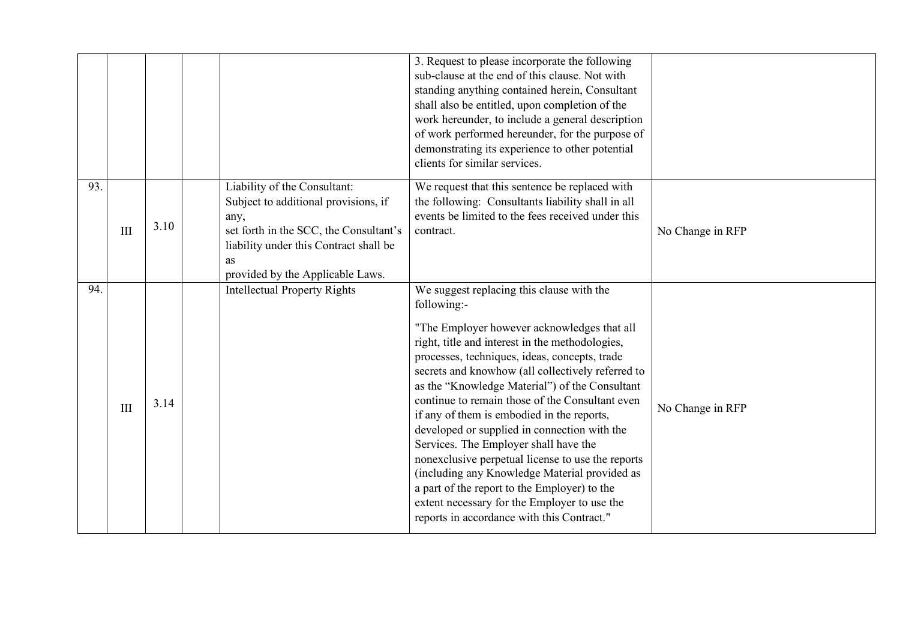|     |     |      |                                                                                                                                                                                                            | 3. Request to please incorporate the following<br>sub-clause at the end of this clause. Not with<br>standing anything contained herein, Consultant<br>shall also be entitled, upon completion of the<br>work hereunder, to include a general description<br>of work performed hereunder, for the purpose of<br>demonstrating its experience to other potential<br>clients for similar services.                                                                                                                                                                                                                                                                                                                                                                  |                  |
|-----|-----|------|------------------------------------------------------------------------------------------------------------------------------------------------------------------------------------------------------------|------------------------------------------------------------------------------------------------------------------------------------------------------------------------------------------------------------------------------------------------------------------------------------------------------------------------------------------------------------------------------------------------------------------------------------------------------------------------------------------------------------------------------------------------------------------------------------------------------------------------------------------------------------------------------------------------------------------------------------------------------------------|------------------|
| 93. | III | 3.10 | Liability of the Consultant:<br>Subject to additional provisions, if<br>any,<br>set forth in the SCC, the Consultant's<br>liability under this Contract shall be<br>as<br>provided by the Applicable Laws. | We request that this sentence be replaced with<br>the following: Consultants liability shall in all<br>events be limited to the fees received under this<br>contract.                                                                                                                                                                                                                                                                                                                                                                                                                                                                                                                                                                                            | No Change in RFP |
| 94. | III | 3.14 | <b>Intellectual Property Rights</b>                                                                                                                                                                        | We suggest replacing this clause with the<br>following:-<br>"The Employer however acknowledges that all<br>right, title and interest in the methodologies,<br>processes, techniques, ideas, concepts, trade<br>secrets and knowhow (all collectively referred to<br>as the "Knowledge Material") of the Consultant<br>continue to remain those of the Consultant even<br>if any of them is embodied in the reports,<br>developed or supplied in connection with the<br>Services. The Employer shall have the<br>nonexclusive perpetual license to use the reports<br>(including any Knowledge Material provided as<br>a part of the report to the Employer) to the<br>extent necessary for the Employer to use the<br>reports in accordance with this Contract." | No Change in RFP |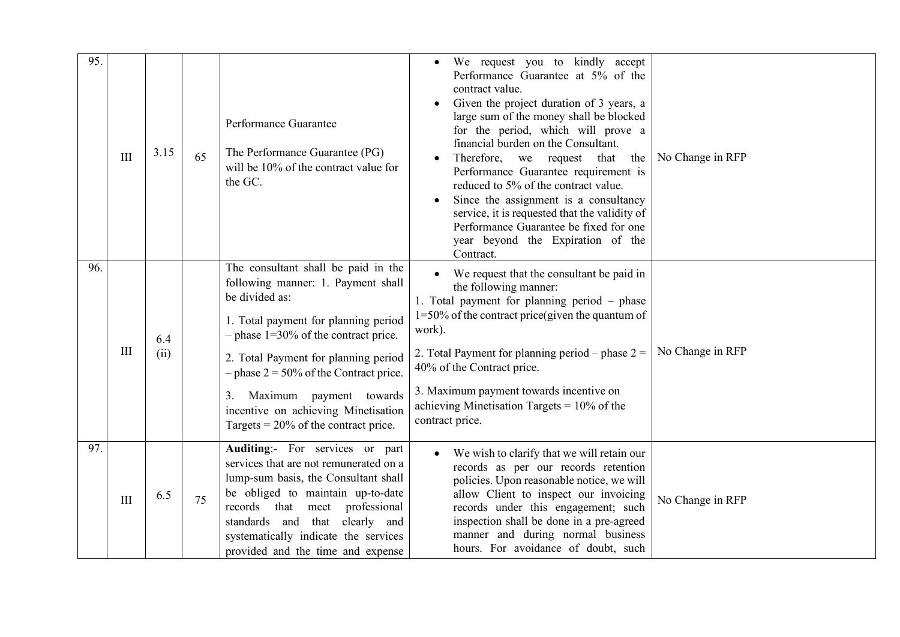| 95. | III | 3.15        | 65 | Performance Guarantee<br>The Performance Guarantee (PG)<br>will be 10% of the contract value for<br>the GC.                                                                                                                                                                                                                                                                          | We request you to kindly accept<br>Performance Guarantee at 5% of the<br>contract value.<br>Given the project duration of 3 years, a<br>large sum of the money shall be blocked<br>for the period, which will prove a<br>financial burden on the Consultant.<br>Therefore, we request that<br>the<br>Performance Guarantee requirement is<br>reduced to 5% of the contract value.<br>Since the assignment is a consultancy<br>service, it is requested that the validity of<br>Performance Guarantee be fixed for one<br>year beyond the Expiration of the<br>Contract. | No Change in RFP |
|-----|-----|-------------|----|--------------------------------------------------------------------------------------------------------------------------------------------------------------------------------------------------------------------------------------------------------------------------------------------------------------------------------------------------------------------------------------|-------------------------------------------------------------------------------------------------------------------------------------------------------------------------------------------------------------------------------------------------------------------------------------------------------------------------------------------------------------------------------------------------------------------------------------------------------------------------------------------------------------------------------------------------------------------------|------------------|
| 96. | III | 6.4<br>(ii) |    | The consultant shall be paid in the<br>following manner: 1. Payment shall<br>be divided as:<br>1. Total payment for planning period<br>$-$ phase 1=30% of the contract price.<br>2. Total Payment for planning period<br>$-$ phase 2 = 50% of the Contract price.<br>Maximum payment towards<br>3.<br>incentive on achieving Minetisation<br>Targets = $20\%$ of the contract price. | We request that the consultant be paid in<br>the following manner:<br>1. Total payment for planning period - phase<br>$1=50\%$ of the contract price(given the quantum of<br>work).<br>2. Total Payment for planning period – phase $2 =$<br>40% of the Contract price.<br>3. Maximum payment towards incentive on<br>achieving Minetisation Targets = $10\%$ of the<br>contract price.                                                                                                                                                                                 | No Change in RFP |
| 97. | III | 6.5         | 75 | Auditing:- For services or part<br>services that are not remunerated on a<br>lump-sum basis, the Consultant shall<br>be obliged to maintain up-to-date<br>records<br>that meet professional<br>standards and that clearly and<br>systematically indicate the services<br>provided and the time and expense                                                                           | We wish to clarify that we will retain our<br>records as per our records retention<br>policies. Upon reasonable notice, we will<br>allow Client to inspect our invoicing<br>records under this engagement; such<br>inspection shall be done in a pre-agreed<br>manner and during normal business<br>hours. For avoidance of doubt, such                                                                                                                                                                                                                                 | No Change in RFP |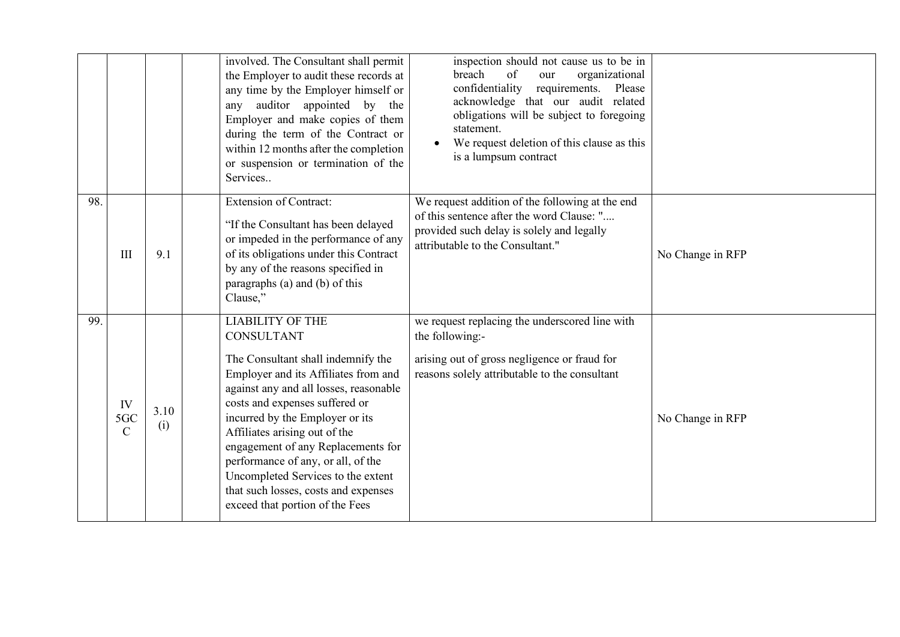|     |                            |             | involved. The Consultant shall permit<br>the Employer to audit these records at<br>any time by the Employer himself or<br>auditor appointed by the<br>any<br>Employer and make copies of them<br>during the term of the Contract or<br>within 12 months after the completion<br>or suspension or termination of the<br>Services                                                                                                                                         | inspection should not cause us to be in<br>of<br>breach<br>organizational<br>our<br>confidentiality<br>requirements.<br>Please<br>acknowledge that our audit related<br>obligations will be subject to foregoing<br>statement.<br>We request deletion of this clause as this<br>is a lumpsum contract |                  |
|-----|----------------------------|-------------|-------------------------------------------------------------------------------------------------------------------------------------------------------------------------------------------------------------------------------------------------------------------------------------------------------------------------------------------------------------------------------------------------------------------------------------------------------------------------|-------------------------------------------------------------------------------------------------------------------------------------------------------------------------------------------------------------------------------------------------------------------------------------------------------|------------------|
| 98. | III                        | 9.1         | <b>Extension of Contract:</b><br>"If the Consultant has been delayed<br>or impeded in the performance of any<br>of its obligations under this Contract<br>by any of the reasons specified in<br>paragraphs (a) and (b) of this<br>Clause,"                                                                                                                                                                                                                              | We request addition of the following at the end<br>of this sentence after the word Clause: "<br>provided such delay is solely and legally<br>attributable to the Consultant."                                                                                                                         | No Change in RFP |
| 99. | IV<br>5GC<br>$\mathcal{C}$ | 3.10<br>(i) | <b>LIABILITY OF THE</b><br><b>CONSULTANT</b><br>The Consultant shall indemnify the<br>Employer and its Affiliates from and<br>against any and all losses, reasonable<br>costs and expenses suffered or<br>incurred by the Employer or its<br>Affiliates arising out of the<br>engagement of any Replacements for<br>performance of any, or all, of the<br>Uncompleted Services to the extent<br>that such losses, costs and expenses<br>exceed that portion of the Fees | we request replacing the underscored line with<br>the following:-<br>arising out of gross negligence or fraud for<br>reasons solely attributable to the consultant                                                                                                                                    | No Change in RFP |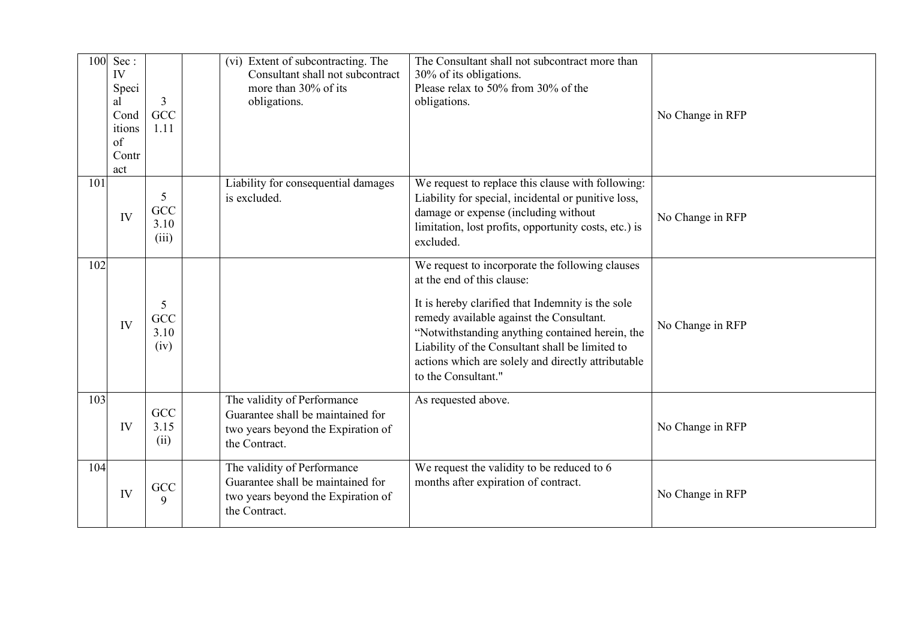| 100  | Sec:<br>IV<br>Speci<br>al<br>Cond<br>itions<br>of<br>Contr<br>act | 3<br>GCC<br>1.11          | (vi) Extent of subcontracting. The<br>Consultant shall not subcontract<br>more than 30% of its<br>obligations.          | The Consultant shall not subcontract more than<br>30% of its obligations.<br>Please relax to 50% from 30% of the<br>obligations.                                                                                                                                                                                                                                  | No Change in RFP |
|------|-------------------------------------------------------------------|---------------------------|-------------------------------------------------------------------------------------------------------------------------|-------------------------------------------------------------------------------------------------------------------------------------------------------------------------------------------------------------------------------------------------------------------------------------------------------------------------------------------------------------------|------------------|
| 101  | IV                                                                | 5<br>GCC<br>3.10<br>(iii) | Liability for consequential damages<br>is excluded.                                                                     | We request to replace this clause with following:<br>Liability for special, incidental or punitive loss,<br>damage or expense (including without<br>limitation, lost profits, opportunity costs, etc.) is<br>excluded.                                                                                                                                            | No Change in RFP |
| 102. | IV                                                                | 5<br>GCC<br>3.10<br>(iv)  |                                                                                                                         | We request to incorporate the following clauses<br>at the end of this clause:<br>It is hereby clarified that Indemnity is the sole<br>remedy available against the Consultant.<br>"Notwithstanding anything contained herein, the<br>Liability of the Consultant shall be limited to<br>actions which are solely and directly attributable<br>to the Consultant." | No Change in RFP |
| 103. | IV                                                                | GCC<br>3.15<br>(ii)       | The validity of Performance<br>Guarantee shall be maintained for<br>two years beyond the Expiration of<br>the Contract. | As requested above.                                                                                                                                                                                                                                                                                                                                               | No Change in RFP |
| 104  | IV                                                                | GCC<br>9                  | The validity of Performance<br>Guarantee shall be maintained for<br>two years beyond the Expiration of<br>the Contract. | We request the validity to be reduced to 6<br>months after expiration of contract.                                                                                                                                                                                                                                                                                | No Change in RFP |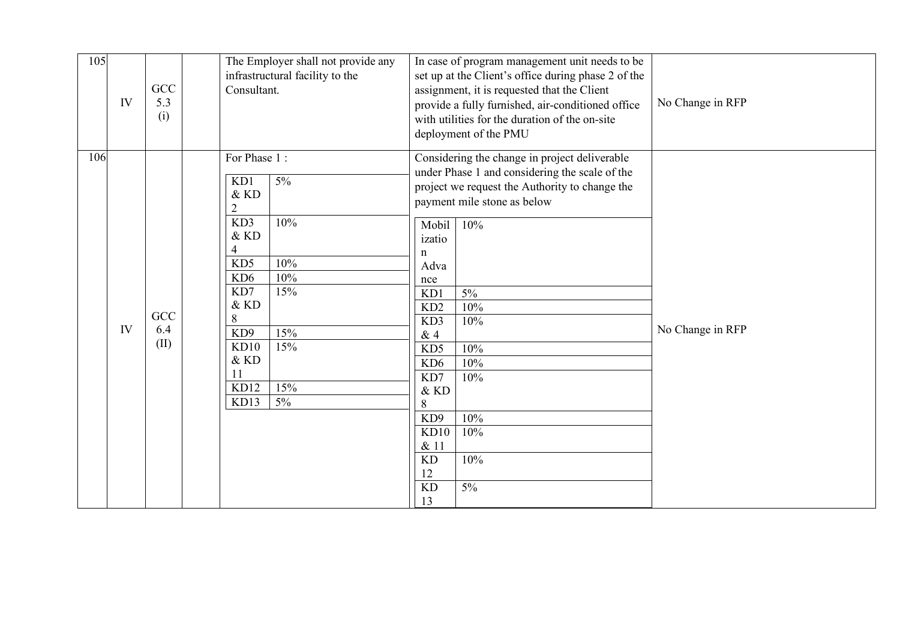| 105 | IV | GCC<br>5.3<br>(i)  | The Employer shall not provide any<br>infrastructural facility to the<br>Consultant.                                                                                                                                                | In case of program management unit needs to be<br>set up at the Client's office during phase 2 of the<br>assignment, it is requested that the Client<br>provide a fully furnished, air-conditioned office<br>with utilities for the duration of the on-site<br>deployment of the PMU                                                                                                                                                            | No Change in RFP |
|-----|----|--------------------|-------------------------------------------------------------------------------------------------------------------------------------------------------------------------------------------------------------------------------------|-------------------------------------------------------------------------------------------------------------------------------------------------------------------------------------------------------------------------------------------------------------------------------------------------------------------------------------------------------------------------------------------------------------------------------------------------|------------------|
| 106 | IV | GCC<br>6.4<br>(II) | For Phase 1:<br>$5\%$<br>KD1<br>$\&$ KD<br>$\overline{2}$<br>10%<br>KD3<br>& KD<br>10%<br>KD5<br>10%<br>KD <sub>6</sub><br>15%<br>KD7<br>& KD<br>8<br>15%<br>KD <sub>9</sub><br>15%<br>KD10<br>& KD<br>15%<br>KD12<br>$5\%$<br>KD13 | Considering the change in project deliverable<br>under Phase 1 and considering the scale of the<br>project we request the Authority to change the<br>payment mile stone as below<br>Mobil<br>10%<br>izatio<br>n<br>Adva<br>nce<br>KD1<br>$5\%$<br>10%<br>KD2<br>10%<br>KD3<br>&4<br>KD5<br>10%<br>10%<br>KD <sub>6</sub><br>KD7<br>10%<br>& KD<br>$8\,$<br>10%<br>KD9<br>KD10<br>10%<br>& 11<br>10%<br><b>KD</b><br>12<br><b>KD</b><br>5%<br>13 | No Change in RFP |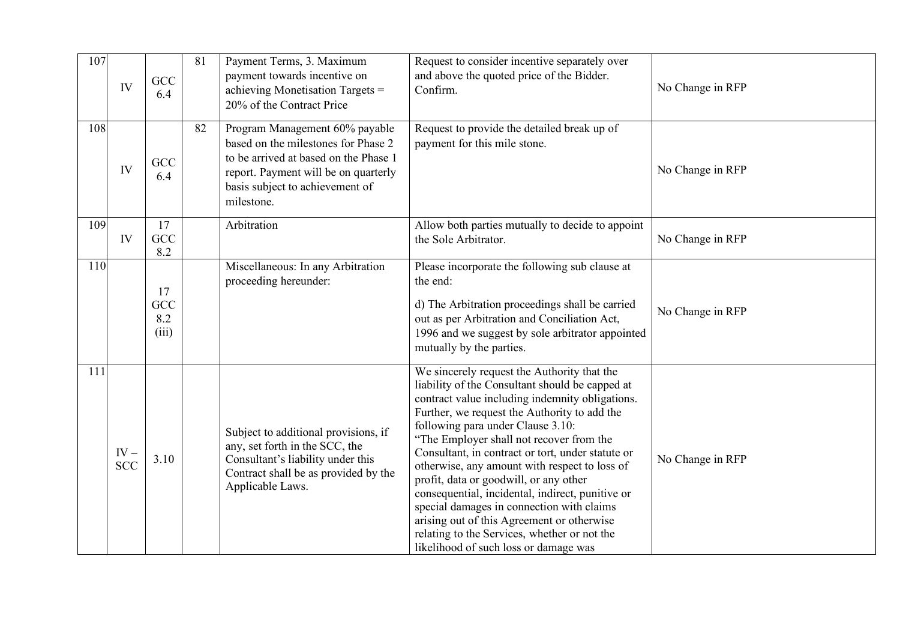| 107 | IV                   | GCC<br>6.4                | 81 | Payment Terms, 3. Maximum<br>payment towards incentive on<br>achieving Monetisation Targets =<br>20% of the Contract Price                                                                              | Request to consider incentive separately over<br>and above the quoted price of the Bidder.<br>Confirm.                                                                                                                                                                                                                                                                                                                                                                                                                                                                                                                                                                     | No Change in RFP |
|-----|----------------------|---------------------------|----|---------------------------------------------------------------------------------------------------------------------------------------------------------------------------------------------------------|----------------------------------------------------------------------------------------------------------------------------------------------------------------------------------------------------------------------------------------------------------------------------------------------------------------------------------------------------------------------------------------------------------------------------------------------------------------------------------------------------------------------------------------------------------------------------------------------------------------------------------------------------------------------------|------------------|
| 108 | IV                   | GCC<br>6.4                | 82 | Program Management 60% payable<br>based on the milestones for Phase 2<br>to be arrived at based on the Phase 1<br>report. Payment will be on quarterly<br>basis subject to achievement of<br>milestone. | Request to provide the detailed break up of<br>payment for this mile stone.                                                                                                                                                                                                                                                                                                                                                                                                                                                                                                                                                                                                | No Change in RFP |
| 109 | IV                   | 17<br>GCC<br>8.2          |    | Arbitration                                                                                                                                                                                             | Allow both parties mutually to decide to appoint<br>the Sole Arbitrator.                                                                                                                                                                                                                                                                                                                                                                                                                                                                                                                                                                                                   | No Change in RFP |
| 110 |                      | 17<br>GCC<br>8.2<br>(iii) |    | Miscellaneous: In any Arbitration<br>proceeding hereunder:                                                                                                                                              | Please incorporate the following sub clause at<br>the end:<br>d) The Arbitration proceedings shall be carried<br>out as per Arbitration and Conciliation Act,<br>1996 and we suggest by sole arbitrator appointed<br>mutually by the parties.                                                                                                                                                                                                                                                                                                                                                                                                                              | No Change in RFP |
| 111 | $IV -$<br><b>SCC</b> | 3.10                      |    | Subject to additional provisions, if<br>any, set forth in the SCC, the<br>Consultant's liability under this<br>Contract shall be as provided by the<br>Applicable Laws.                                 | We sincerely request the Authority that the<br>liability of the Consultant should be capped at<br>contract value including indemnity obligations.<br>Further, we request the Authority to add the<br>following para under Clause 3.10:<br>"The Employer shall not recover from the<br>Consultant, in contract or tort, under statute or<br>otherwise, any amount with respect to loss of<br>profit, data or goodwill, or any other<br>consequential, incidental, indirect, punitive or<br>special damages in connection with claims<br>arising out of this Agreement or otherwise<br>relating to the Services, whether or not the<br>likelihood of such loss or damage was | No Change in RFP |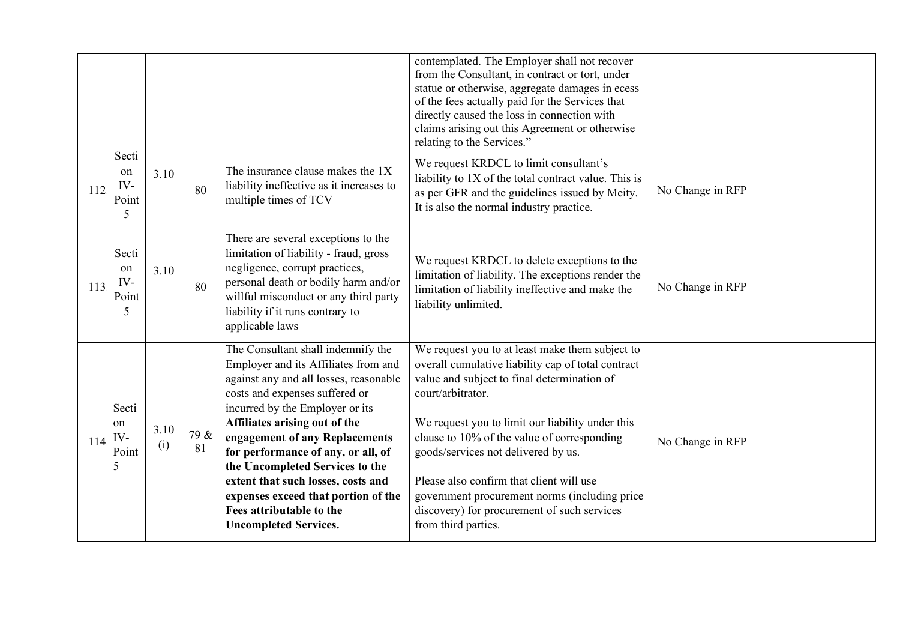|     |                                  |             |            |                                                                                                                                                                                                                                                                                                                                                                                                                                                                                | contemplated. The Employer shall not recover<br>from the Consultant, in contract or tort, under<br>statue or otherwise, aggregate damages in ecess<br>of the fees actually paid for the Services that<br>directly caused the loss in connection with<br>claims arising out this Agreement or otherwise<br>relating to the Services."                                                                                                                                                   |                  |
|-----|----------------------------------|-------------|------------|--------------------------------------------------------------------------------------------------------------------------------------------------------------------------------------------------------------------------------------------------------------------------------------------------------------------------------------------------------------------------------------------------------------------------------------------------------------------------------|----------------------------------------------------------------------------------------------------------------------------------------------------------------------------------------------------------------------------------------------------------------------------------------------------------------------------------------------------------------------------------------------------------------------------------------------------------------------------------------|------------------|
| 112 | Secti<br>on<br>IV-<br>Point<br>5 | 3.10        | 80         | The insurance clause makes the 1X<br>liability ineffective as it increases to<br>multiple times of TCV                                                                                                                                                                                                                                                                                                                                                                         | We request KRDCL to limit consultant's<br>liability to 1X of the total contract value. This is<br>as per GFR and the guidelines issued by Meity.<br>It is also the normal industry practice.                                                                                                                                                                                                                                                                                           | No Change in RFP |
| 113 | Secti<br>on<br>IV-<br>Point<br>5 | 3.10        | 80         | There are several exceptions to the<br>limitation of liability - fraud, gross<br>negligence, corrupt practices,<br>personal death or bodily harm and/or<br>willful misconduct or any third party<br>liability if it runs contrary to<br>applicable laws                                                                                                                                                                                                                        | We request KRDCL to delete exceptions to the<br>limitation of liability. The exceptions render the<br>limitation of liability ineffective and make the<br>liability unlimited.                                                                                                                                                                                                                                                                                                         | No Change in RFP |
| 114 | Secti<br>on<br>IV-<br>Point<br>5 | 3.10<br>(i) | 79 &<br>81 | The Consultant shall indemnify the<br>Employer and its Affiliates from and<br>against any and all losses, reasonable<br>costs and expenses suffered or<br>incurred by the Employer or its<br>Affiliates arising out of the<br>engagement of any Replacements<br>for performance of any, or all, of<br>the Uncompleted Services to the<br>extent that such losses, costs and<br>expenses exceed that portion of the<br>Fees attributable to the<br><b>Uncompleted Services.</b> | We request you to at least make them subject to<br>overall cumulative liability cap of total contract<br>value and subject to final determination of<br>court/arbitrator.<br>We request you to limit our liability under this<br>clause to 10% of the value of corresponding<br>goods/services not delivered by us.<br>Please also confirm that client will use<br>government procurement norms (including price<br>discovery) for procurement of such services<br>from third parties. | No Change in RFP |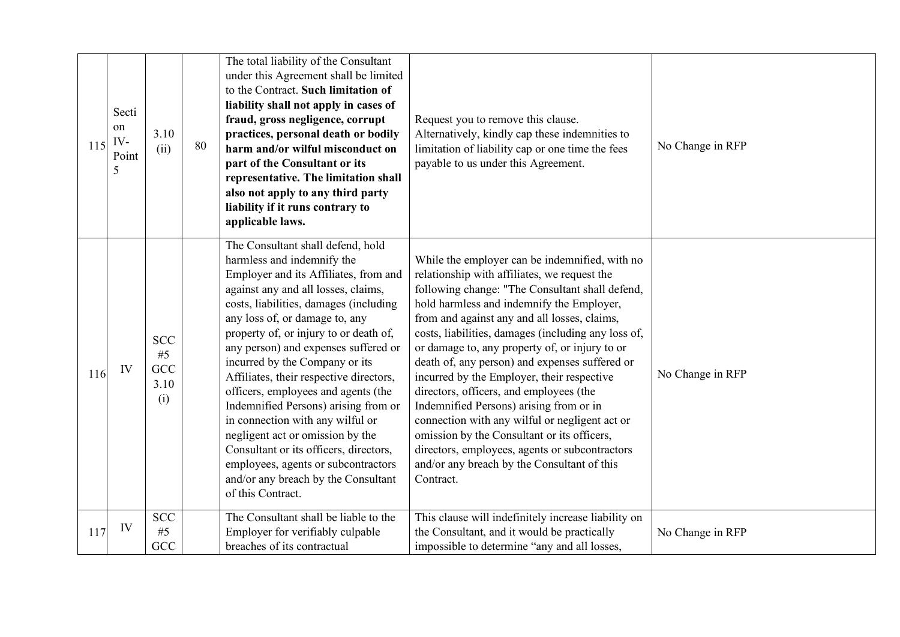| 115 | Secti<br>on<br>IV-<br>Point<br>5 | 3.10<br>(ii)                           | 80 | The total liability of the Consultant<br>under this Agreement shall be limited<br>to the Contract. Such limitation of<br>liability shall not apply in cases of<br>fraud, gross negligence, corrupt<br>practices, personal death or bodily<br>harm and/or wilful misconduct on<br>part of the Consultant or its<br>representative. The limitation shall<br>also not apply to any third party<br>liability if it runs contrary to<br>applicable laws.                                                                                                                                                                                                                                            | Request you to remove this clause.<br>Alternatively, kindly cap these indemnities to<br>limitation of liability cap or one time the fees<br>payable to us under this Agreement.                                                                                                                                                                                                                                                                                                                                                                                                                                                                                                                                                                              | No Change in RFP |
|-----|----------------------------------|----------------------------------------|----|------------------------------------------------------------------------------------------------------------------------------------------------------------------------------------------------------------------------------------------------------------------------------------------------------------------------------------------------------------------------------------------------------------------------------------------------------------------------------------------------------------------------------------------------------------------------------------------------------------------------------------------------------------------------------------------------|--------------------------------------------------------------------------------------------------------------------------------------------------------------------------------------------------------------------------------------------------------------------------------------------------------------------------------------------------------------------------------------------------------------------------------------------------------------------------------------------------------------------------------------------------------------------------------------------------------------------------------------------------------------------------------------------------------------------------------------------------------------|------------------|
| 116 | IV                               | <b>SCC</b><br>#5<br>GCC<br>3.10<br>(i) |    | The Consultant shall defend, hold<br>harmless and indemnify the<br>Employer and its Affiliates, from and<br>against any and all losses, claims,<br>costs, liabilities, damages (including<br>any loss of, or damage to, any<br>property of, or injury to or death of,<br>any person) and expenses suffered or<br>incurred by the Company or its<br>Affiliates, their respective directors,<br>officers, employees and agents (the<br>Indemnified Persons) arising from or<br>in connection with any wilful or<br>negligent act or omission by the<br>Consultant or its officers, directors,<br>employees, agents or subcontractors<br>and/or any breach by the Consultant<br>of this Contract. | While the employer can be indemnified, with no<br>relationship with affiliates, we request the<br>following change: "The Consultant shall defend,<br>hold harmless and indemnify the Employer,<br>from and against any and all losses, claims,<br>costs, liabilities, damages (including any loss of,<br>or damage to, any property of, or injury to or<br>death of, any person) and expenses suffered or<br>incurred by the Employer, their respective<br>directors, officers, and employees (the<br>Indemnified Persons) arising from or in<br>connection with any wilful or negligent act or<br>omission by the Consultant or its officers,<br>directors, employees, agents or subcontractors<br>and/or any breach by the Consultant of this<br>Contract. | No Change in RFP |
| 117 | IV                               | <b>SCC</b><br>#5<br>GCC                |    | The Consultant shall be liable to the<br>Employer for verifiably culpable<br>breaches of its contractual                                                                                                                                                                                                                                                                                                                                                                                                                                                                                                                                                                                       | This clause will indefinitely increase liability on<br>the Consultant, and it would be practically<br>impossible to determine "any and all losses,                                                                                                                                                                                                                                                                                                                                                                                                                                                                                                                                                                                                           | No Change in RFP |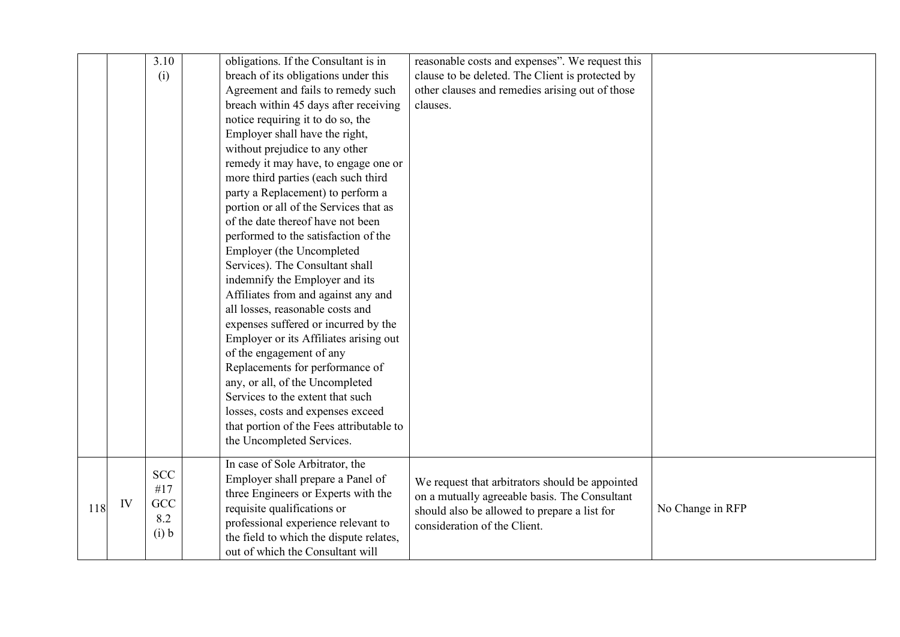|     |    | 3.10       | obligations. If the Consultant is in     | reasonable costs and expenses". We request this  |                  |
|-----|----|------------|------------------------------------------|--------------------------------------------------|------------------|
|     |    | (i)        | breach of its obligations under this     | clause to be deleted. The Client is protected by |                  |
|     |    |            | Agreement and fails to remedy such       | other clauses and remedies arising out of those  |                  |
|     |    |            | breach within 45 days after receiving    | clauses.                                         |                  |
|     |    |            | notice requiring it to do so, the        |                                                  |                  |
|     |    |            | Employer shall have the right,           |                                                  |                  |
|     |    |            | without prejudice to any other           |                                                  |                  |
|     |    |            | remedy it may have, to engage one or     |                                                  |                  |
|     |    |            | more third parties (each such third      |                                                  |                  |
|     |    |            | party a Replacement) to perform a        |                                                  |                  |
|     |    |            | portion or all of the Services that as   |                                                  |                  |
|     |    |            | of the date thereof have not been        |                                                  |                  |
|     |    |            | performed to the satisfaction of the     |                                                  |                  |
|     |    |            | Employer (the Uncompleted                |                                                  |                  |
|     |    |            | Services). The Consultant shall          |                                                  |                  |
|     |    |            | indemnify the Employer and its           |                                                  |                  |
|     |    |            | Affiliates from and against any and      |                                                  |                  |
|     |    |            | all losses, reasonable costs and         |                                                  |                  |
|     |    |            | expenses suffered or incurred by the     |                                                  |                  |
|     |    |            | Employer or its Affiliates arising out   |                                                  |                  |
|     |    |            | of the engagement of any                 |                                                  |                  |
|     |    |            | Replacements for performance of          |                                                  |                  |
|     |    |            | any, or all, of the Uncompleted          |                                                  |                  |
|     |    |            | Services to the extent that such         |                                                  |                  |
|     |    |            | losses, costs and expenses exceed        |                                                  |                  |
|     |    |            | that portion of the Fees attributable to |                                                  |                  |
|     |    |            | the Uncompleted Services.                |                                                  |                  |
|     |    |            | In case of Sole Arbitrator, the          |                                                  |                  |
|     |    | <b>SCC</b> | Employer shall prepare a Panel of        | We request that arbitrators should be appointed  |                  |
|     |    | #17        | three Engineers or Experts with the      | on a mutually agreeable basis. The Consultant    |                  |
| 118 | IV | GCC        | requisite qualifications or              | should also be allowed to prepare a list for     | No Change in RFP |
|     |    | 8.2        | professional experience relevant to      | consideration of the Client.                     |                  |
|     |    | (i) b      | the field to which the dispute relates,  |                                                  |                  |
|     |    |            | out of which the Consultant will         |                                                  |                  |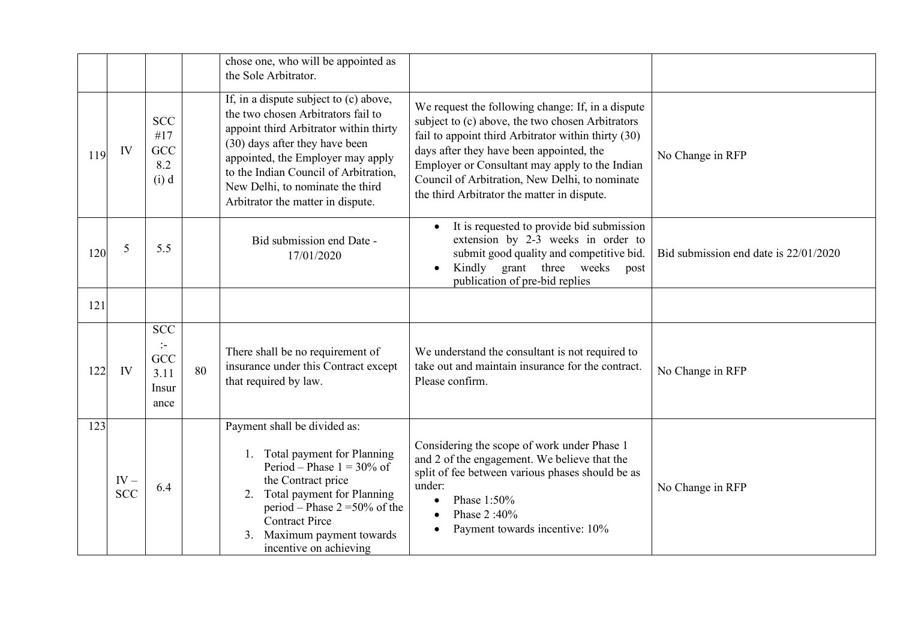|      |                      |                                                                      |    | chose one, who will be appointed as<br>the Sole Arbitrator.                                                                                                                                                                                                                                                     |                                                                                                                                                                                                                                                                                                                                                             |                                       |
|------|----------------------|----------------------------------------------------------------------|----|-----------------------------------------------------------------------------------------------------------------------------------------------------------------------------------------------------------------------------------------------------------------------------------------------------------------|-------------------------------------------------------------------------------------------------------------------------------------------------------------------------------------------------------------------------------------------------------------------------------------------------------------------------------------------------------------|---------------------------------------|
| 119  | IV                   | <b>SCC</b><br>#17<br>GCC<br>8.2<br>(i) d                             |    | If, in a dispute subject to (c) above,<br>the two chosen Arbitrators fail to<br>appoint third Arbitrator within thirty<br>(30) days after they have been<br>appointed, the Employer may apply<br>to the Indian Council of Arbitration,<br>New Delhi, to nominate the third<br>Arbitrator the matter in dispute. | We request the following change: If, in a dispute<br>subject to (c) above, the two chosen Arbitrators<br>fail to appoint third Arbitrator within thirty (30)<br>days after they have been appointed, the<br>Employer or Consultant may apply to the Indian<br>Council of Arbitration, New Delhi, to nominate<br>the third Arbitrator the matter in dispute. | No Change in RFP                      |
| 120  | 5                    | 5.5                                                                  |    | Bid submission end Date -<br>17/01/2020                                                                                                                                                                                                                                                                         | It is requested to provide bid submission<br>extension by 2-3 weeks in order to<br>submit good quality and competitive bid.<br>Kindly grant three weeks<br>post<br>publication of pre-bid replies                                                                                                                                                           | Bid submission end date is 22/01/2020 |
| 121  |                      |                                                                      |    |                                                                                                                                                                                                                                                                                                                 |                                                                                                                                                                                                                                                                                                                                                             |                                       |
| 122  | IV                   | <b>SCC</b><br>$\ddot{\phantom{1}}$ .<br>GCC<br>3.11<br>Insur<br>ance | 80 | There shall be no requirement of<br>insurance under this Contract except<br>that required by law.                                                                                                                                                                                                               | We understand the consultant is not required to<br>take out and maintain insurance for the contract.<br>Please confirm.                                                                                                                                                                                                                                     | No Change in RFP                      |
| 123. | $IV -$<br><b>SCC</b> | 6.4                                                                  |    | Payment shall be divided as:<br>Total payment for Planning<br>1.<br>Period – Phase $1 = 30\%$ of<br>the Contract price<br>Total payment for Planning<br>2.<br>period – Phase $2 = 50\%$ of the<br><b>Contract Pirce</b><br>Maximum payment towards<br>3.<br>incentive on achieving                              | Considering the scope of work under Phase 1<br>and 2 of the engagement. We believe that the<br>split of fee between various phases should be as<br>under:<br>Phase 1:50%<br>$\bullet$<br>Phase 2:40%<br>Payment towards incentive: 10%                                                                                                                      | No Change in RFP                      |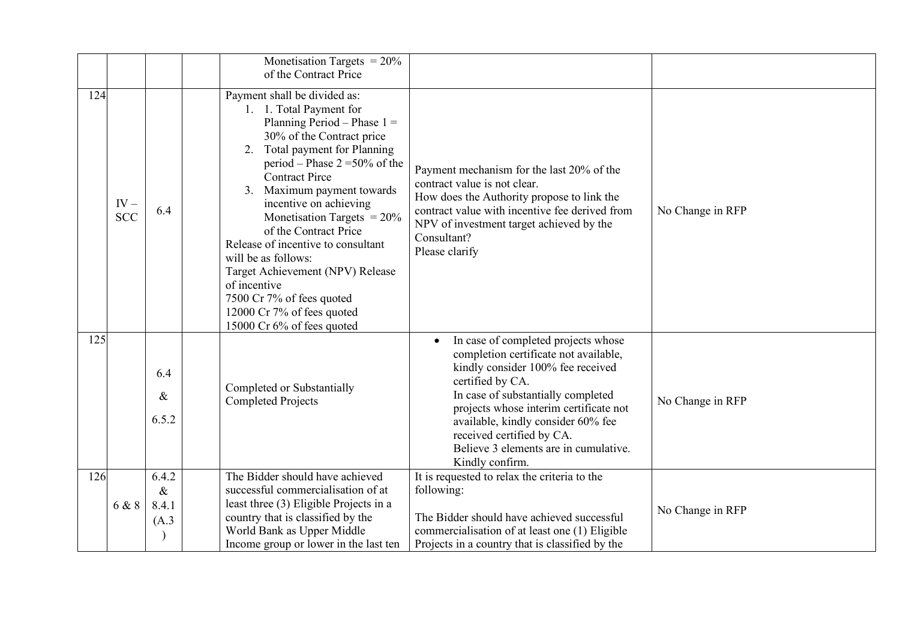|     |                      |                                 | Monetisation Targets = $20\%$<br>of the Contract Price                                                                                                                                                                                                                                                                                                                                                                                                                                                                                          |                                                                                                                                                                                                                                                                                                                                                      |                  |
|-----|----------------------|---------------------------------|-------------------------------------------------------------------------------------------------------------------------------------------------------------------------------------------------------------------------------------------------------------------------------------------------------------------------------------------------------------------------------------------------------------------------------------------------------------------------------------------------------------------------------------------------|------------------------------------------------------------------------------------------------------------------------------------------------------------------------------------------------------------------------------------------------------------------------------------------------------------------------------------------------------|------------------|
| 124 | $IV -$<br><b>SCC</b> | 6.4                             | Payment shall be divided as:<br>1. 1. Total Payment for<br>Planning Period - Phase $1 =$<br>30% of the Contract price<br>2. Total payment for Planning<br>period – Phase $2 = 50\%$ of the<br><b>Contract Pirce</b><br>3. Maximum payment towards<br>incentive on achieving<br>Monetisation Targets = $20\%$<br>of the Contract Price<br>Release of incentive to consultant<br>will be as follows:<br>Target Achievement (NPV) Release<br>of incentive<br>7500 Cr 7% of fees quoted<br>12000 Cr 7% of fees quoted<br>15000 Cr 6% of fees quoted | Payment mechanism for the last 20% of the<br>contract value is not clear.<br>How does the Authority propose to link the<br>contract value with incentive fee derived from<br>NPV of investment target achieved by the<br>Consultant?<br>Please clarify                                                                                               | No Change in RFP |
| 125 |                      | 6.4<br>&<br>6.5.2               | Completed or Substantially<br><b>Completed Projects</b>                                                                                                                                                                                                                                                                                                                                                                                                                                                                                         | In case of completed projects whose<br>completion certificate not available,<br>kindly consider 100% fee received<br>certified by CA.<br>In case of substantially completed<br>projects whose interim certificate not<br>available, kindly consider 60% fee<br>received certified by CA.<br>Believe 3 elements are in cumulative.<br>Kindly confirm. | No Change in RFP |
| 126 | 6 & 8                | 6.4.2<br>$\&$<br>8.4.1<br>(A.3) | The Bidder should have achieved<br>successful commercialisation of at<br>least three (3) Eligible Projects in a<br>country that is classified by the<br>World Bank as Upper Middle<br>Income group or lower in the last ten                                                                                                                                                                                                                                                                                                                     | It is requested to relax the criteria to the<br>following:<br>The Bidder should have achieved successful<br>commercialisation of at least one (1) Eligible<br>Projects in a country that is classified by the                                                                                                                                        | No Change in RFP |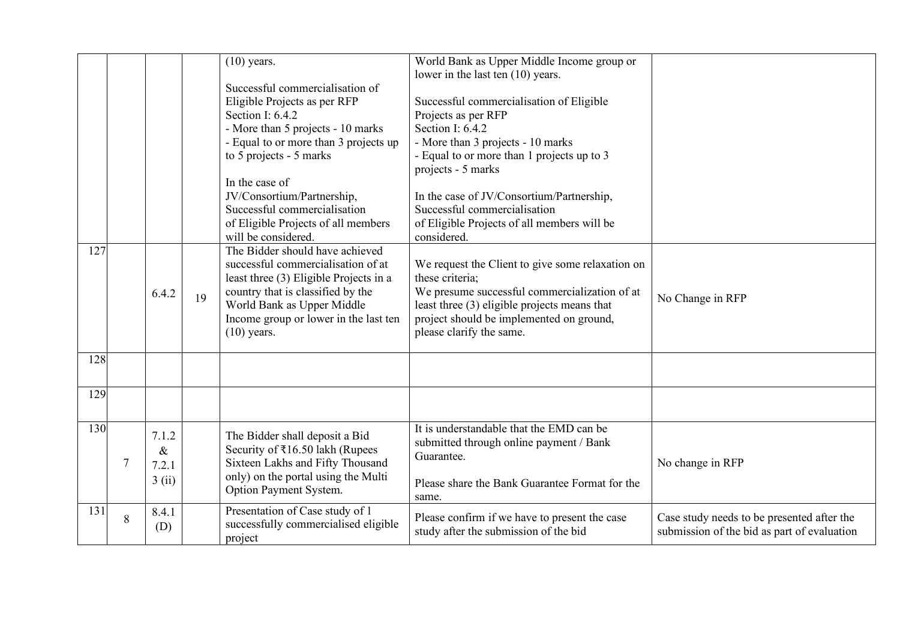|      |        |       |    | $(10)$ years.<br>Successful commercialisation of                | World Bank as Upper Middle Income group or<br>lower in the last ten (10) years. |                                             |
|------|--------|-------|----|-----------------------------------------------------------------|---------------------------------------------------------------------------------|---------------------------------------------|
|      |        |       |    | Eligible Projects as per RFP<br>Section I: 6.4.2                | Successful commercialisation of Eligible<br>Projects as per RFP                 |                                             |
|      |        |       |    | - More than 5 projects - 10 marks                               | Section I: 6.4.2                                                                |                                             |
|      |        |       |    | - Equal to or more than 3 projects up                           | - More than 3 projects - 10 marks                                               |                                             |
|      |        |       |    | to 5 projects - 5 marks                                         | - Equal to or more than 1 projects up to 3                                      |                                             |
|      |        |       |    |                                                                 | projects - 5 marks                                                              |                                             |
|      |        |       |    | In the case of                                                  |                                                                                 |                                             |
|      |        |       |    | JV/Consortium/Partnership,                                      | In the case of JV/Consortium/Partnership,                                       |                                             |
|      |        |       |    | Successful commercialisation                                    | Successful commercialisation                                                    |                                             |
|      |        |       |    | of Eligible Projects of all members                             | of Eligible Projects of all members will be                                     |                                             |
|      |        |       |    | will be considered.                                             | considered.                                                                     |                                             |
| 127. |        |       |    | The Bidder should have achieved                                 |                                                                                 |                                             |
|      |        |       |    | successful commercialisation of at                              | We request the Client to give some relaxation on                                |                                             |
|      |        |       |    | least three (3) Eligible Projects in a                          | these criteria;<br>We presume successful commercialization of at                |                                             |
|      |        | 6.4.2 | 19 | country that is classified by the<br>World Bank as Upper Middle | least three (3) eligible projects means that                                    | No Change in RFP                            |
|      |        |       |    | Income group or lower in the last ten                           | project should be implemented on ground,                                        |                                             |
|      |        |       |    | $(10)$ years.                                                   | please clarify the same.                                                        |                                             |
|      |        |       |    |                                                                 |                                                                                 |                                             |
| 128. |        |       |    |                                                                 |                                                                                 |                                             |
|      |        |       |    |                                                                 |                                                                                 |                                             |
| 129  |        |       |    |                                                                 |                                                                                 |                                             |
|      |        |       |    |                                                                 |                                                                                 |                                             |
| 130  |        | 7.1.2 |    | The Bidder shall deposit a Bid                                  | It is understandable that the EMD can be                                        |                                             |
|      |        | $\&$  |    | Security of ₹16.50 lakh (Rupees                                 | submitted through online payment / Bank                                         |                                             |
|      | $\tau$ | 7.2.1 |    | Sixteen Lakhs and Fifty Thousand                                | Guarantee.                                                                      | No change in RFP                            |
|      |        | 3(i)  |    | only) on the portal using the Multi                             |                                                                                 |                                             |
|      |        |       |    | Option Payment System.                                          | Please share the Bank Guarantee Format for the                                  |                                             |
| 131  |        |       |    | Presentation of Case study of 1                                 | same.                                                                           |                                             |
|      | 8      | 8.4.1 |    | successfully commercialised eligible                            | Please confirm if we have to present the case                                   | Case study needs to be presented after the  |
|      | (D)    |       |    | project                                                         | study after the submission of the bid                                           | submission of the bid as part of evaluation |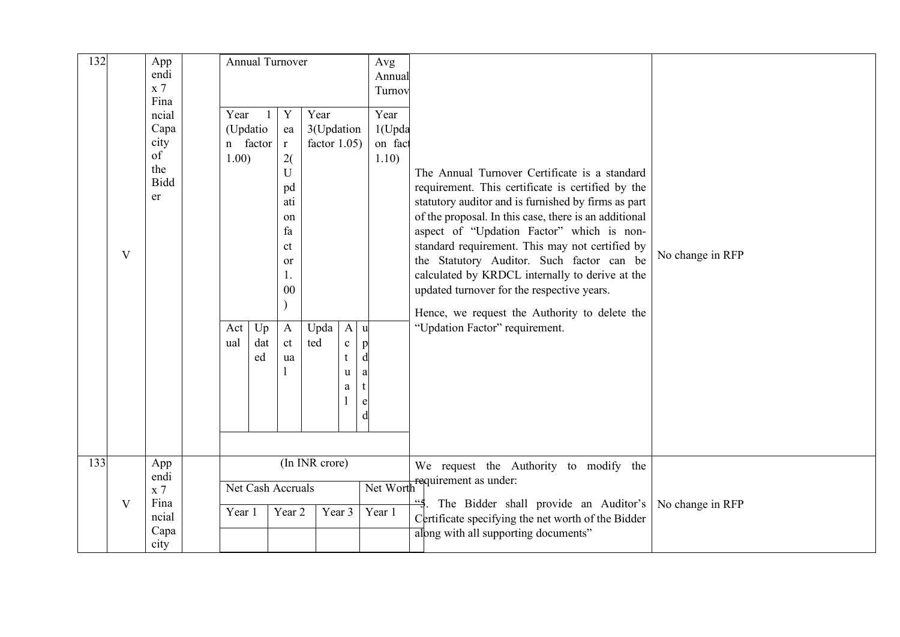| 132 |                | App<br>endi<br>x <sub>7</sub><br>Fina                                       | Annual Turnover                                                   |                 |                                                                                                                       |                                                      |                                                   | Avg<br>Annual<br>Turnov                                               |                                                                                                                                                                                                                                                                                                                                                                                                                                                                                                                                                     |                  |
|-----|----------------|-----------------------------------------------------------------------------|-------------------------------------------------------------------|-----------------|-----------------------------------------------------------------------------------------------------------------------|------------------------------------------------------|---------------------------------------------------|-----------------------------------------------------------------------|-----------------------------------------------------------------------------------------------------------------------------------------------------------------------------------------------------------------------------------------------------------------------------------------------------------------------------------------------------------------------------------------------------------------------------------------------------------------------------------------------------------------------------------------------------|------------------|
|     | V              | ncial<br>Capa<br>city<br>of<br>the<br><b>Bidd</b><br>er                     | Year<br>(Updatio<br>n factor<br>1.00)<br>Act<br>ual               | Up<br>dat<br>ed | Y<br>ea<br>$\mathbf{r}$<br>2(<br>U<br>pd<br>ati<br>on<br>fa<br>ct<br>or<br>0 <sub>0</sub><br>$\mathbf{A}$<br>ct<br>ua | Year<br>3(Updation<br>factor $1.05$ )<br>Upda<br>ted | $\mathbf{A}$<br>$\mathbf c$<br>t<br>u<br>$\rm{a}$ | Year<br>1(Upda<br>on fact<br>1.10)<br>u<br>p<br>d<br>a<br>t<br>e<br>d | The Annual Turnover Certificate is a standard<br>requirement. This certificate is certified by the<br>statutory auditor and is furnished by firms as part<br>of the proposal. In this case, there is an additional<br>aspect of "Updation Factor" which is non-<br>standard requirement. This may not certified by<br>the Statutory Auditor. Such factor can be<br>calculated by KRDCL internally to derive at the<br>updated turnover for the respective years.<br>Hence, we request the Authority to delete the<br>"Updation Factor" requirement. | No change in RFP |
| 133 | $\overline{V}$ | App<br>endi<br>$\boldsymbol{\mathrm{x}}$ 7<br>Fina<br>ncial<br>Capa<br>city | (In INR crore)<br>Net Cash Accruals<br>Year 2<br>Year 1<br>Year 3 |                 |                                                                                                                       |                                                      |                                                   | Year 1                                                                | We request the Authority to modify the<br>Net Worth requirement as under:<br>The Bidder shall provide an Auditor's<br>Certificate specifying the net worth of the Bidder<br>along with all supporting documents"                                                                                                                                                                                                                                                                                                                                    | No change in RFP |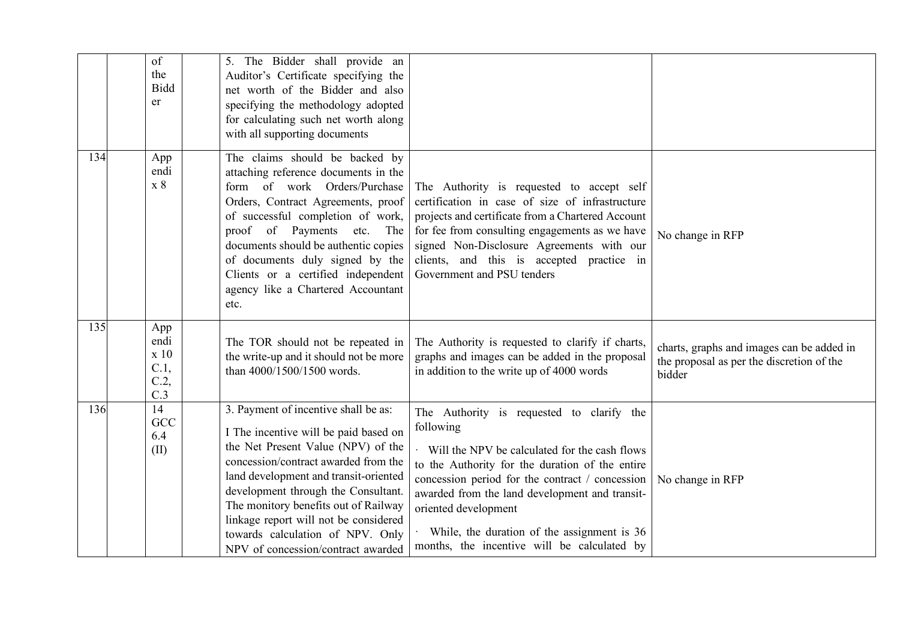|     | of<br>the<br><b>Bidd</b><br>er            | 5. The Bidder shall provide an<br>Auditor's Certificate specifying the<br>net worth of the Bidder and also<br>specifying the methodology adopted<br>for calculating such net worth along<br>with all supporting documents                                                                                                                                                                              |                                                                                                                                                                                                                                                                                                                                                                                       |                                                                                                  |
|-----|-------------------------------------------|--------------------------------------------------------------------------------------------------------------------------------------------------------------------------------------------------------------------------------------------------------------------------------------------------------------------------------------------------------------------------------------------------------|---------------------------------------------------------------------------------------------------------------------------------------------------------------------------------------------------------------------------------------------------------------------------------------------------------------------------------------------------------------------------------------|--------------------------------------------------------------------------------------------------|
| 134 | App<br>endi<br>x 8                        | The claims should be backed by<br>attaching reference documents in the<br>form of work Orders/Purchase<br>Orders, Contract Agreements, proof<br>of successful completion of work,<br>proof of Payments<br>The<br>etc.<br>documents should be authentic copies<br>of documents duly signed by the<br>Clients or a certified independent<br>agency like a Chartered Accountant<br>etc.                   | The Authority is requested to accept self<br>certification in case of size of infrastructure<br>projects and certificate from a Chartered Account<br>for fee from consulting engagements as we have<br>signed Non-Disclosure Agreements with our<br>clients, and this is accepted practice in<br>Government and PSU tenders                                                           | No change in RFP                                                                                 |
| 135 | App<br>endi<br>x 10<br>C.1,<br>C.2<br>C.3 | The TOR should not be repeated in<br>the write-up and it should not be more<br>than 4000/1500/1500 words.                                                                                                                                                                                                                                                                                              | The Authority is requested to clarify if charts,<br>graphs and images can be added in the proposal<br>in addition to the write up of 4000 words                                                                                                                                                                                                                                       | charts, graphs and images can be added in<br>the proposal as per the discretion of the<br>bidder |
| 136 | 14<br>GCC<br>6.4<br>(II)                  | 3. Payment of incentive shall be as:<br>I The incentive will be paid based on<br>the Net Present Value (NPV) of the<br>concession/contract awarded from the<br>land development and transit-oriented<br>development through the Consultant.<br>The monitory benefits out of Railway<br>linkage report will not be considered<br>towards calculation of NPV. Only<br>NPV of concession/contract awarded | The Authority is requested to clarify the<br>following<br>Will the NPV be calculated for the cash flows<br>to the Authority for the duration of the entire<br>concession period for the contract / concession<br>awarded from the land development and transit-<br>oriented development<br>While, the duration of the assignment is 36<br>months, the incentive will be calculated by | No change in RFP                                                                                 |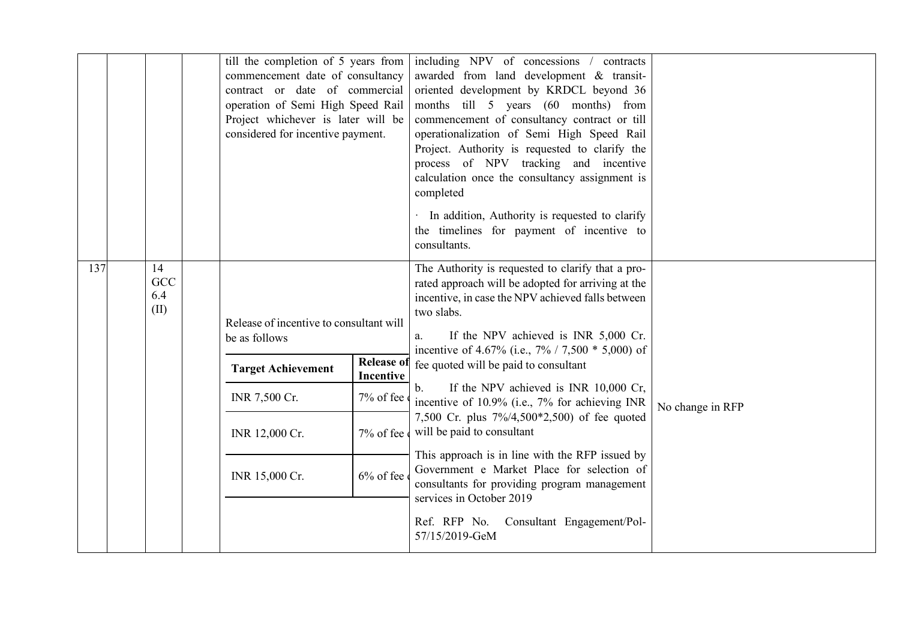|                                 | till the completion of 5 years from<br>commencement date of consultancy<br>contract or date of commercial<br>operation of Semi High Speed Rail<br>Project whichever is later will be<br>considered for incentive payment. |                                                                                 | including NPV of concessions /<br>contracts<br>awarded from land development & transit-<br>oriented development by KRDCL beyond 36<br>months till 5 years (60 months) from<br>commencement of consultancy contract or till<br>operationalization of Semi High Speed Rail<br>Project. Authority is requested to clarify the<br>process of NPV tracking and incentive<br>calculation once the consultancy assignment is<br>completed<br>In addition, Authority is requested to clarify<br>the timelines for payment of incentive to<br>consultants.                                                                                                                                                                                                               |                  |
|---------------------------------|---------------------------------------------------------------------------------------------------------------------------------------------------------------------------------------------------------------------------|---------------------------------------------------------------------------------|-----------------------------------------------------------------------------------------------------------------------------------------------------------------------------------------------------------------------------------------------------------------------------------------------------------------------------------------------------------------------------------------------------------------------------------------------------------------------------------------------------------------------------------------------------------------------------------------------------------------------------------------------------------------------------------------------------------------------------------------------------------------|------------------|
| 137<br>14<br>GCC<br>6.4<br>(II) | Release of incentive to consultant will<br>be as follows<br><b>Target Achievement</b><br>INR 7,500 Cr.<br>INR 12,000 Cr.<br>INR 15,000 Cr.                                                                                | <b>Release of</b><br><b>Incentive</b><br>7% of fee<br>7% of fee<br>$6\%$ of fee | The Authority is requested to clarify that a pro-<br>rated approach will be adopted for arriving at the<br>incentive, in case the NPV achieved falls between<br>two slabs.<br>If the NPV achieved is INR 5,000 Cr.<br>a.<br>incentive of 4.67% (i.e., $7\%$ / 7,500 $*$ 5,000) of<br>fee quoted will be paid to consultant<br>If the NPV achieved is INR 10,000 Cr,<br>$\mathbf{b}$ .<br>incentive of 10.9% (i.e., 7% for achieving INR<br>7,500 Cr. plus 7%/4,500*2,500) of fee quoted<br>will be paid to consultant<br>This approach is in line with the RFP issued by<br>Government e Market Place for selection of<br>consultants for providing program management<br>services in October 2019<br>Ref. RFP No. Consultant Engagement/Pol-<br>57/15/2019-GeM | No change in RFP |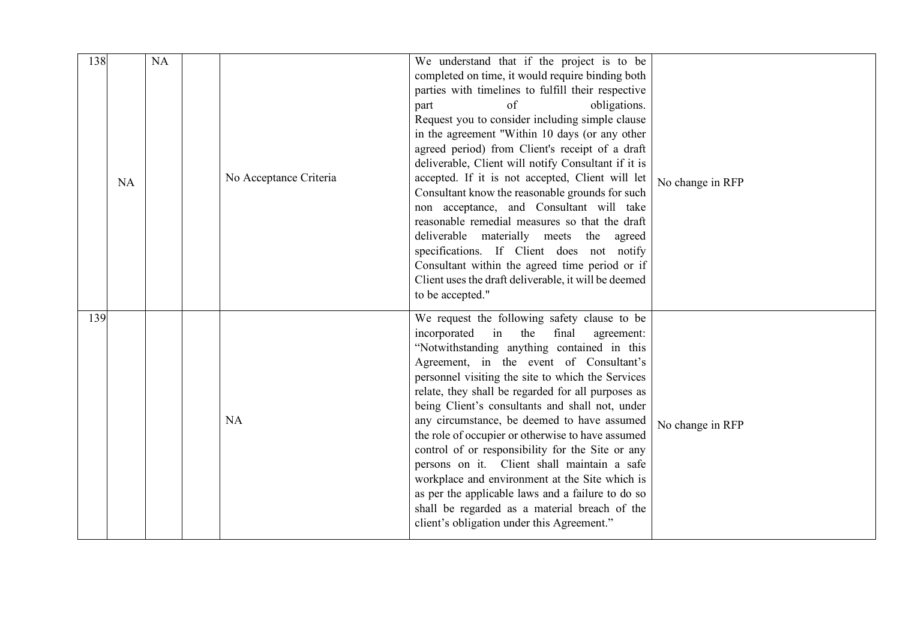| 138 | NA | <b>NA</b> | No Acceptance Criteria | We understand that if the project is to be<br>completed on time, it would require binding both<br>parties with timelines to fulfill their respective<br>obligations.<br>of<br>part<br>Request you to consider including simple clause<br>in the agreement "Within 10 days (or any other<br>agreed period) from Client's receipt of a draft<br>deliverable, Client will notify Consultant if it is<br>accepted. If it is not accepted, Client will let<br>Consultant know the reasonable grounds for such<br>non acceptance, and Consultant will take<br>reasonable remedial measures so that the draft<br>deliverable materially meets the agreed<br>specifications. If Client does not notify                                                                        | No change in RFP |
|-----|----|-----------|------------------------|-----------------------------------------------------------------------------------------------------------------------------------------------------------------------------------------------------------------------------------------------------------------------------------------------------------------------------------------------------------------------------------------------------------------------------------------------------------------------------------------------------------------------------------------------------------------------------------------------------------------------------------------------------------------------------------------------------------------------------------------------------------------------|------------------|
|     |    |           |                        | Consultant within the agreed time period or if<br>Client uses the draft deliverable, it will be deemed<br>to be accepted."                                                                                                                                                                                                                                                                                                                                                                                                                                                                                                                                                                                                                                            |                  |
| 139 |    |           | <b>NA</b>              | We request the following safety clause to be<br>incorporated<br>in<br>the<br>final<br>agreement:<br>"Notwithstanding anything contained in this<br>Agreement, in the event of Consultant's<br>personnel visiting the site to which the Services<br>relate, they shall be regarded for all purposes as<br>being Client's consultants and shall not, under<br>any circumstance, be deemed to have assumed<br>the role of occupier or otherwise to have assumed<br>control of or responsibility for the Site or any<br>persons on it. Client shall maintain a safe<br>workplace and environment at the Site which is<br>as per the applicable laws and a failure to do so<br>shall be regarded as a material breach of the<br>client's obligation under this Agreement." | No change in RFP |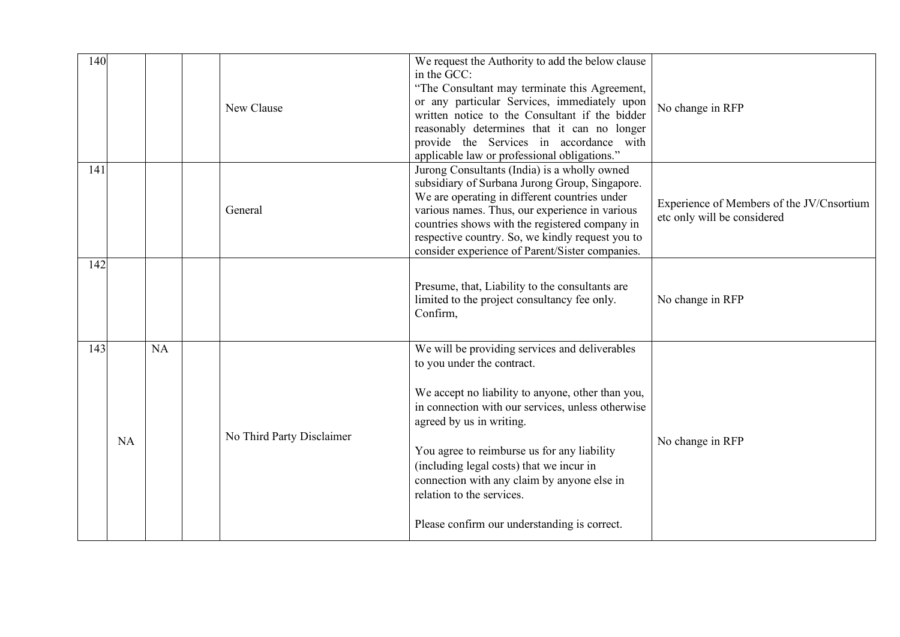| 140 |           |    | New Clause                | We request the Authority to add the below clause<br>in the GCC:<br>"The Consultant may terminate this Agreement,<br>or any particular Services, immediately upon<br>written notice to the Consultant if the bidder<br>reasonably determines that it can no longer<br>provide the Services in accordance with<br>applicable law or professional obligations."                                                                              | No change in RFP                                                         |
|-----|-----------|----|---------------------------|-------------------------------------------------------------------------------------------------------------------------------------------------------------------------------------------------------------------------------------------------------------------------------------------------------------------------------------------------------------------------------------------------------------------------------------------|--------------------------------------------------------------------------|
| 141 |           |    | General                   | Jurong Consultants (India) is a wholly owned<br>subsidiary of Surbana Jurong Group, Singapore.<br>We are operating in different countries under<br>various names. Thus, our experience in various<br>countries shows with the registered company in<br>respective country. So, we kindly request you to<br>consider experience of Parent/Sister companies.                                                                                | Experience of Members of the JV/Cnsortium<br>etc only will be considered |
| 142 |           |    |                           | Presume, that, Liability to the consultants are<br>limited to the project consultancy fee only.<br>Confirm,                                                                                                                                                                                                                                                                                                                               | No change in RFP                                                         |
| 143 | <b>NA</b> | NA | No Third Party Disclaimer | We will be providing services and deliverables<br>to you under the contract.<br>We accept no liability to anyone, other than you,<br>in connection with our services, unless otherwise<br>agreed by us in writing.<br>You agree to reimburse us for any liability<br>(including legal costs) that we incur in<br>connection with any claim by anyone else in<br>relation to the services.<br>Please confirm our understanding is correct. | No change in RFP                                                         |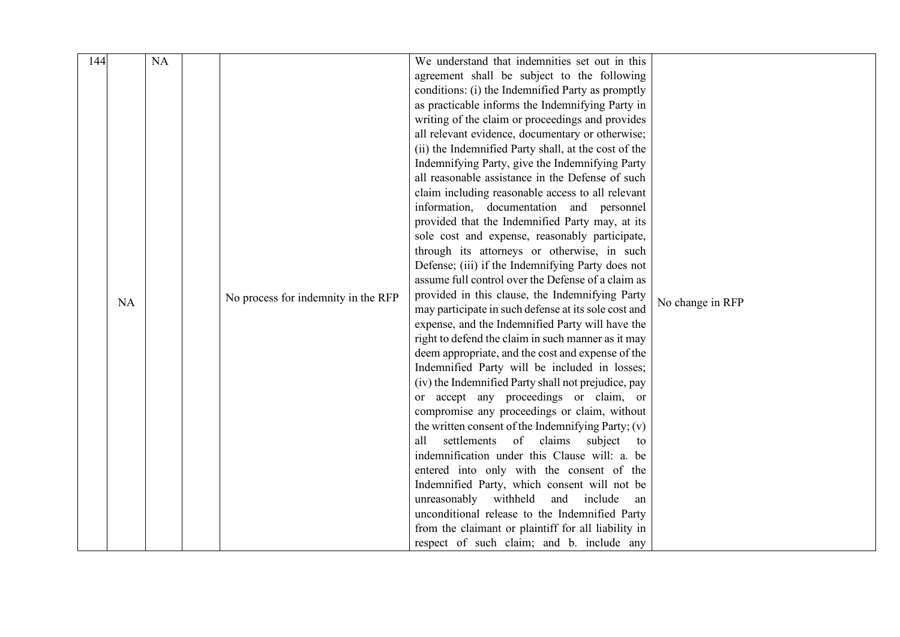| 144 |    | NA |                                     | We understand that indemnities set out in this       |                  |
|-----|----|----|-------------------------------------|------------------------------------------------------|------------------|
|     |    |    |                                     | agreement shall be subject to the following          |                  |
|     |    |    |                                     | conditions: (i) the Indemnified Party as promptly    |                  |
|     |    |    |                                     | as practicable informs the Indemnifying Party in     |                  |
|     |    |    |                                     | writing of the claim or proceedings and provides     |                  |
|     |    |    |                                     | all relevant evidence, documentary or otherwise;     |                  |
|     |    |    |                                     | (ii) the Indemnified Party shall, at the cost of the |                  |
|     |    |    |                                     | Indemnifying Party, give the Indemnifying Party      |                  |
|     |    |    |                                     | all reasonable assistance in the Defense of such     |                  |
|     |    |    |                                     | claim including reasonable access to all relevant    |                  |
|     |    |    |                                     | information, documentation and personnel             |                  |
|     |    |    |                                     | provided that the Indemnified Party may, at its      |                  |
|     |    |    |                                     | sole cost and expense, reasonably participate,       |                  |
|     |    |    |                                     | through its attorneys or otherwise, in such          |                  |
|     |    |    |                                     | Defense; (iii) if the Indemnifying Party does not    |                  |
|     |    |    |                                     | assume full control over the Defense of a claim as   |                  |
|     |    |    | No process for indemnity in the RFP | provided in this clause, the Indemnifying Party      |                  |
|     | NA |    |                                     | may participate in such defense at its sole cost and | No change in RFP |
|     |    |    |                                     | expense, and the Indemnified Party will have the     |                  |
|     |    |    |                                     | right to defend the claim in such manner as it may   |                  |
|     |    |    |                                     | deem appropriate, and the cost and expense of the    |                  |
|     |    |    |                                     | Indemnified Party will be included in losses;        |                  |
|     |    |    |                                     | (iv) the Indemnified Party shall not prejudice, pay  |                  |
|     |    |    |                                     | or accept any proceedings or claim, or               |                  |
|     |    |    |                                     | compromise any proceedings or claim, without         |                  |
|     |    |    |                                     | the written consent of the Indemnifying Party; (v)   |                  |
|     |    |    |                                     | of<br>settlements<br>claims<br>subject<br>all<br>to  |                  |
|     |    |    |                                     | indemnification under this Clause will: a. be        |                  |
|     |    |    |                                     | entered into only with the consent of the            |                  |
|     |    |    |                                     | Indemnified Party, which consent will not be         |                  |
|     |    |    |                                     | unreasonably withheld<br>and include<br>an           |                  |
|     |    |    |                                     | unconditional release to the Indemnified Party       |                  |
|     |    |    |                                     | from the claimant or plaintiff for all liability in  |                  |
|     |    |    |                                     | respect of such claim; and b. include any            |                  |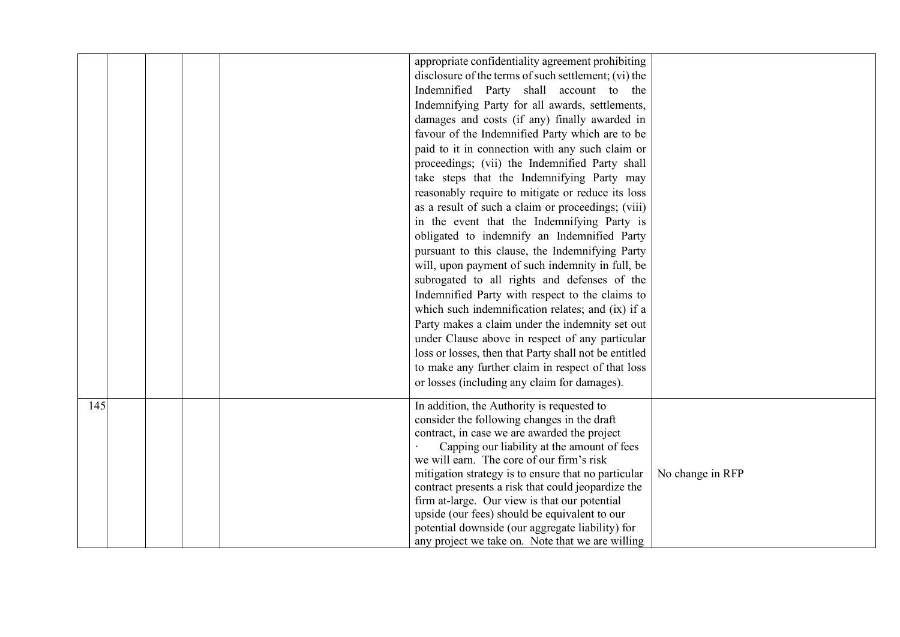|     |  |  | appropriate confidentiality agreement prohibiting                                              |                  |
|-----|--|--|------------------------------------------------------------------------------------------------|------------------|
|     |  |  | disclosure of the terms of such settlement; (vi) the                                           |                  |
|     |  |  | Indemnified Party shall account to the                                                         |                  |
|     |  |  | Indemnifying Party for all awards, settlements,                                                |                  |
|     |  |  | damages and costs (if any) finally awarded in                                                  |                  |
|     |  |  | favour of the Indemnified Party which are to be                                                |                  |
|     |  |  | paid to it in connection with any such claim or                                                |                  |
|     |  |  | proceedings; (vii) the Indemnified Party shall                                                 |                  |
|     |  |  | take steps that the Indemnifying Party may                                                     |                  |
|     |  |  | reasonably require to mitigate or reduce its loss                                              |                  |
|     |  |  | as a result of such a claim or proceedings; (viii)                                             |                  |
|     |  |  | in the event that the Indemnifying Party is                                                    |                  |
|     |  |  | obligated to indemnify an Indemnified Party                                                    |                  |
|     |  |  | pursuant to this clause, the Indemnifying Party                                                |                  |
|     |  |  | will, upon payment of such indemnity in full, be                                               |                  |
|     |  |  | subrogated to all rights and defenses of the                                                   |                  |
|     |  |  | Indemnified Party with respect to the claims to                                                |                  |
|     |  |  | which such indemnification relates; and (ix) if a                                              |                  |
|     |  |  | Party makes a claim under the indemnity set out                                                |                  |
|     |  |  | under Clause above in respect of any particular                                                |                  |
|     |  |  | loss or losses, then that Party shall not be entitled                                          |                  |
|     |  |  | to make any further claim in respect of that loss                                              |                  |
|     |  |  | or losses (including any claim for damages).                                                   |                  |
| 145 |  |  | In addition, the Authority is requested to                                                     |                  |
|     |  |  | consider the following changes in the draft                                                    |                  |
|     |  |  | contract, in case we are awarded the project                                                   |                  |
|     |  |  | Capping our liability at the amount of fees                                                    |                  |
|     |  |  | we will earn. The core of our firm's risk                                                      |                  |
|     |  |  | mitigation strategy is to ensure that no particular                                            | No change in RFP |
|     |  |  | contract presents a risk that could jeopardize the                                             |                  |
|     |  |  | firm at-large. Our view is that our potential<br>upside (our fees) should be equivalent to our |                  |
|     |  |  | potential downside (our aggregate liability) for                                               |                  |
|     |  |  | any project we take on. Note that we are willing                                               |                  |
|     |  |  |                                                                                                |                  |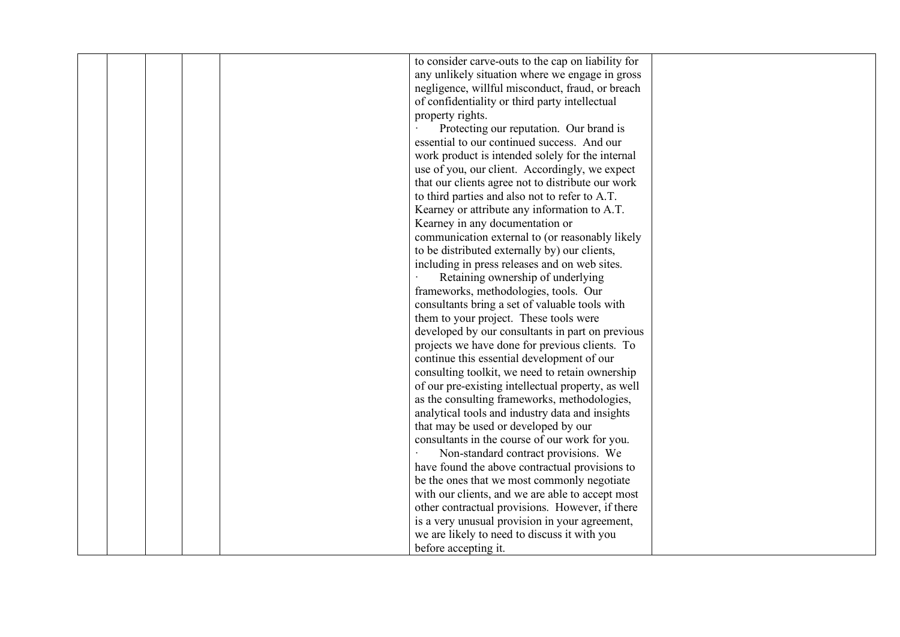| to consider carve-outs to the cap on liability for                                     |  |
|----------------------------------------------------------------------------------------|--|
| any unlikely situation where we engage in gross                                        |  |
| negligence, willful misconduct, fraud, or breach                                       |  |
| of confidentiality or third party intellectual                                         |  |
| property rights.                                                                       |  |
|                                                                                        |  |
| Protecting our reputation. Our brand is<br>essential to our continued success. And our |  |
|                                                                                        |  |
| work product is intended solely for the internal                                       |  |
| use of you, our client. Accordingly, we expect                                         |  |
| that our clients agree not to distribute our work                                      |  |
| to third parties and also not to refer to A.T.                                         |  |
| Kearney or attribute any information to A.T.                                           |  |
| Kearney in any documentation or                                                        |  |
| communication external to (or reasonably likely                                        |  |
| to be distributed externally by) our clients,                                          |  |
| including in press releases and on web sites.                                          |  |
| Retaining ownership of underlying                                                      |  |
| frameworks, methodologies, tools. Our                                                  |  |
| consultants bring a set of valuable tools with                                         |  |
| them to your project. These tools were                                                 |  |
| developed by our consultants in part on previous                                       |  |
| projects we have done for previous clients. To                                         |  |
| continue this essential development of our                                             |  |
| consulting toolkit, we need to retain ownership                                        |  |
| of our pre-existing intellectual property, as well                                     |  |
| as the consulting frameworks, methodologies,                                           |  |
| analytical tools and industry data and insights                                        |  |
| that may be used or developed by our                                                   |  |
| consultants in the course of our work for you.                                         |  |
| Non-standard contract provisions. We                                                   |  |
| have found the above contractual provisions to                                         |  |
| be the ones that we most commonly negotiate                                            |  |
| with our clients, and we are able to accept most                                       |  |
| other contractual provisions. However, if there                                        |  |
| is a very unusual provision in your agreement,                                         |  |
| we are likely to need to discuss it with you                                           |  |
|                                                                                        |  |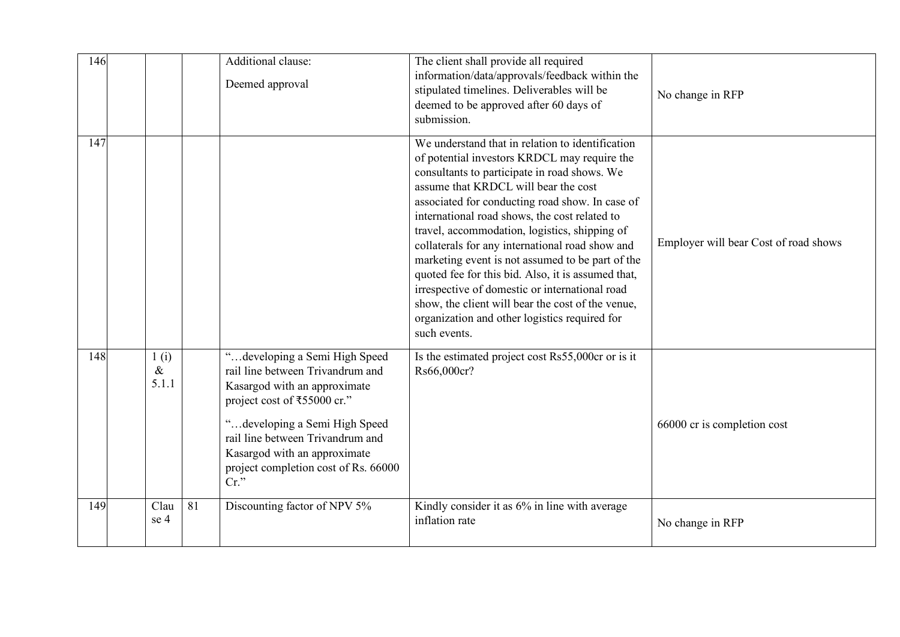| 146 |                       |    | Additional clause:<br>Deemed approval                                                                                                                                                                                                                                                    | The client shall provide all required<br>information/data/approvals/feedback within the<br>stipulated timelines. Deliverables will be<br>deemed to be approved after 60 days of<br>submission.                                                                                                                                                                                                                                                                                                                                                                                                                                                                                     | No change in RFP                      |
|-----|-----------------------|----|------------------------------------------------------------------------------------------------------------------------------------------------------------------------------------------------------------------------------------------------------------------------------------------|------------------------------------------------------------------------------------------------------------------------------------------------------------------------------------------------------------------------------------------------------------------------------------------------------------------------------------------------------------------------------------------------------------------------------------------------------------------------------------------------------------------------------------------------------------------------------------------------------------------------------------------------------------------------------------|---------------------------------------|
| 147 |                       |    |                                                                                                                                                                                                                                                                                          | We understand that in relation to identification<br>of potential investors KRDCL may require the<br>consultants to participate in road shows. We<br>assume that KRDCL will bear the cost<br>associated for conducting road show. In case of<br>international road shows, the cost related to<br>travel, accommodation, logistics, shipping of<br>collaterals for any international road show and<br>marketing event is not assumed to be part of the<br>quoted fee for this bid. Also, it is assumed that,<br>irrespective of domestic or international road<br>show, the client will bear the cost of the venue,<br>organization and other logistics required for<br>such events. | Employer will bear Cost of road shows |
| 148 | 1(i)<br>$\&$<br>5.1.1 |    | "developing a Semi High Speed<br>rail line between Trivandrum and<br>Kasargod with an approximate<br>project cost of ₹55000 cr."<br>"developing a Semi High Speed<br>rail line between Trivandrum and<br>Kasargod with an approximate<br>project completion cost of Rs. 66000<br>$Cr.$ " | Is the estimated project cost Rs55,000cr or is it<br>Rs66,000cr?                                                                                                                                                                                                                                                                                                                                                                                                                                                                                                                                                                                                                   | 66000 cr is completion cost           |
| 149 | Clau<br>se 4          | 81 | Discounting factor of NPV 5%                                                                                                                                                                                                                                                             | Kindly consider it as 6% in line with average<br>inflation rate                                                                                                                                                                                                                                                                                                                                                                                                                                                                                                                                                                                                                    | No change in RFP                      |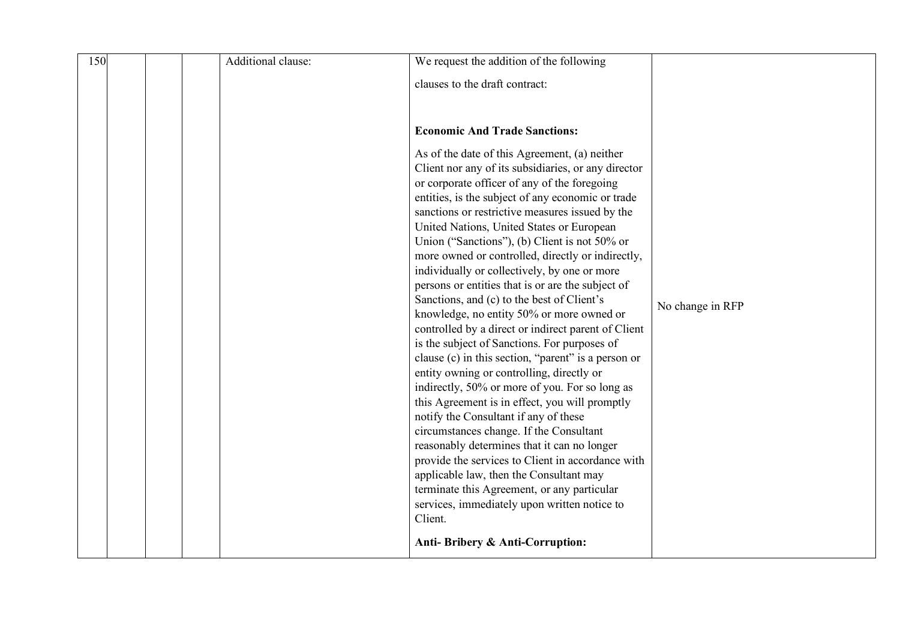| 150 |  | Additional clause: | We request the addition of the following                                                            |                  |
|-----|--|--------------------|-----------------------------------------------------------------------------------------------------|------------------|
|     |  |                    | clauses to the draft contract:                                                                      |                  |
|     |  |                    |                                                                                                     |                  |
|     |  |                    |                                                                                                     |                  |
|     |  |                    | <b>Economic And Trade Sanctions:</b>                                                                |                  |
|     |  |                    | As of the date of this Agreement, (a) neither                                                       |                  |
|     |  |                    | Client nor any of its subsidiaries, or any director                                                 |                  |
|     |  |                    | or corporate officer of any of the foregoing<br>entities, is the subject of any economic or trade   |                  |
|     |  |                    | sanctions or restrictive measures issued by the                                                     |                  |
|     |  |                    | United Nations, United States or European                                                           |                  |
|     |  |                    | Union ("Sanctions"), (b) Client is not 50% or                                                       |                  |
|     |  |                    | more owned or controlled, directly or indirectly,<br>individually or collectively, by one or more   |                  |
|     |  |                    | persons or entities that is or are the subject of                                                   |                  |
|     |  |                    | Sanctions, and (c) to the best of Client's                                                          | No change in RFP |
|     |  |                    | knowledge, no entity 50% or more owned or                                                           |                  |
|     |  |                    | controlled by a direct or indirect parent of Client<br>is the subject of Sanctions. For purposes of |                  |
|     |  |                    | clause (c) in this section, "parent" is a person or                                                 |                  |
|     |  |                    | entity owning or controlling, directly or                                                           |                  |
|     |  |                    | indirectly, 50% or more of you. For so long as                                                      |                  |
|     |  |                    | this Agreement is in effect, you will promptly<br>notify the Consultant if any of these             |                  |
|     |  |                    | circumstances change. If the Consultant                                                             |                  |
|     |  |                    | reasonably determines that it can no longer                                                         |                  |
|     |  |                    | provide the services to Client in accordance with                                                   |                  |
|     |  |                    | applicable law, then the Consultant may<br>terminate this Agreement, or any particular              |                  |
|     |  |                    | services, immediately upon written notice to                                                        |                  |
|     |  |                    | Client.                                                                                             |                  |
|     |  |                    | Anti-Bribery & Anti-Corruption:                                                                     |                  |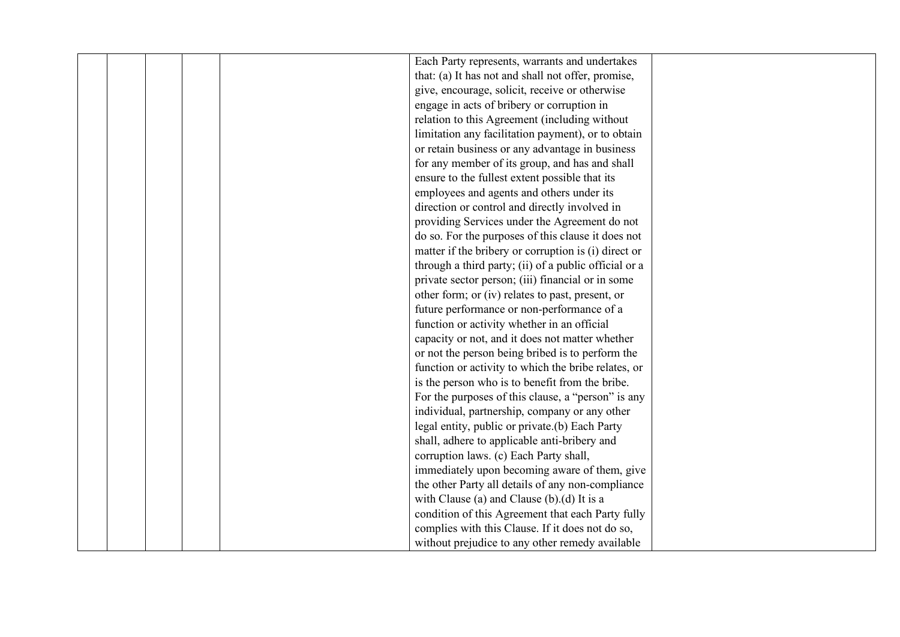|  |  | Each Party represents, warrants and undertakes        |  |
|--|--|-------------------------------------------------------|--|
|  |  | that: (a) It has not and shall not offer, promise,    |  |
|  |  | give, encourage, solicit, receive or otherwise        |  |
|  |  | engage in acts of bribery or corruption in            |  |
|  |  | relation to this Agreement (including without         |  |
|  |  | limitation any facilitation payment), or to obtain    |  |
|  |  | or retain business or any advantage in business       |  |
|  |  | for any member of its group, and has and shall        |  |
|  |  | ensure to the fullest extent possible that its        |  |
|  |  | employees and agents and others under its             |  |
|  |  | direction or control and directly involved in         |  |
|  |  | providing Services under the Agreement do not         |  |
|  |  | do so. For the purposes of this clause it does not    |  |
|  |  | matter if the bribery or corruption is (i) direct or  |  |
|  |  | through a third party; (ii) of a public official or a |  |
|  |  | private sector person; (iii) financial or in some     |  |
|  |  | other form; or (iv) relates to past, present, or      |  |
|  |  | future performance or non-performance of a            |  |
|  |  | function or activity whether in an official           |  |
|  |  | capacity or not, and it does not matter whether       |  |
|  |  | or not the person being bribed is to perform the      |  |
|  |  | function or activity to which the bribe relates, or   |  |
|  |  | is the person who is to benefit from the bribe.       |  |
|  |  | For the purposes of this clause, a "person" is any    |  |
|  |  | individual, partnership, company or any other         |  |
|  |  | legal entity, public or private.(b) Each Party        |  |
|  |  | shall, adhere to applicable anti-bribery and          |  |
|  |  | corruption laws. (c) Each Party shall,                |  |
|  |  | immediately upon becoming aware of them, give         |  |
|  |  | the other Party all details of any non-compliance     |  |
|  |  | with Clause (a) and Clause (b).(d) It is a            |  |
|  |  | condition of this Agreement that each Party fully     |  |
|  |  | complies with this Clause. If it does not do so,      |  |
|  |  | without prejudice to any other remedy available       |  |